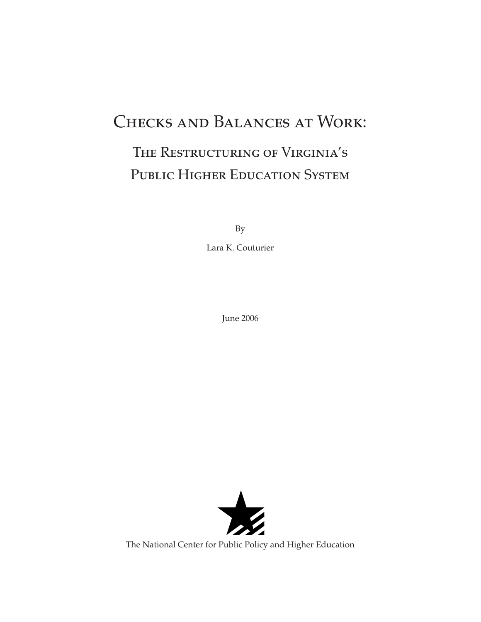# Checks and Balances at Work:

# The Restructuring of Virginia's PUBLIC HIGHER EDUCATION SYSTEM

By

Lara K. Couturier

June 2006



The National Center for Public Policy and Higher Education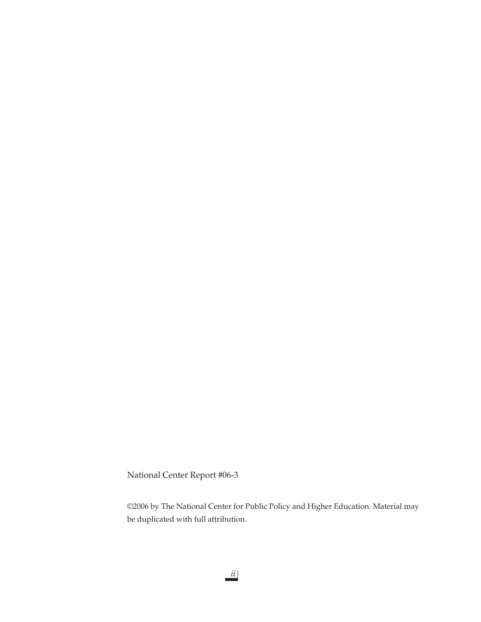National Center Report #06-3

©2006 by The National Center for Public Policy and Higher Education. Material may be duplicated with full attribution.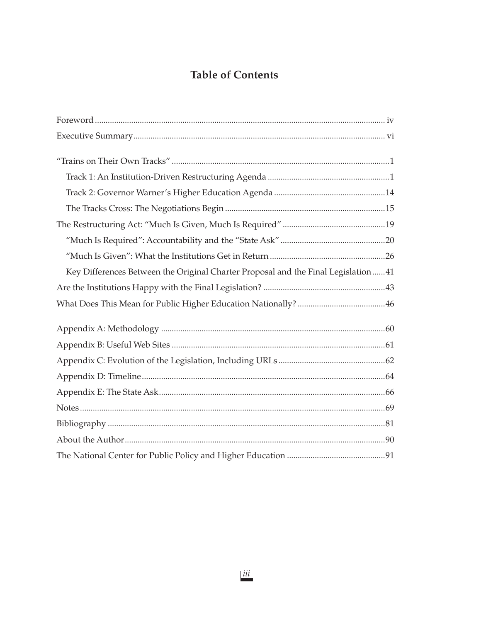# **Table of Contents**

| Key Differences Between the Original Charter Proposal and the Final Legislation41 |
|-----------------------------------------------------------------------------------|
|                                                                                   |
|                                                                                   |
|                                                                                   |
|                                                                                   |
|                                                                                   |
|                                                                                   |
|                                                                                   |
|                                                                                   |
|                                                                                   |
|                                                                                   |
|                                                                                   |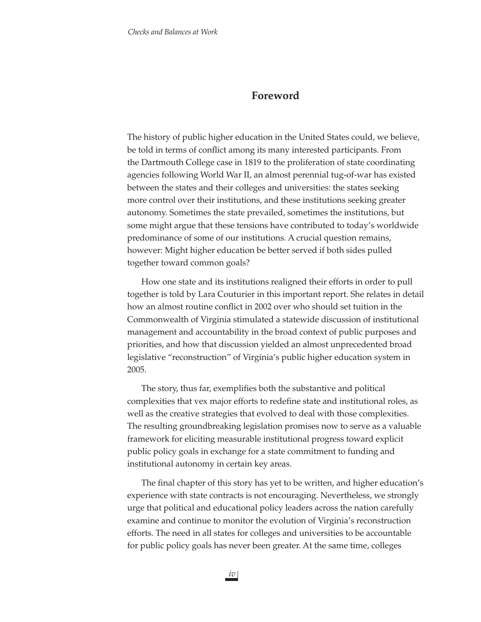# **Foreword**

The history of public higher education in the United States could, we believe, be told in terms of conflict among its many interested participants. From the Dartmouth College case in 1819 to the proliferation of state coordinating agencies following World War II, an almost perennial tug-of-war has existed between the states and their colleges and universities: the states seeking more control over their institutions, and these institutions seeking greater autonomy. Sometimes the state prevailed, sometimes the institutions, but some might argue that these tensions have contributed to today's worldwide predominance of some of our institutions. A crucial question remains, however: Might higher education be better served if both sides pulled together toward common goals?

How one state and its institutions realigned their efforts in order to pull together is told by Lara Couturier in this important report. She relates in detail how an almost routine conflict in 2002 over who should set tuition in the Commonwealth of Virginia stimulated a statewide discussion of institutional management and accountability in the broad context of public purposes and priorities, and how that discussion yielded an almost unprecedented broad legislative "reconstruction" of Virginia's public higher education system in 2005.

The story, thus far, exemplifies both the substantive and political complexities that vex major efforts to redefine state and institutional roles, as well as the creative strategies that evolved to deal with those complexities. The resulting groundbreaking legislation promises now to serve as a valuable framework for eliciting measurable institutional progress toward explicit public policy goals in exchange for a state commitment to funding and institutional autonomy in certain key areas.

The final chapter of this story has yet to be written, and higher education's experience with state contracts is not encouraging. Nevertheless, we strongly urge that political and educational policy leaders across the nation carefully examine and continue to monitor the evolution of Virginia's reconstruction efforts. The need in all states for colleges and universities to be accountable for public policy goals has never been greater. At the same time, colleges

*iv*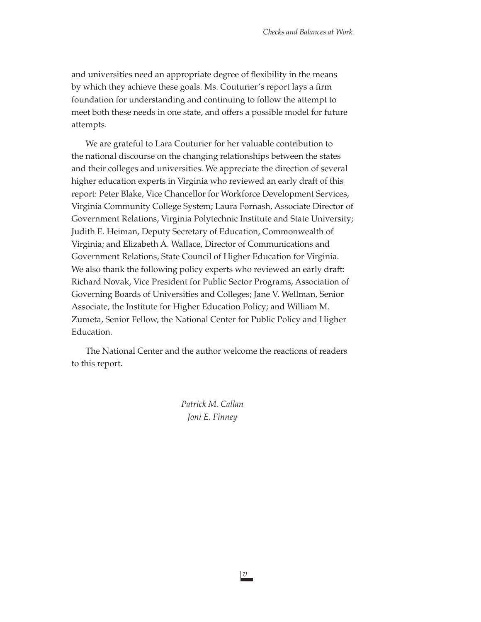and universities need an appropriate degree of flexibility in the means by which they achieve these goals. Ms. Couturier's report lays a firm foundation for understanding and continuing to follow the attempt to meet both these needs in one state, and offers a possible model for future attempts.

We are grateful to Lara Couturier for her valuable contribution to the national discourse on the changing relationships between the states and their colleges and universities. We appreciate the direction of several higher education experts in Virginia who reviewed an early draft of this report: Peter Blake, Vice Chancellor for Workforce Development Services, Virginia Community College System; Laura Fornash, Associate Director of Government Relations, Virginia Polytechnic Institute and State University; Judith E. Heiman, Deputy Secretary of Education, Commonwealth of Virginia; and Elizabeth A. Wallace, Director of Communications and Government Relations, State Council of Higher Education for Virginia. We also thank the following policy experts who reviewed an early draft: Richard Novak, Vice President for Public Sector Programs, Association of Governing Boards of Universities and Colleges; Jane V. Wellman, Senior Associate, the Institute for Higher Education Policy; and William M. Zumeta, Senior Fellow, the National Center for Public Policy and Higher Education.

The National Center and the author welcome the reactions of readers to this report.

> *Patrick M. Callan Joni E. Finney*

> > *v*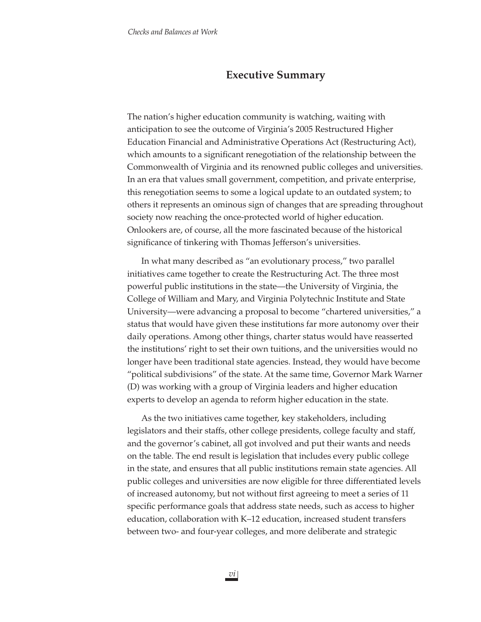# **Executive Summary**

The nation's higher education community is watching, waiting with anticipation to see the outcome of Virginia's 2005 Restructured Higher Education Financial and Administrative Operations Act (Restructuring Act), which amounts to a significant renegotiation of the relationship between the Commonwealth of Virginia and its renowned public colleges and universities. In an era that values small government, competition, and private enterprise, this renegotiation seems to some a logical update to an outdated system; to others it represents an ominous sign of changes that are spreading throughout society now reaching the once-protected world of higher education. Onlookers are, of course, all the more fascinated because of the historical significance of tinkering with Thomas Jefferson's universities.

In what many described as "an evolutionary process," two parallel initiatives came together to create the Restructuring Act. The three most powerful public institutions in the state—the University of Virginia, the College of William and Mary, and Virginia Polytechnic Institute and State University—were advancing a proposal to become "chartered universities," a status that would have given these institutions far more autonomy over their daily operations. Among other things, charter status would have reasserted the institutions' right to set their own tuitions, and the universities would no longer have been traditional state agencies. Instead, they would have become "political subdivisions" of the state. At the same time, Governor Mark Warner (D) was working with a group of Virginia leaders and higher education experts to develop an agenda to reform higher education in the state.

As the two initiatives came together, key stakeholders, including legislators and their staffs, other college presidents, college faculty and staff, and the governor's cabinet, all got involved and put their wants and needs on the table. The end result is legislation that includes every public college in the state, and ensures that all public institutions remain state agencies. All public colleges and universities are now eligible for three differentiated levels of increased autonomy, but not without first agreeing to meet a series of 11 specific performance goals that address state needs, such as access to higher education, collaboration with K–12 education, increased student transfers between two- and four-year colleges, and more deliberate and strategic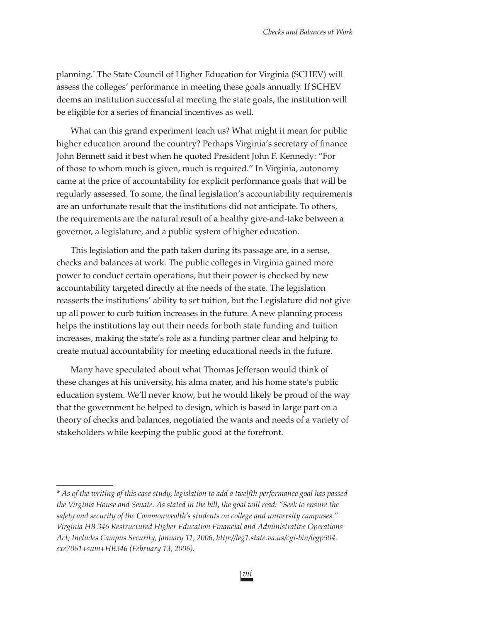planning.\* The State Council of Higher Education for Virginia (SCHEV) will assess the colleges' performance in meeting these goals annually. If SCHEV deems an institution successful at meeting the state goals, the institution will be eligible for a series of financial incentives as well.

What can this grand experiment teach us? What might it mean for public higher education around the country? Perhaps Virginia's secretary of finance John Bennett said it best when he quoted President John F. Kennedy: "For of those to whom much is given, much is required." In Virginia, autonomy came at the price of accountability for explicit performance goals that will be regularly assessed. To some, the final legislation's accountability requirements are an unfortunate result that the institutions did not anticipate. To others, the requirements are the natural result of a healthy give-and-take between a governor, a legislature, and a public system of higher education.

This legislation and the path taken during its passage are, in a sense, checks and balances at work. The public colleges in Virginia gained more power to conduct certain operations, but their power is checked by new accountability targeted directly at the needs of the state. The legislation reasserts the institutions' ability to set tuition, but the Legislature did not give up all power to curb tuition increases in the future. A new planning process helps the institutions lay out their needs for both state funding and tuition increases, making the state's role as a funding partner clear and helping to create mutual accountability for meeting educational needs in the future.

Many have speculated about what Thomas Jefferson would think of these changes at his university, his alma mater, and his home state's public education system. We'll never know, but he would likely be proud of the way that the government he helped to design, which is based in large part on a theory of checks and balances, negotiated the wants and needs of a variety of stakeholders while keeping the public good at the forefront.

*<sup>\*</sup> As of the writing of this case study, legislation to add a twelfth performance goal has passed the Virginia House and Senate. As stated in the bill, the goal will read: "Seek to ensure the safety and security of the Commonwealth's students on college and university campuses." Virginia HB 346 Restructured Higher Education Financial and Administrative Operations Act; Includes Campus Security, January 11, 2006, http://leg1.state.va.us/cgi-bin/legp504. exe?061+sum+HB346 (February 13, 2006).*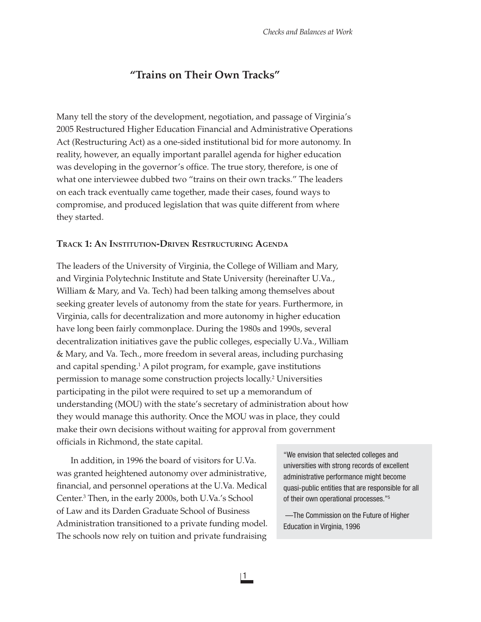# **"Trains on Their Own Tracks"**

Many tell the story of the development, negotiation, and passage of Virginia's 2005 Restructured Higher Education Financial and Administrative Operations Act (Restructuring Act) as a one-sided institutional bid for more autonomy. In reality, however, an equally important parallel agenda for higher education was developing in the governor's office. The true story, therefore, is one of what one interviewee dubbed two "trains on their own tracks." The leaders on each track eventually came together, made their cases, found ways to compromise, and produced legislation that was quite different from where they started.

# **TRACK 1: AN INSTITUTION-DRIVEN RESTRUCTURING AGENDA**

The leaders of the University of Virginia, the College of William and Mary, and Virginia Polytechnic Institute and State University (hereinafter U.Va., William & Mary, and Va. Tech) had been talking among themselves about seeking greater levels of autonomy from the state for years. Furthermore, in Virginia, calls for decentralization and more autonomy in higher education have long been fairly commonplace. During the 1980s and 1990s, several decentralization initiatives gave the public colleges, especially U.Va., William & Mary, and Va. Tech., more freedom in several areas, including purchasing and capital spending.<sup>1</sup> A pilot program, for example, gave institutions permission to manage some construction projects locally.<sup>2</sup> Universities participating in the pilot were required to set up a memorandum of understanding (MOU) with the state's secretary of administration about how they would manage this authority. Once the MOU was in place, they could make their own decisions without waiting for approval from government officials in Richmond, the state capital.

In addition, in 1996 the board of visitors for U.Va. was granted heightened autonomy over administrative, financial, and personnel operations at the U.Va. Medical Center.3 Then, in the early 2000s, both U.Va.'s School of Law and its Darden Graduate School of Business Administration transitioned to a private funding model. The schools now rely on tuition and private fundraising

"We envision that selected colleges and universities with strong records of excellent administrative performance might become quasi-public entities that are responsible for all of their own operational processes."5

 —The Commission on the Future of Higher Education in Virginia, 1996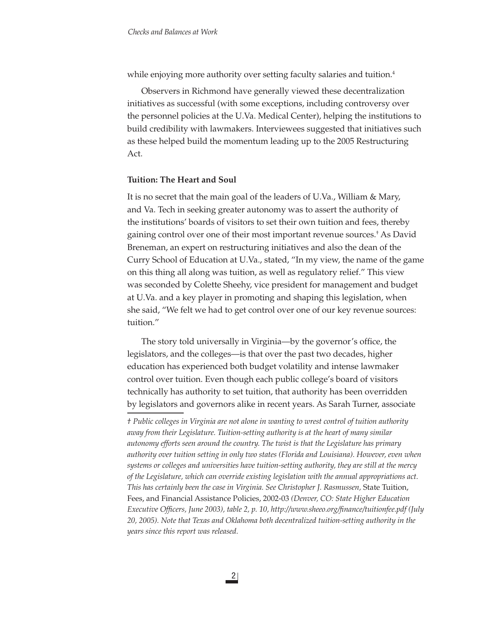while enjoying more authority over setting faculty salaries and tuition.<sup>4</sup>

Observers in Richmond have generally viewed these decentralization initiatives as successful (with some exceptions, including controversy over the personnel policies at the U.Va. Medical Center), helping the institutions to build credibility with lawmakers. Interviewees suggested that initiatives such as these helped build the momentum leading up to the 2005 Restructuring Act.

#### **Tuition: The Heart and Soul**

It is no secret that the main goal of the leaders of U.Va., William & Mary, and Va. Tech in seeking greater autonomy was to assert the authority of the institutions' boards of visitors to set their own tuition and fees, thereby gaining control over one of their most important revenue sources.† As David Breneman, an expert on restructuring initiatives and also the dean of the Curry School of Education at U.Va., stated, "In my view, the name of the game on this thing all along was tuition, as well as regulatory relief." This view was seconded by Colette Sheehy, vice president for management and budget at U.Va. and a key player in promoting and shaping this legislation, when she said, "We felt we had to get control over one of our key revenue sources: tuition."

The story told universally in Virginia—by the governor's office, the legislators, and the colleges—is that over the past two decades, higher education has experienced both budget volatility and intense lawmaker control over tuition. Even though each public college's board of visitors technically has authority to set tuition, that authority has been overridden by legislators and governors alike in recent years. As Sarah Turner, associate

*† Public colleges in Virginia are not alone in wanting to wrest control of tuition authority away from their Legislature. Tuition-setting authority is at the heart of many similar autonomy efforts seen around the country. The twist is that the Legislature has primary authority over tuition setting in only two states (Florida and Louisiana). However, even when systems or colleges and universities have tuition-setting authority, they are still at the mercy of the Legislature, which can override existing legislation with the annual appropriations act. This has certainly been the case in Virginia. See Christopher J. Rasmussen,* State Tuition, Fees, and Financial Assistance Policies, 2002-03 *(Denver, CO: State Higher Education Executive Offi cers, June 2003), table 2, p. 10, http://www.sheeo.org/fi nance/tuitionfee.pdf (July 20, 2005). Note that Texas and Oklahoma both decentralized tuition-setting authority in the years since this report was released.*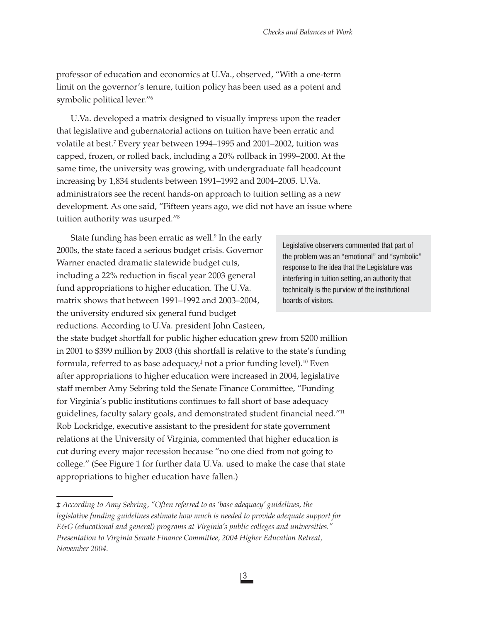professor of education and economics at U.Va., observed, "With a one-term limit on the governor's tenure, tuition policy has been used as a potent and symbolic political lever."6

U.Va. developed a matrix designed to visually impress upon the reader that legislative and gubernatorial actions on tuition have been erratic and volatile at best.7 Every year between 1994–1995 and 2001–2002, tuition was capped, frozen, or rolled back, including a 20% rollback in 1999–2000. At the same time, the university was growing, with undergraduate fall headcount increasing by 1,834 students between 1991–1992 and 2004–2005. U.Va. administrators see the recent hands-on approach to tuition setting as a new development. As one said, "Fifteen years ago, we did not have an issue where tuition authority was usurped."8

State funding has been erratic as well.<sup>9</sup> In the early 2000s, the state faced a serious budget crisis. Governor Warner enacted dramatic statewide budget cuts, including a 22% reduction in fiscal year 2003 general fund appropriations to higher education. The U.Va. matrix shows that between 1991–1992 and 2003–2004, the university endured six general fund budget reductions. According to U.Va. president John Casteen,

Legislative observers commented that part of the problem was an "emotional" and "symbolic" response to the idea that the Legislature was interfering in tuition setting, an authority that technically is the purview of the institutional boards of visitors.

the state budget shortfall for public higher education grew from \$200 million in 2001 to \$399 million by 2003 (this shortfall is relative to the state's funding formula, referred to as base adequacy, $\dagger$  not a prior funding level). $^{10}$  Even after appropriations to higher education were increased in 2004, legislative staff member Amy Sebring told the Senate Finance Committee, "Funding for Virginia's public institutions continues to fall short of base adequacy guidelines, faculty salary goals, and demonstrated student financial need."<sup>11</sup> Rob Lockridge, executive assistant to the president for state government relations at the University of Virginia, commented that higher education is cut during every major recession because "no one died from not going to college." (See Figure 1 for further data U.Va. used to make the case that state appropriations to higher education have fallen.)

*<sup>‡</sup> According to Amy Sebring, "Often referred to as 'base adequacy' guidelines, the legislative funding guidelines estimate how much is needed to provide adequate support for E&G (educational and general) programs at Virginia's public colleges and universities." Presentation to Virginia Senate Finance Committee, 2004 Higher Education Retreat, November 2004.*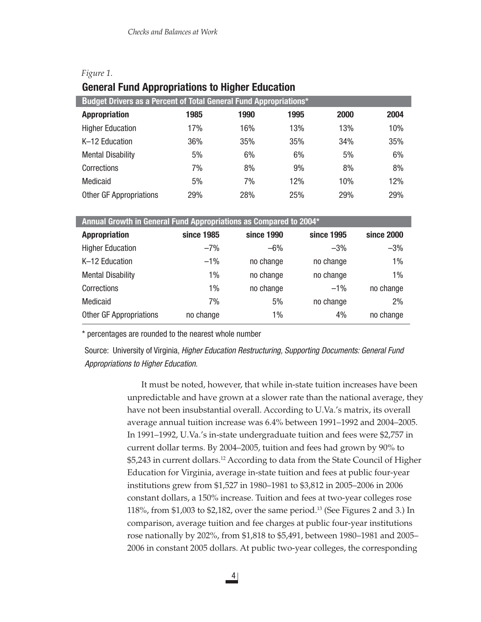| Figure 1. |                                                        |  |  |
|-----------|--------------------------------------------------------|--|--|
|           | <b>General Fund Appropriations to Higher Education</b> |  |  |

| Budget Drivers as a Percent of Total General Fund Appropriations* |            |            |      |            |            |  |  |  |
|-------------------------------------------------------------------|------------|------------|------|------------|------------|--|--|--|
| <b>Appropriation</b>                                              | 1985       | 1990       | 1995 | 2000       | 2004       |  |  |  |
| <b>Higher Education</b>                                           | 17%        | 16%        | 13%  | 13%        | 10%        |  |  |  |
| K-12 Education                                                    | 36%        | 35%        | 35%  | 34%        | 35%        |  |  |  |
| <b>Mental Disability</b>                                          | 5%         | 6%         | 6%   | 5%         | 6%         |  |  |  |
| Corrections                                                       | 7%         | 8%         | 9%   | 8%         | 8%         |  |  |  |
| <b>Medicaid</b>                                                   | 5%         | 7%         | 12%  | 10%        | 12%        |  |  |  |
| <b>Other GF Appropriations</b>                                    | <b>29%</b> | <b>28%</b> | 25%  | <b>29%</b> | <b>29%</b> |  |  |  |

# **Annual Growth in General Fund Appropriations as Compared to 2004\***

| <b>Appropriation</b>           | since 1985 | since 1990 | since 1995 | since 2000 |
|--------------------------------|------------|------------|------------|------------|
| <b>Higher Education</b>        | $-7%$      | $-6%$      | $-3%$      | $-3%$      |
| K-12 Education                 | $-1\%$     | no change  | no change  | $1\%$      |
| <b>Mental Disability</b>       | $1\%$      | no change  | no change  | $1\%$      |
| Corrections                    | $1\%$      | no change  | $-1\%$     | no change  |
| Medicaid                       | 7%         | 5%         | no change  | 2%         |
| <b>Other GF Appropriations</b> | no change  | 1%         | 4%         | no change  |

\* percentages are rounded to the nearest whole number

Source: University of Virginia, *Higher Education Restructuring, Supporting Documents: General Fund Appropriations to Higher Education*.

> It must be noted, however, that while in-state tuition increases have been unpredictable and have grown at a slower rate than the national average, they have not been insubstantial overall. According to U.Va.'s matrix, its overall average annual tuition increase was 6.4% between 1991–1992 and 2004–2005. In 1991–1992, U.Va.'s in-state undergraduate tuition and fees were \$2,757 in current dollar terms. By 2004–2005, tuition and fees had grown by 90% to \$5,243 in current dollars.12 According to data from the State Council of Higher Education for Virginia, average in-state tuition and fees at public four-year institutions grew from \$1,527 in 1980–1981 to \$3,812 in 2005–2006 in 2006 constant dollars, a 150% increase. Tuition and fees at two-year colleges rose 118%, from \$1,003 to \$2,182, over the same period.13 (See Figures 2 and 3.) In comparison, average tuition and fee charges at public four-year institutions rose nationally by 202%, from \$1,818 to \$5,491, between 1980–1981 and 2005– 2006 in constant 2005 dollars. At public two-year colleges, the corresponding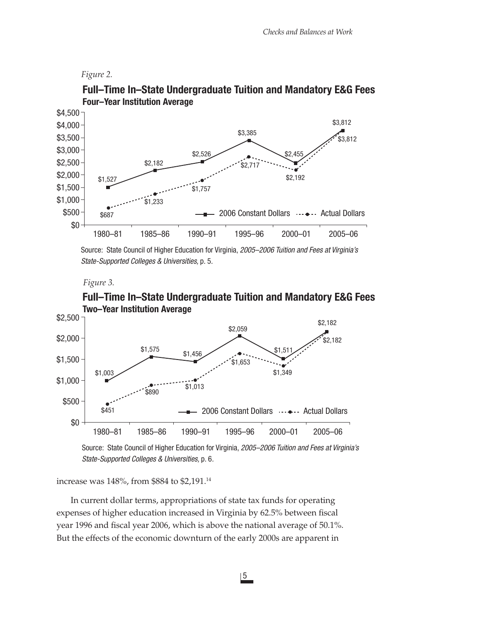## *Figure 2.*



# **Full–Time In–State Undergraduate Tuition and Mandatory E&G Fees Four–Year Institution Average**

Source: State Council of Higher Education for Virginia, *2005–2006 Tuition and Fees at Virginia's State-Supported Colleges & Universities,* p. 5*.*

#### *Figure 3.*



# **Full–Time In–State Undergraduate Tuition and Mandatory E&G Fees**

Source: State Council of Higher Education for Virginia, *2005–2006 Tuition and Fees at Virginia's State-Supported Colleges & Universities,* p. 6*.*

increase was 148%, from \$884 to \$2,191.14

In current dollar terms, appropriations of state tax funds for operating expenses of higher education increased in Virginia by 62.5% between fiscal year 1996 and fiscal year 2006, which is above the national average of 50.1%. But the effects of the economic downturn of the early 2000s are apparent in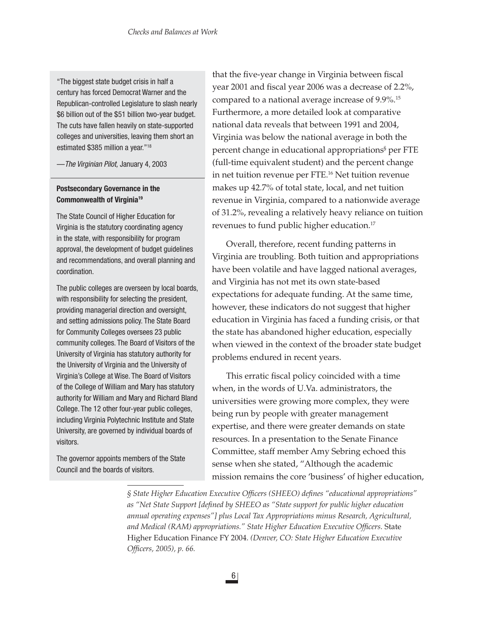"The biggest state budget crisis in half a century has forced Democrat Warner and the Republican-controlled Legislature to slash nearly \$6 billion out of the \$51 billion two-year budget. The cuts have fallen heavily on state-supported colleges and universities, leaving them short an estimated \$385 million a year."18

—*The Virginian Pilot,* January 4, 2003

# **Postsecondary Governance in the Commonwealth of Virginia19**

The State Council of Higher Education for Virginia is the statutory coordinating agency in the state, with responsibility for program approval, the development of budget guidelines and recommendations, and overall planning and coordination.

The public colleges are overseen by local boards, with responsibility for selecting the president, providing managerial direction and oversight, and setting admissions policy. The State Board for Community Colleges oversees 23 public community colleges. The Board of Visitors of the University of Virginia has statutory authority for the University of Virginia and the University of Virginia's College at Wise. The Board of Visitors of the College of William and Mary has statutory authority for William and Mary and Richard Bland College. The 12 other four-year public colleges, including Virginia Polytechnic Institute and State University, are governed by individual boards of visitors.

The governor appoints members of the State Council and the boards of visitors.

that the five-year change in Virginia between fiscal year 2001 and fiscal year 2006 was a decrease of 2.2%, compared to a national average increase of 9.9%.<sup>15</sup> Furthermore, a more detailed look at comparative national data reveals that between 1991 and 2004, Virginia was below the national average in both the percent change in educational appropriations§ per FTE (full-time equivalent student) and the percent change in net tuition revenue per FTE.16 Net tuition revenue makes up 42.7% of total state, local, and net tuition revenue in Virginia, compared to a nationwide average of 31.2%, revealing a relatively heavy reliance on tuition revenues to fund public higher education.<sup>17</sup>

Overall, therefore, recent funding patterns in Virginia are troubling. Both tuition and appropriations have been volatile and have lagged national averages, and Virginia has not met its own state-based expectations for adequate funding. At the same time, however, these indicators do not suggest that higher education in Virginia has faced a funding crisis, or that the state has abandoned higher education, especially when viewed in the context of the broader state budget problems endured in recent years.

This erratic fiscal policy coincided with a time when, in the words of U.Va. administrators, the universities were growing more complex, they were being run by people with greater management expertise, and there were greater demands on state resources. In a presentation to the Senate Finance Committee, staff member Amy Sebring echoed this sense when she stated, "Although the academic mission remains the core 'business' of higher education,

§ State Higher Education Executive Officers (SHEEO) defines "educational appropriations" as "Net State Support [defined by SHEEO as "State support for public higher education *annual operating expenses"] plus Local Tax Appropriations minus Research, Agricultural,*  and Medical (RAM) appropriations." State Higher Education Executive Officers. State Higher Education Finance FY 2004. *(Denver, CO: State Higher Education Executive Offi cers, 2005), p. 66.*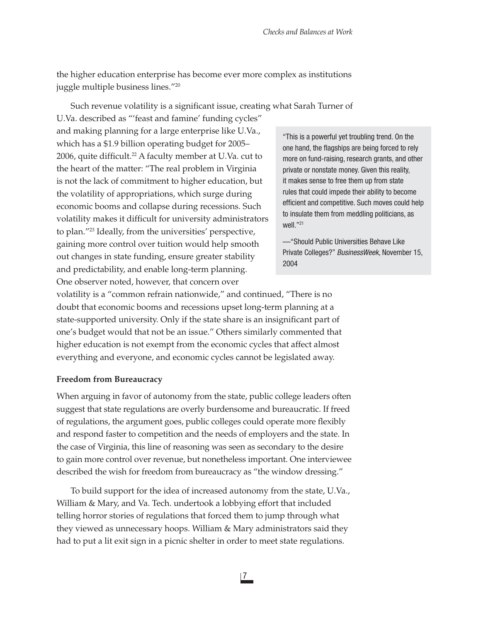the higher education enterprise has become ever more complex as institutions juggle multiple business lines."20

Such revenue volatility is a significant issue, creating what Sarah Turner of

U.Va. described as "'feast and famine' funding cycles" and making planning for a large enterprise like U.Va., which has a \$1.9 billion operating budget for 2005– 2006, quite difficult.<sup>22</sup> A faculty member at U.Va. cut to the heart of the matter: "The real problem in Virginia is not the lack of commitment to higher education, but the volatility of appropriations, which surge during economic booms and collapse during recessions. Such volatility makes it difficult for university administrators to plan."23 Ideally, from the universities' perspective, gaining more control over tuition would help smooth out changes in state funding, ensure greater stability and predictability, and enable long-term planning. One observer noted, however, that concern over

"This is a powerful yet troubling trend. On the one hand, the flagships are being forced to rely more on fund-raising, research grants, and other private or nonstate money. Given this reality, it makes sense to free them up from state rules that could impede their ability to become efficient and competitive. Such moves could help to insulate them from meddling politicians, as well."21

—"Should Public Universities Behave Like Private Colleges?" *BusinessWeek*, November 15, 2004

volatility is a "common refrain nationwide," and continued, "There is no doubt that economic booms and recessions upset long-term planning at a state-supported university. Only if the state share is an insignificant part of one's budget would that not be an issue." Others similarly commented that higher education is not exempt from the economic cycles that affect almost everything and everyone, and economic cycles cannot be legislated away.

## **Freedom from Bureaucracy**

When arguing in favor of autonomy from the state, public college leaders often suggest that state regulations are overly burdensome and bureaucratic. If freed of regulations, the argument goes, public colleges could operate more flexibly and respond faster to competition and the needs of employers and the state. In the case of Virginia, this line of reasoning was seen as secondary to the desire to gain more control over revenue, but nonetheless important. One interviewee described the wish for freedom from bureaucracy as "the window dressing."

To build support for the idea of increased autonomy from the state, U.Va., William & Mary, and Va. Tech. undertook a lobbying effort that included telling horror stories of regulations that forced them to jump through what they viewed as unnecessary hoops. William & Mary administrators said they had to put a lit exit sign in a picnic shelter in order to meet state regulations.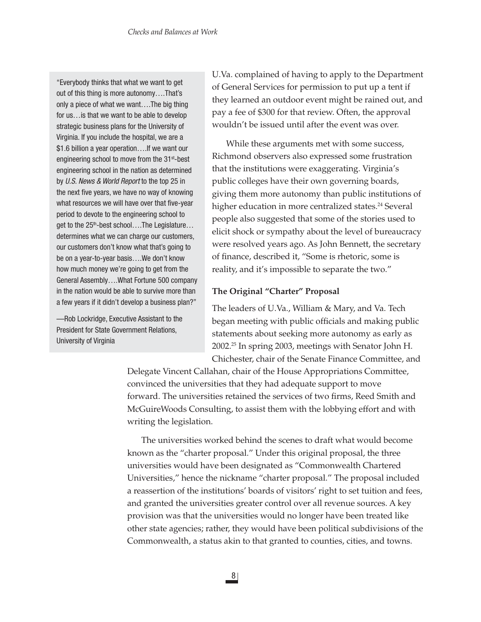"Everybody thinks that what we want to get out of this thing is more autonomy….That's only a piece of what we want….The big thing for us…is that we want to be able to develop strategic business plans for the University of Virginia. If you include the hospital, we are a \$1.6 billion a year operation….If we want our engineering school to move from the 31<sup>st</sup>-best engineering school in the nation as determined by *U.S. News & World Report* to the top 25 in the next five years, we have no way of knowing what resources we will have over that five-year period to devote to the engineering school to get to the 25<sup>th</sup>-best school....The Legislature... determines what we can charge our customers, our customers don't know what that's going to be on a year-to-year basis….We don't know how much money we're going to get from the General Assembly….What Fortune 500 company in the nation would be able to survive more than a few years if it didn't develop a business plan?"

—Rob Lockridge, Executive Assistant to the President for State Government Relations, University of Virginia

U.Va. complained of having to apply to the Department of General Services for permission to put up a tent if they learned an outdoor event might be rained out, and pay a fee of \$300 for that review. Often, the approval wouldn't be issued until after the event was over.

While these arguments met with some success, Richmond observers also expressed some frustration that the institutions were exaggerating. Virginia's public colleges have their own governing boards, giving them more autonomy than public institutions of higher education in more centralized states.<sup>24</sup> Several people also suggested that some of the stories used to elicit shock or sympathy about the level of bureaucracy were resolved years ago. As John Bennett, the secretary of finance, described it, "Some is rhetoric, some is reality, and it's impossible to separate the two."

# **The Original "Charter" Proposal**

The leaders of U.Va., William & Mary, and Va. Tech began meeting with public officials and making public statements about seeking more autonomy as early as 2002.25 In spring 2003, meetings with Senator John H. Chichester, chair of the Senate Finance Committee, and

Delegate Vincent Callahan, chair of the House Appropriations Committee, convinced the universities that they had adequate support to move forward. The universities retained the services of two firms, Reed Smith and McGuireWoods Consulting, to assist them with the lobbying effort and with writing the legislation.

The universities worked behind the scenes to draft what would become known as the "charter proposal." Under this original proposal, the three universities would have been designated as "Commonwealth Chartered Universities," hence the nickname "charter proposal." The proposal included a reassertion of the institutions' boards of visitors' right to set tuition and fees, and granted the universities greater control over all revenue sources. A key provision was that the universities would no longer have been treated like other state agencies; rather, they would have been political subdivisions of the Commonwealth, a status akin to that granted to counties, cities, and towns.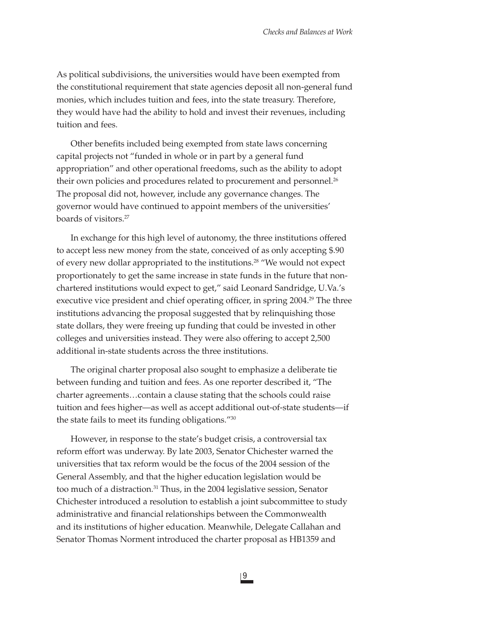As political subdivisions, the universities would have been exempted from the constitutional requirement that state agencies deposit all non-general fund monies, which includes tuition and fees, into the state treasury. Therefore, they would have had the ability to hold and invest their revenues, including tuition and fees.

Other benefits included being exempted from state laws concerning capital projects not "funded in whole or in part by a general fund appropriation" and other operational freedoms, such as the ability to adopt their own policies and procedures related to procurement and personnel.<sup>26</sup> The proposal did not, however, include any governance changes. The governor would have continued to appoint members of the universities' boards of visitors.27

In exchange for this high level of autonomy, the three institutions offered to accept less new money from the state, conceived of as only accepting \$.90 of every new dollar appropriated to the institutions.28 "We would not expect proportionately to get the same increase in state funds in the future that nonchartered institutions would expect to get," said Leonard Sandridge, U.Va.'s executive vice president and chief operating officer, in spring 2004.<sup>29</sup> The three institutions advancing the proposal suggested that by relinquishing those state dollars, they were freeing up funding that could be invested in other colleges and universities instead. They were also offering to accept 2,500 additional in-state students across the three institutions.

The original charter proposal also sought to emphasize a deliberate tie between funding and tuition and fees. As one reporter described it, "The charter agreements…contain a clause stating that the schools could raise tuition and fees higher—as well as accept additional out-of-state students—if the state fails to meet its funding obligations."30

However, in response to the state's budget crisis, a controversial tax reform effort was underway. By late 2003, Senator Chichester warned the universities that tax reform would be the focus of the 2004 session of the General Assembly, and that the higher education legislation would be too much of a distraction.<sup>31</sup> Thus, in the 2004 legislative session, Senator Chichester introduced a resolution to establish a joint subcommittee to study administrative and financial relationships between the Commonwealth and its institutions of higher education. Meanwhile, Delegate Callahan and Senator Thomas Norment introduced the charter proposal as HB1359 and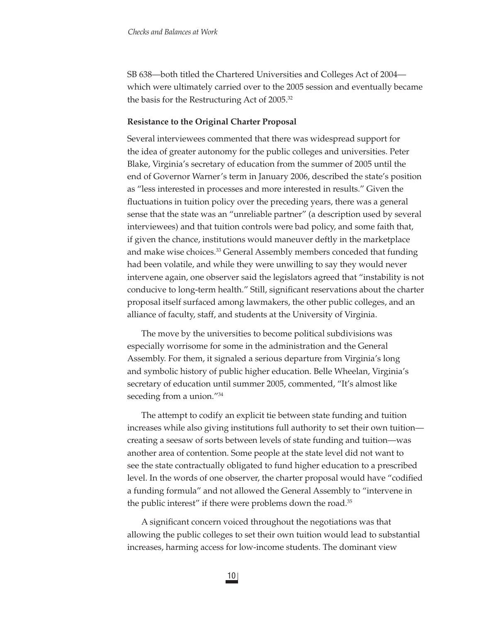SB 638—both titled the Chartered Universities and Colleges Act of 2004 which were ultimately carried over to the 2005 session and eventually became the basis for the Restructuring Act of 2005.32

# **Resistance to the Original Charter Proposal**

Several interviewees commented that there was widespread support for the idea of greater autonomy for the public colleges and universities. Peter Blake, Virginia's secretary of education from the summer of 2005 until the end of Governor Warner's term in January 2006, described the state's position as "less interested in processes and more interested in results." Given the fluctuations in tuition policy over the preceding years, there was a general sense that the state was an "unreliable partner" (a description used by several interviewees) and that tuition controls were bad policy, and some faith that, if given the chance, institutions would maneuver deftly in the marketplace and make wise choices.<sup>33</sup> General Assembly members conceded that funding had been volatile, and while they were unwilling to say they would never intervene again, one observer said the legislators agreed that "instability is not conducive to long-term health." Still, significant reservations about the charter proposal itself surfaced among lawmakers, the other public colleges, and an alliance of faculty, staff, and students at the University of Virginia.

The move by the universities to become political subdivisions was especially worrisome for some in the administration and the General Assembly. For them, it signaled a serious departure from Virginia's long and symbolic history of public higher education. Belle Wheelan, Virginia's secretary of education until summer 2005, commented, "It's almost like seceding from a union."<sup>34</sup>

The attempt to codify an explicit tie between state funding and tuition increases while also giving institutions full authority to set their own tuition creating a seesaw of sorts between levels of state funding and tuition—was another area of contention. Some people at the state level did not want to see the state contractually obligated to fund higher education to a prescribed level. In the words of one observer, the charter proposal would have "codified a funding formula" and not allowed the General Assembly to "intervene in the public interest" if there were problems down the road.<sup>35</sup>

A significant concern voiced throughout the negotiations was that allowing the public colleges to set their own tuition would lead to substantial increases, harming access for low-income students. The dominant view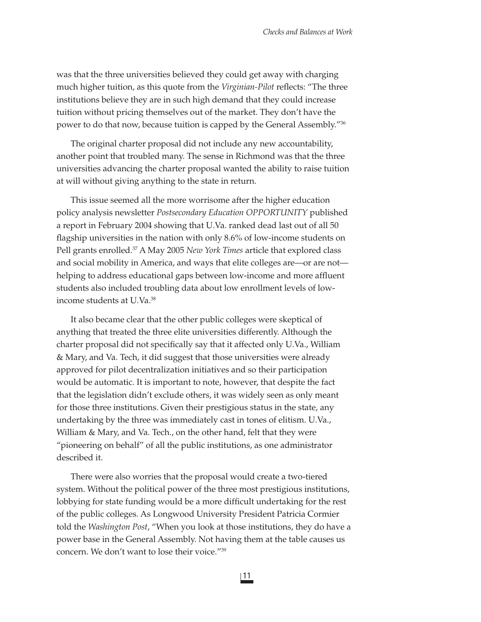was that the three universities believed they could get away with charging much higher tuition, as this quote from the *Virginian-Pilot* reflects: "The three institutions believe they are in such high demand that they could increase tuition without pricing themselves out of the market. They don't have the power to do that now, because tuition is capped by the General Assembly."36

The original charter proposal did not include any new accountability, another point that troubled many. The sense in Richmond was that the three universities advancing the charter proposal wanted the ability to raise tuition at will without giving anything to the state in return.

This issue seemed all the more worrisome after the higher education policy analysis newsletter *Postsecondary Education OPPORTUNITY* published a report in February 2004 showing that U.Va. ranked dead last out of all 50 flagship universities in the nation with only 8.6% of low-income students on Pell grants enrolled.37 A May 2005 *New York Times* article that explored class and social mobility in America, and ways that elite colleges are—or are not helping to address educational gaps between low-income and more affluent students also included troubling data about low enrollment levels of lowincome students at U.Va.38

It also became clear that the other public colleges were skeptical of anything that treated the three elite universities differently. Although the charter proposal did not specifically say that it affected only U.Va., William & Mary, and Va. Tech, it did suggest that those universities were already approved for pilot decentralization initiatives and so their participation would be automatic. It is important to note, however, that despite the fact that the legislation didn't exclude others, it was widely seen as only meant for those three institutions. Given their prestigious status in the state, any undertaking by the three was immediately cast in tones of elitism. U.Va., William & Mary, and Va. Tech., on the other hand, felt that they were "pioneering on behalf" of all the public institutions, as one administrator described it.

There were also worries that the proposal would create a two-tiered system. Without the political power of the three most prestigious institutions, lobbying for state funding would be a more difficult undertaking for the rest of the public colleges. As Longwood University President Patricia Cormier told the *Washington Post*, "When you look at those institutions, they do have a power base in the General Assembly. Not having them at the table causes us concern. We don't want to lose their voice."39

11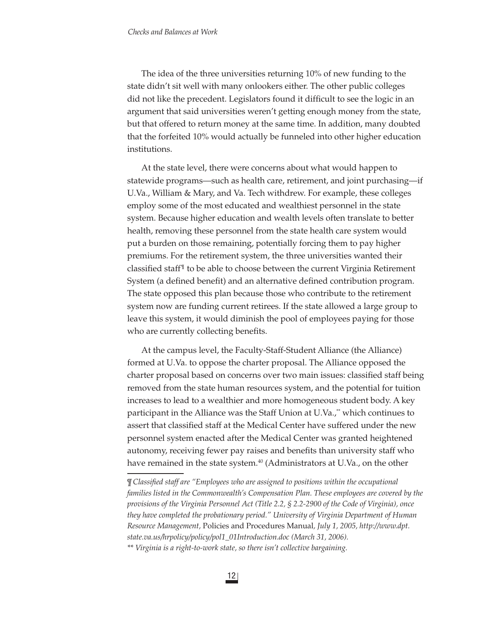The idea of the three universities returning 10% of new funding to the state didn't sit well with many onlookers either. The other public colleges did not like the precedent. Legislators found it difficult to see the logic in an argument that said universities weren't getting enough money from the state, but that offered to return money at the same time. In addition, many doubted that the forfeited 10% would actually be funneled into other higher education institutions.

At the state level, there were concerns about what would happen to statewide programs—such as health care, retirement, and joint purchasing—if U.Va., William & Mary, and Va. Tech withdrew. For example, these colleges employ some of the most educated and wealthiest personnel in the state system. Because higher education and wealth levels often translate to better health, removing these personnel from the state health care system would put a burden on those remaining, potentially forcing them to pay higher premiums. For the retirement system, the three universities wanted their classified staff $\mathbb{I}$  to be able to choose between the current Virginia Retirement System (a defined benefit) and an alternative defined contribution program. The state opposed this plan because those who contribute to the retirement system now are funding current retirees. If the state allowed a large group to leave this system, it would diminish the pool of employees paying for those who are currently collecting benefits.

At the campus level, the Faculty-Staff-Student Alliance (the Alliance) formed at U.Va. to oppose the charter proposal. The Alliance opposed the charter proposal based on concerns over two main issues: classified staff being removed from the state human resources system, and the potential for tuition increases to lead to a wealthier and more homogeneous student body. A key participant in the Alliance was the Staff Union at U.Va.,\* which continues to assert that classified staff at the Medical Center have suffered under the new personnel system enacted after the Medical Center was granted heightened autonomy, receiving fewer pay raises and benefits than university staff who have remained in the state system.<sup>40</sup> (Administrators at U.Va., on the other

*<sup>¶</sup> Classified staff are "Employees who are assigned to positions within the occupational families listed in the Commonwealth's Compensation Plan. These employees are covered by the provisions of the Virginia Personnel Act (Title 2.2, § 2.2-2900 of the Code of Virginia), once they have completed the probationary period." University of Virginia Department of Human Resource Management,* Policies and Procedures Manual*, July 1, 2005, http://www.dpt. state.va.us/hrpolicy/policy/pol1\_01Introduction.doc (March 31, 2006).* 

*<sup>\*\*</sup> Virginia is a right-to-work state, so there isn't collective bargaining.*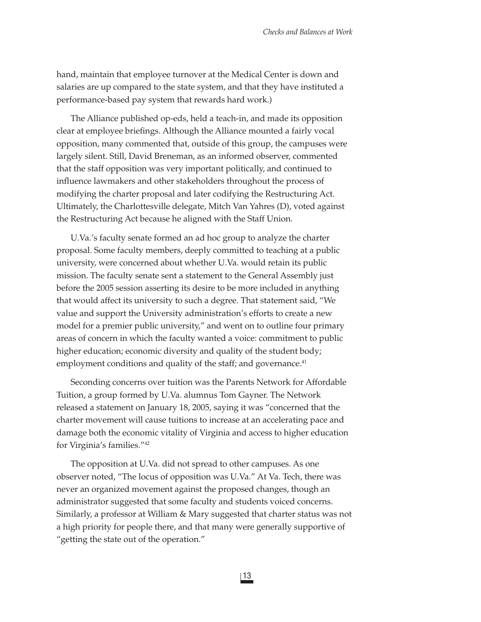hand, maintain that employee turnover at the Medical Center is down and salaries are up compared to the state system, and that they have instituted a performance-based pay system that rewards hard work.)

The Alliance published op-eds, held a teach-in, and made its opposition clear at employee briefings. Although the Alliance mounted a fairly vocal opposition, many commented that, outside of this group, the campuses were largely silent. Still, David Breneman, as an informed observer, commented that the staff opposition was very important politically, and continued to influence lawmakers and other stakeholders throughout the process of modifying the charter proposal and later codifying the Restructuring Act. Ultimately, the Charlottesville delegate, Mitch Van Yahres (D), voted against the Restructuring Act because he aligned with the Staff Union.

U.Va.'s faculty senate formed an ad hoc group to analyze the charter proposal. Some faculty members, deeply committed to teaching at a public university, were concerned about whether U.Va. would retain its public mission. The faculty senate sent a statement to the General Assembly just before the 2005 session asserting its desire to be more included in anything that would affect its university to such a degree. That statement said, "We value and support the University administration's efforts to create a new model for a premier public university," and went on to outline four primary areas of concern in which the faculty wanted a voice: commitment to public higher education; economic diversity and quality of the student body; employment conditions and quality of the staff; and governance.<sup>41</sup>

Seconding concerns over tuition was the Parents Network for Affordable Tuition, a group formed by U.Va. alumnus Tom Gayner. The Network released a statement on January 18, 2005, saying it was "concerned that the charter movement will cause tuitions to increase at an accelerating pace and damage both the economic vitality of Virginia and access to higher education for Virginia's families."42

The opposition at U.Va. did not spread to other campuses. As one observer noted, "The locus of opposition was U.Va." At Va. Tech, there was never an organized movement against the proposed changes, though an administrator suggested that some faculty and students voiced concerns. Similarly, a professor at William & Mary suggested that charter status was not a high priority for people there, and that many were generally supportive of "getting the state out of the operation."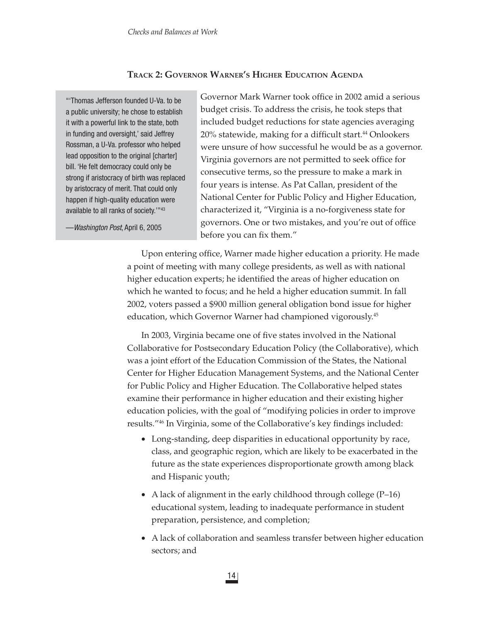# **TRACK 2: GOVERNOR WARNER'S HIGHER EDUCATION AGENDA**

"'Thomas Jefferson founded U-Va. to be a public university; he chose to establish it with a powerful link to the state, both in funding and oversight,' said Jeffrey Rossman, a U-Va. professor who helped lead opposition to the original [charter] bill. 'He felt democracy could only be strong if aristocracy of birth was replaced by aristocracy of merit. That could only happen if high-quality education were available to all ranks of society.'"43

—*Washington Post*, April 6, 2005

Governor Mark Warner took office in 2002 amid a serious budget crisis. To address the crisis, he took steps that included budget reductions for state agencies averaging 20% statewide, making for a difficult start.<sup>44</sup> Onlookers were unsure of how successful he would be as a governor. Virginia governors are not permitted to seek office for consecutive terms, so the pressure to make a mark in four years is intense. As Pat Callan, president of the National Center for Public Policy and Higher Education, characterized it, "Virginia is a no-forgiveness state for governors. One or two mistakes, and you're out of office before you can fix them."

Upon entering office, Warner made higher education a priority. He made a point of meeting with many college presidents, as well as with national higher education experts; he identified the areas of higher education on which he wanted to focus; and he held a higher education summit. In fall 2002, voters passed a \$900 million general obligation bond issue for higher education, which Governor Warner had championed vigorously.45

In 2003, Virginia became one of five states involved in the National Collaborative for Postsecondary Education Policy (the Collaborative), which was a joint effort of the Education Commission of the States, the National Center for Higher Education Management Systems, and the National Center for Public Policy and Higher Education. The Collaborative helped states examine their performance in higher education and their existing higher education policies, with the goal of "modifying policies in order to improve results."<sup>46</sup> In Virginia, some of the Collaborative's key findings included:

- Long-standing, deep disparities in educational opportunity by race, class, and geographic region, which are likely to be exacerbated in the future as the state experiences disproportionate growth among black and Hispanic youth;
- A lack of alignment in the early childhood through college  $(P-16)$ educational system, leading to inadequate performance in student preparation, persistence, and completion;
- A lack of collaboration and seamless transfer between higher education sectors; and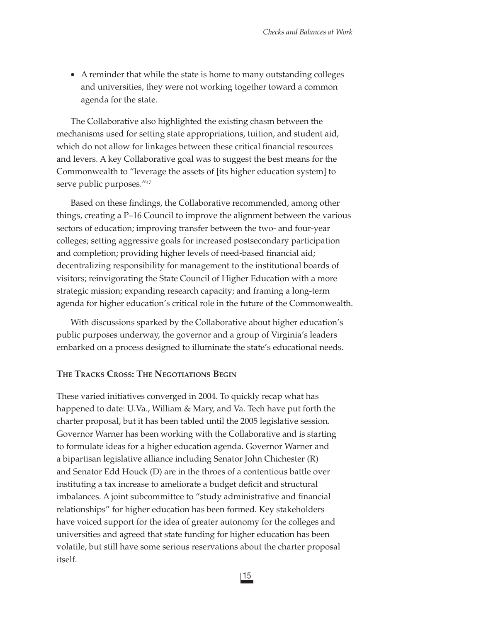• A reminder that while the state is home to many outstanding colleges and universities, they were not working together toward a common agenda for the state.

The Collaborative also highlighted the existing chasm between the mechanisms used for setting state appropriations, tuition, and student aid, which do not allow for linkages between these critical financial resources and levers. A key Collaborative goal was to suggest the best means for the Commonwealth to "leverage the assets of [its higher education system] to serve public purposes."<sup>47</sup>

Based on these findings, the Collaborative recommended, among other things, creating a P–16 Council to improve the alignment between the various sectors of education; improving transfer between the two- and four-year colleges; setting aggressive goals for increased postsecondary participation and completion; providing higher levels of need-based financial aid; decentralizing responsibility for management to the institutional boards of visitors; reinvigorating the State Council of Higher Education with a more strategic mission; expanding research capacity; and framing a long-term agenda for higher education's critical role in the future of the Commonwealth.

With discussions sparked by the Collaborative about higher education's public purposes underway, the governor and a group of Virginia's leaders embarked on a process designed to illuminate the state's educational needs.

# **THE TRACKS CROSS: THE NEGOTIATIONS BEGIN**

These varied initiatives converged in 2004. To quickly recap what has happened to date: U.Va., William & Mary, and Va. Tech have put forth the charter proposal, but it has been tabled until the 2005 legislative session. Governor Warner has been working with the Collaborative and is starting to formulate ideas for a higher education agenda. Governor Warner and a bipartisan legislative alliance including Senator John Chichester (R) and Senator Edd Houck (D) are in the throes of a contentious battle over instituting a tax increase to ameliorate a budget deficit and structural imbalances. A joint subcommittee to "study administrative and financial relationships" for higher education has been formed. Key stakeholders have voiced support for the idea of greater autonomy for the colleges and universities and agreed that state funding for higher education has been volatile, but still have some serious reservations about the charter proposal itself.

15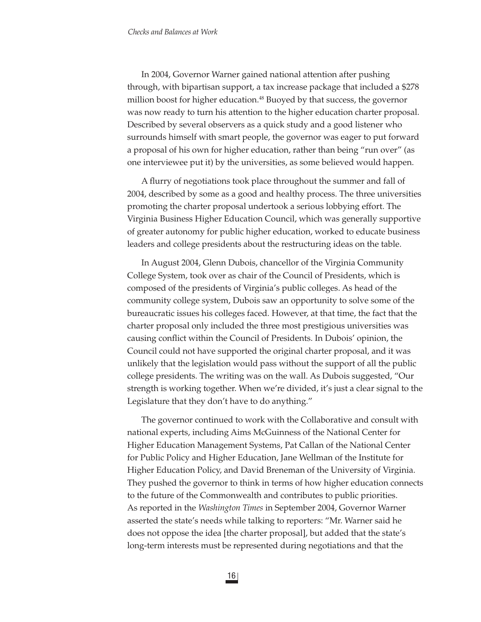In 2004, Governor Warner gained national attention after pushing through, with bipartisan support, a tax increase package that included a \$278 million boost for higher education.<sup>48</sup> Buoyed by that success, the governor was now ready to turn his attention to the higher education charter proposal. Described by several observers as a quick study and a good listener who surrounds himself with smart people, the governor was eager to put forward a proposal of his own for higher education, rather than being "run over" (as one interviewee put it) by the universities, as some believed would happen.

A flurry of negotiations took place throughout the summer and fall of 2004, described by some as a good and healthy process. The three universities promoting the charter proposal undertook a serious lobbying effort. The Virginia Business Higher Education Council, which was generally supportive of greater autonomy for public higher education, worked to educate business leaders and college presidents about the restructuring ideas on the table.

In August 2004, Glenn Dubois, chancellor of the Virginia Community College System, took over as chair of the Council of Presidents, which is composed of the presidents of Virginia's public colleges. As head of the community college system, Dubois saw an opportunity to solve some of the bureaucratic issues his colleges faced. However, at that time, the fact that the charter proposal only included the three most prestigious universities was causing conflict within the Council of Presidents. In Dubois' opinion, the Council could not have supported the original charter proposal, and it was unlikely that the legislation would pass without the support of all the public college presidents. The writing was on the wall. As Dubois suggested, "Our strength is working together. When we're divided, it's just a clear signal to the Legislature that they don't have to do anything."

The governor continued to work with the Collaborative and consult with national experts, including Aims McGuinness of the National Center for Higher Education Management Systems, Pat Callan of the National Center for Public Policy and Higher Education, Jane Wellman of the Institute for Higher Education Policy, and David Breneman of the University of Virginia. They pushed the governor to think in terms of how higher education connects to the future of the Commonwealth and contributes to public priorities. As reported in the *Washington Times* in September 2004, Governor Warner asserted the state's needs while talking to reporters: "Mr. Warner said he does not oppose the idea [the charter proposal], but added that the state's long-term interests must be represented during negotiations and that the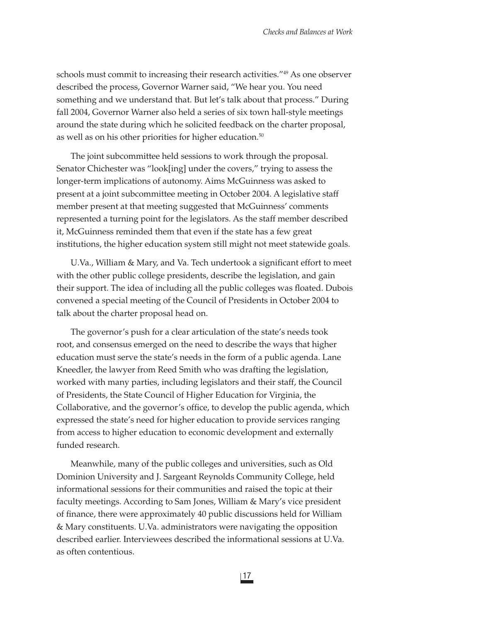schools must commit to increasing their research activities."49 As one observer described the process, Governor Warner said, "We hear you. You need something and we understand that. But let's talk about that process." During fall 2004, Governor Warner also held a series of six town hall-style meetings around the state during which he solicited feedback on the charter proposal, as well as on his other priorities for higher education.<sup>50</sup>

The joint subcommittee held sessions to work through the proposal. Senator Chichester was "look[ing] under the covers," trying to assess the longer-term implications of autonomy. Aims McGuinness was asked to present at a joint subcommittee meeting in October 2004. A legislative staff member present at that meeting suggested that McGuinness' comments represented a turning point for the legislators. As the staff member described it, McGuinness reminded them that even if the state has a few great institutions, the higher education system still might not meet statewide goals.

U.Va., William & Mary, and Va. Tech undertook a significant effort to meet with the other public college presidents, describe the legislation, and gain their support. The idea of including all the public colleges was floated. Dubois convened a special meeting of the Council of Presidents in October 2004 to talk about the charter proposal head on.

The governor's push for a clear articulation of the state's needs took root, and consensus emerged on the need to describe the ways that higher education must serve the state's needs in the form of a public agenda. Lane Kneedler, the lawyer from Reed Smith who was drafting the legislation, worked with many parties, including legislators and their staff, the Council of Presidents, the State Council of Higher Education for Virginia, the Collaborative, and the governor's office, to develop the public agenda, which expressed the state's need for higher education to provide services ranging from access to higher education to economic development and externally funded research.

Meanwhile, many of the public colleges and universities, such as Old Dominion University and J. Sargeant Reynolds Community College, held informational sessions for their communities and raised the topic at their faculty meetings. According to Sam Jones, William & Mary's vice president of finance, there were approximately 40 public discussions held for William & Mary constituents. U.Va. administrators were navigating the opposition described earlier. Interviewees described the informational sessions at U.Va. as often contentious.

17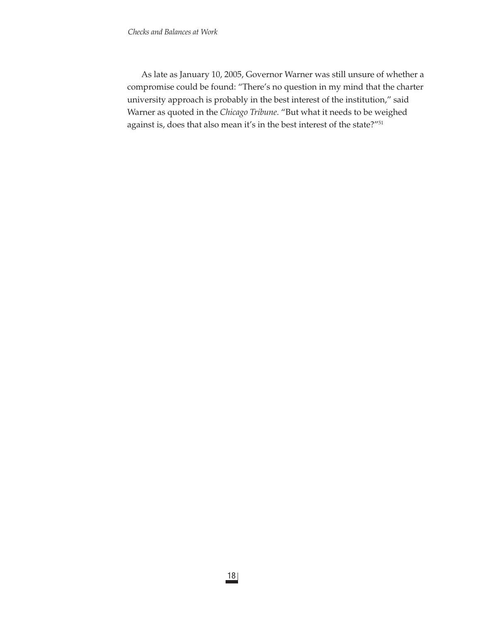As late as January 10, 2005, Governor Warner was still unsure of whether a compromise could be found: "There's no question in my mind that the charter university approach is probably in the best interest of the institution," said Warner as quoted in the *Chicago Tribune*. "But what it needs to be weighed against is, does that also mean it's in the best interest of the state?"<sup>51</sup>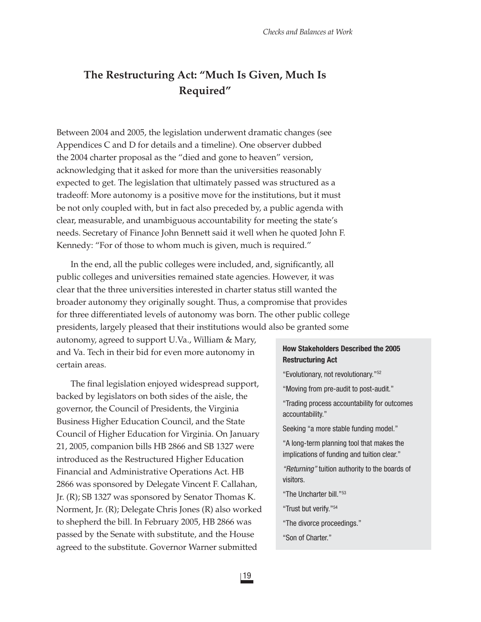# **The Restructuring Act: "Much Is Given, Much Is Required"**

Between 2004 and 2005, the legislation underwent dramatic changes (see Appendices C and D for details and a timeline). One observer dubbed the 2004 charter proposal as the "died and gone to heaven" version, acknowledging that it asked for more than the universities reasonably expected to get. The legislation that ultimately passed was structured as a tradeoff: More autonomy is a positive move for the institutions, but it must be not only coupled with, but in fact also preceded by, a public agenda with clear, measurable, and unambiguous accountability for meeting the state's needs. Secretary of Finance John Bennett said it well when he quoted John F. Kennedy: "For of those to whom much is given, much is required."

In the end, all the public colleges were included, and, significantly, all public colleges and universities remained state agencies. However, it was clear that the three universities interested in charter status still wanted the broader autonomy they originally sought. Thus, a compromise that provides for three differentiated levels of autonomy was born. The other public college presidents, largely pleased that their institutions would also be granted some

autonomy, agreed to support U.Va., William & Mary, and Va. Tech in their bid for even more autonomy in certain areas.

The final legislation enjoyed widespread support, backed by legislators on both sides of the aisle, the governor, the Council of Presidents, the Virginia Business Higher Education Council, and the State Council of Higher Education for Virginia. On January 21, 2005, companion bills HB 2866 and SB 1327 were introduced as the Restructured Higher Education Financial and Administrative Operations Act. HB 2866 was sponsored by Delegate Vincent F. Callahan, Jr. (R); SB 1327 was sponsored by Senator Thomas K. Norment, Jr. (R); Delegate Chris Jones (R) also worked to shepherd the bill. In February 2005, HB 2866 was passed by the Senate with substitute, and the House agreed to the substitute. Governor Warner submitted

# **How Stakeholders Described the 2005 Restructuring Act**

"Evolutionary, not revolutionary."52

"Moving from pre-audit to post-audit."

"Trading process accountability for outcomes accountability."

Seeking "a more stable funding model."

"A long-term planning tool that makes the implications of funding and tuition clear."

*"Returning"* tuition authority to the boards of visitors.

"The Uncharter bill."53

"Trust but verify."54

"The divorce proceedings."

"Son of Charter."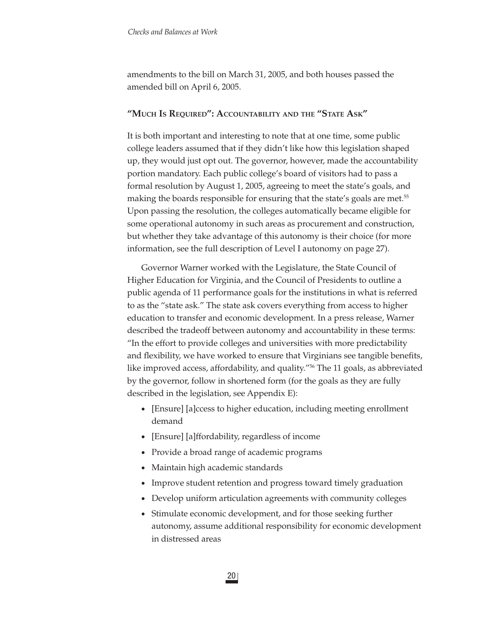amendments to the bill on March 31, 2005, and both houses passed the amended bill on April 6, 2005.

# **"MUCH IS REQUIRED": ACCOUNTABILITY AND THE "STATE ASK"**

It is both important and interesting to note that at one time, some public college leaders assumed that if they didn't like how this legislation shaped up, they would just opt out. The governor, however, made the accountability portion mandatory. Each public college's board of visitors had to pass a formal resolution by August 1, 2005, agreeing to meet the state's goals, and making the boards responsible for ensuring that the state's goals are met.<sup>55</sup> Upon passing the resolution, the colleges automatically became eligible for some operational autonomy in such areas as procurement and construction, but whether they take advantage of this autonomy is their choice (for more information, see the full description of Level I autonomy on page 27).

Governor Warner worked with the Legislature, the State Council of Higher Education for Virginia, and the Council of Presidents to outline a public agenda of 11 performance goals for the institutions in what is referred to as the "state ask." The state ask covers everything from access to higher education to transfer and economic development. In a press release, Warner described the tradeoff between autonomy and accountability in these terms: "In the effort to provide colleges and universities with more predictability and flexibility, we have worked to ensure that Virginians see tangible benefits, like improved access, affordability, and quality."56 The 11 goals, as abbreviated by the governor, follow in shortened form (for the goals as they are fully described in the legislation, see Appendix E):

- [Ensure] [a]ccess to higher education, including meeting enrollment demand
- [Ensure] [a]ffordability, regardless of income
- Provide a broad range of academic programs
- Maintain high academic standards
- Improve student retention and progress toward timely graduation
- Develop uniform articulation agreements with community colleges
- Stimulate economic development, and for those seeking further autonomy, assume additional responsibility for economic development in distressed areas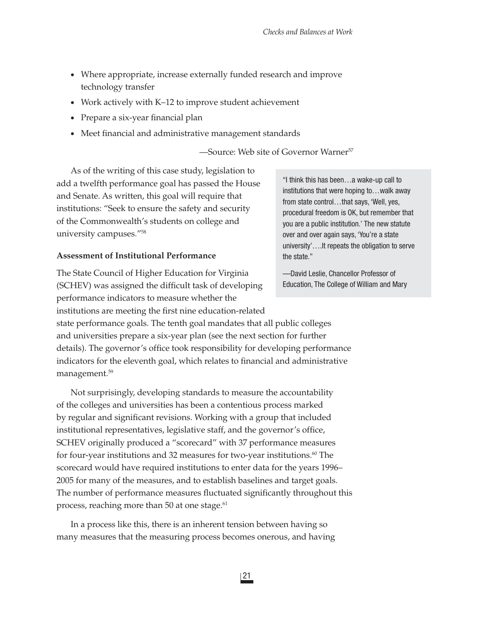- Where appropriate, increase externally funded research and improve technology transfer
- Work actively with K–12 to improve student achievement
- Prepare a six-year financial plan
- Meet financial and administrative management standards

—Source: Web site of Governor Warner57

As of the writing of this case study, legislation to add a twelfth performance goal has passed the House and Senate. As written, this goal will require that institutions: "Seek to ensure the safety and security of the Commonwealth's students on college and university campuses."58

# **Assessment of Institutional Performance**

management.59

The State Council of Higher Education for Virginia (SCHEV) was assigned the difficult task of developing performance indicators to measure whether the institutions are meeting the first nine education-related state performance goals. The tenth goal mandates that all public colleges and universities prepare a six-year plan (see the next section for further details). The governor's office took responsibility for developing performance indicators for the eleventh goal, which relates to financial and administrative

Not surprisingly, developing standards to measure the accountability of the colleges and universities has been a contentious process marked by regular and significant revisions. Working with a group that included institutional representatives, legislative staff, and the governor's office, SCHEV originally produced a "scorecard" with 37 performance measures for four-year institutions and 32 measures for two-year institutions. $60$  The scorecard would have required institutions to enter data for the years 1996– 2005 for many of the measures, and to establish baselines and target goals. The number of performance measures fluctuated significantly throughout this process, reaching more than 50 at one stage.<sup>61</sup>

In a process like this, there is an inherent tension between having so many measures that the measuring process becomes onerous, and having

"I think this has been…a wake-up call to institutions that were hoping to…walk away from state control...that says, 'Well, yes, procedural freedom is OK, but remember that you are a public institution.' The new statute over and over again says, 'You're a state university'….It repeats the obligation to serve the state."

—David Leslie, Chancellor Professor of Education, The College of William and Mary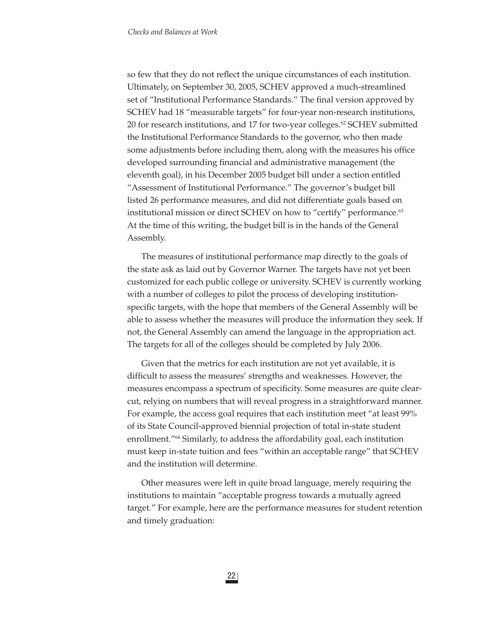so few that they do not reflect the unique circumstances of each institution. Ultimately, on September 30, 2005, SCHEV approved a much-streamlined set of "Institutional Performance Standards." The final version approved by SCHEV had 18 "measurable targets" for four-year non-research institutions, 20 for research institutions, and 17 for two-year colleges.<sup>62</sup> SCHEV submitted the Institutional Performance Standards to the governor, who then made some adjustments before including them, along with the measures his office developed surrounding financial and administrative management (the eleventh goal), in his December 2005 budget bill under a section entitled "Assessment of Institutional Performance." The governor's budget bill listed 26 performance measures, and did not differentiate goals based on institutional mission or direct SCHEV on how to "certify" performance.<sup>63</sup> At the time of this writing, the budget bill is in the hands of the General Assembly.

The measures of institutional performance map directly to the goals of the state ask as laid out by Governor Warner. The targets have not yet been customized for each public college or university. SCHEV is currently working with a number of colleges to pilot the process of developing institutionspecific targets, with the hope that members of the General Assembly will be able to assess whether the measures will produce the information they seek. If not, the General Assembly can amend the language in the appropriation act. The targets for all of the colleges should be completed by July 2006.

Given that the metrics for each institution are not yet available, it is difficult to assess the measures' strengths and weaknesses. However, the measures encompass a spectrum of specificity. Some measures are quite clearcut, relying on numbers that will reveal progress in a straightforward manner. For example, the access goal requires that each institution meet "at least 99% of its State Council-approved biennial projection of total in-state student enrollment."64 Similarly, to address the affordability goal, each institution must keep in-state tuition and fees "within an acceptable range" that SCHEV and the institution will determine.

Other measures were left in quite broad language, merely requiring the institutions to maintain "acceptable progress towards a mutually agreed target." For example, here are the performance measures for student retention and timely graduation: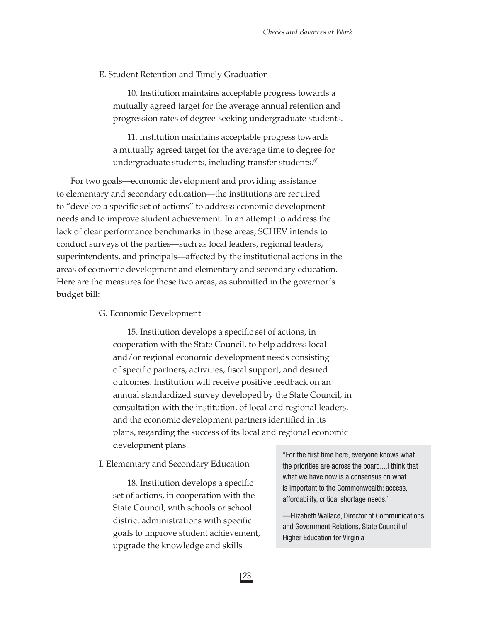#### E. Student Retention and Timely Graduation

10. Institution maintains acceptable progress towards a mutually agreed target for the average annual retention and progression rates of degree-seeking undergraduate students.

11. Institution maintains acceptable progress towards a mutually agreed target for the average time to degree for undergraduate students, including transfer students.<sup>65</sup>

For two goals—economic development and providing assistance to elementary and secondary education—the institutions are required to "develop a specific set of actions" to address economic development needs and to improve student achievement. In an attempt to address the lack of clear performance benchmarks in these areas, SCHEV intends to conduct surveys of the parties—such as local leaders, regional leaders, superintendents, and principals—affected by the institutional actions in the areas of economic development and elementary and secondary education. Here are the measures for those two areas, as submitted in the governor's budget bill:

G. Economic Development

15. Institution develops a specific set of actions, in cooperation with the State Council, to help address local and/or regional economic development needs consisting of specific partners, activities, fiscal support, and desired outcomes. Institution will receive positive feedback on an annual standardized survey developed by the State Council, in consultation with the institution, of local and regional leaders, and the economic development partners identified in its plans, regarding the success of its local and regional economic development plans.

I. Elementary and Secondary Education

18. Institution develops a specific set of actions, in cooperation with the State Council, with schools or school district administrations with specific goals to improve student achievement, upgrade the knowledge and skills

"For the first time here, everyone knows what the priorities are across the board....I think that what we have now is a consensus on what is important to the Commonwealth: access, affordability, critical shortage needs."

—Elizabeth Wallace, Director of Communications and Government Relations, State Council of Higher Education for Virginia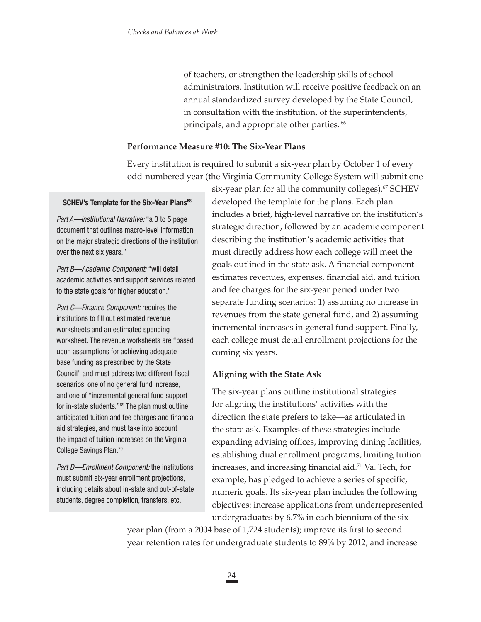of teachers, or strengthen the leadership skills of school administrators. Institution will receive positive feedback on an annual standardized survey developed by the State Council, in consultation with the institution, of the superintendents, principals, and appropriate other parties.<sup>66</sup>

# **Performance Measure #10: The Six-Year Plans**

Every institution is required to submit a six-year plan by October 1 of every odd-numbered year (the Virginia Community College System will submit one

# **SCHEV's Template for the Six-Year Plans<sup>68</sup>**

*Part A—Institutional Narrative:* "a 3 to 5 page document that outlines macro-level information on the major strategic directions of the institution over the next six years."

*Part B—Academic Component:* "will detail academic activities and support services related to the state goals for higher education."

*Part C—Finance Component:* requires the institutions to fill out estimated revenue worksheets and an estimated spending worksheet. The revenue worksheets are "based upon assumptions for achieving adequate base funding as prescribed by the State Council" and must address two different fiscal scenarios: one of no general fund increase, and one of "incremental general fund support for in-state students."69 The plan must outline anticipated tuition and fee charges and financial aid strategies, and must take into account the impact of tuition increases on the Virginia College Savings Plan.70

*Part D—Enrollment Component:* the institutions must submit six-year enrollment projections, including details about in-state and out-of-state students, degree completion, transfers, etc.

six-year plan for all the community colleges).<sup>67</sup> SCHEV developed the template for the plans. Each plan includes a brief, high-level narrative on the institution's strategic direction, followed by an academic component describing the institution's academic activities that must directly address how each college will meet the goals outlined in the state ask. A financial component estimates revenues, expenses, financial aid, and tuition and fee charges for the six-year period under two separate funding scenarios: 1) assuming no increase in revenues from the state general fund, and 2) assuming incremental increases in general fund support. Finally, each college must detail enrollment projections for the coming six years.

# **Aligning with the State Ask**

The six-year plans outline institutional strategies for aligning the institutions' activities with the direction the state prefers to take—as articulated in the state ask. Examples of these strategies include expanding advising offices, improving dining facilities, establishing dual enrollment programs, limiting tuition increases, and increasing financial aid.<sup>71</sup> Va. Tech, for example, has pledged to achieve a series of specific, numeric goals. Its six-year plan includes the following objectives: increase applications from underrepresented undergraduates by 6.7% in each biennium of the six-

year plan (from a 2004 base of 1,724 students); improve its first to second year retention rates for undergraduate students to 89% by 2012; and increase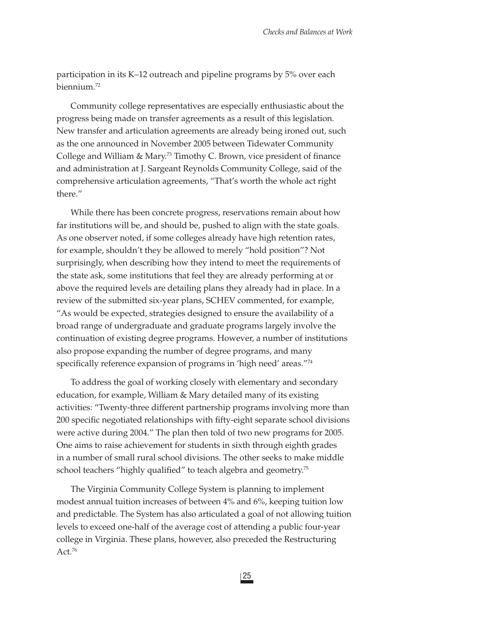participation in its K–12 outreach and pipeline programs by 5% over each biennium.72

Community college representatives are especially enthusiastic about the progress being made on transfer agreements as a result of this legislation. New transfer and articulation agreements are already being ironed out, such as the one announced in November 2005 between Tidewater Community College and William & Mary.<sup>73</sup> Timothy C. Brown, vice president of finance and administration at J. Sargeant Reynolds Community College, said of the comprehensive articulation agreements, "That's worth the whole act right there."

While there has been concrete progress, reservations remain about how far institutions will be, and should be, pushed to align with the state goals. As one observer noted, if some colleges already have high retention rates, for example, shouldn't they be allowed to merely "hold position"? Not surprisingly, when describing how they intend to meet the requirements of the state ask, some institutions that feel they are already performing at or above the required levels are detailing plans they already had in place. In a review of the submitted six-year plans, SCHEV commented, for example, "As would be expected, strategies designed to ensure the availability of a broad range of undergraduate and graduate programs largely involve the continuation of existing degree programs. However, a number of institutions also propose expanding the number of degree programs, and many specifically reference expansion of programs in 'high need' areas."74

To address the goal of working closely with elementary and secondary education, for example, William & Mary detailed many of its existing activities: "Twenty-three different partnership programs involving more than 200 specific negotiated relationships with fifty-eight separate school divisions were active during 2004." The plan then told of two new programs for 2005. One aims to raise achievement for students in sixth through eighth grades in a number of small rural school divisions. The other seeks to make middle school teachers "highly qualified" to teach algebra and geometry.<sup>75</sup>

The Virginia Community College System is planning to implement modest annual tuition increases of between 4% and 6%, keeping tuition low and predictable. The System has also articulated a goal of not allowing tuition levels to exceed one-half of the average cost of attending a public four-year college in Virginia. These plans, however, also preceded the Restructuring Act.76

25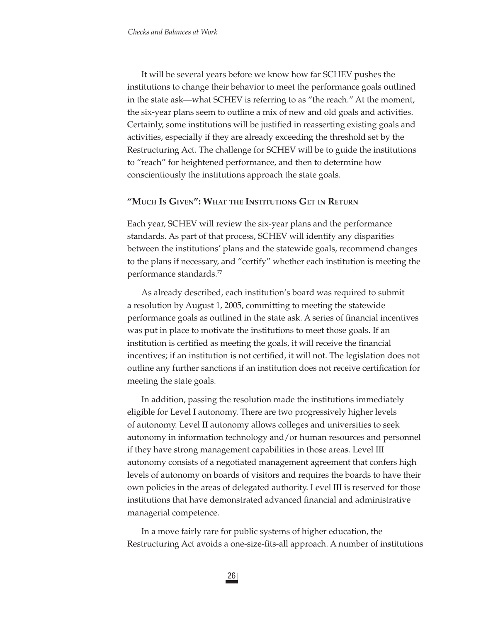It will be several years before we know how far SCHEV pushes the institutions to change their behavior to meet the performance goals outlined in the state ask—what SCHEV is referring to as "the reach." At the moment, the six-year plans seem to outline a mix of new and old goals and activities. Certainly, some institutions will be justified in reasserting existing goals and activities, especially if they are already exceeding the threshold set by the Restructuring Act. The challenge for SCHEV will be to guide the institutions to "reach" for heightened performance, and then to determine how conscientiously the institutions approach the state goals.

## **"MUCH IS GIVEN": WHAT THE INSTITUTIONS GET IN RETURN**

Each year, SCHEV will review the six-year plans and the performance standards. As part of that process, SCHEV will identify any disparities between the institutions' plans and the statewide goals, recommend changes to the plans if necessary, and "certify" whether each institution is meeting the performance standards.77

As already described, each institution's board was required to submit a resolution by August 1, 2005, committing to meeting the statewide performance goals as outlined in the state ask. A series of financial incentives was put in place to motivate the institutions to meet those goals. If an institution is certified as meeting the goals, it will receive the financial incentives; if an institution is not certified, it will not. The legislation does not outline any further sanctions if an institution does not receive certification for meeting the state goals.

In addition, passing the resolution made the institutions immediately eligible for Level I autonomy. There are two progressively higher levels of autonomy. Level II autonomy allows colleges and universities to seek autonomy in information technology and/or human resources and personnel if they have strong management capabilities in those areas. Level III autonomy consists of a negotiated management agreement that confers high levels of autonomy on boards of visitors and requires the boards to have their own policies in the areas of delegated authority. Level III is reserved for those institutions that have demonstrated advanced financial and administrative managerial competence.

In a move fairly rare for public systems of higher education, the Restructuring Act avoids a one-size-fits-all approach. A number of institutions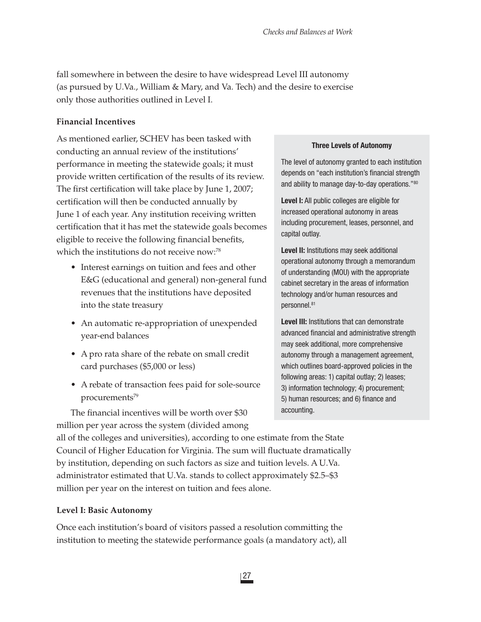fall somewhere in between the desire to have widespread Level III autonomy (as pursued by U.Va., William & Mary, and Va. Tech) and the desire to exercise only those authorities outlined in Level I.

# **Financial Incentives**

As mentioned earlier, SCHEV has been tasked with conducting an annual review of the institutions' performance in meeting the statewide goals; it must provide written certification of the results of its review. The first certification will take place by June 1, 2007; certification will then be conducted annually by June 1 of each year. Any institution receiving written certification that it has met the statewide goals becomes eligible to receive the following financial benefits, which the institutions do not receive now:<sup>78</sup>

- Interest earnings on tuition and fees and other E&G (educational and general) non-general fund revenues that the institutions have deposited into the state treasury
- An automatic re-appropriation of unexpended year-end balances
- A pro rata share of the rebate on small credit card purchases (\$5,000 or less)
- A rebate of transaction fees paid for sole-source procurements<sup>79</sup>

The financial incentives will be worth over \$30 million per year across the system (divided among

#### **Three Levels of Autonomy**

The level of autonomy granted to each institution depends on "each institution's financial strength and ability to manage day-to-day operations."80

**Level I:** All public colleges are eligible for increased operational autonomy in areas including procurement, leases, personnel, and capital outlay.

**Level II:** Institutions may seek additional operational autonomy through a memorandum of understanding (MOU) with the appropriate cabinet secretary in the areas of information technology and/or human resources and personnel.81

**Level III:** Institutions that can demonstrate advanced financial and administrative strength may seek additional, more comprehensive autonomy through a management agreement, which outlines board-approved policies in the following areas: 1) capital outlay; 2) leases; 3) information technology; 4) procurement; 5) human resources; and 6) finance and accounting.

all of the colleges and universities), according to one estimate from the State Council of Higher Education for Virginia. The sum will fluctuate dramatically by institution, depending on such factors as size and tuition levels. A U.Va. administrator estimated that U.Va. stands to collect approximately \$2.5–\$3 million per year on the interest on tuition and fees alone.

## **Level I: Basic Autonomy**

Once each institution's board of visitors passed a resolution committing the institution to meeting the statewide performance goals (a mandatory act), all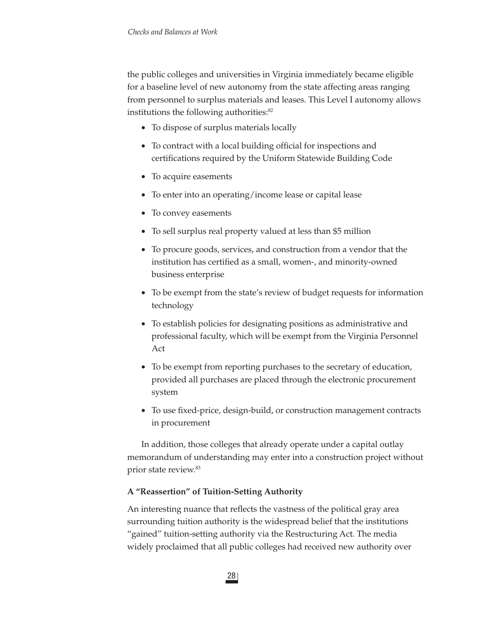the public colleges and universities in Virginia immediately became eligible for a baseline level of new autonomy from the state affecting areas ranging from personnel to surplus materials and leases. This Level I autonomy allows institutions the following authorities:<sup>82</sup>

- To dispose of surplus materials locally
- To contract with a local building official for inspections and certifications required by the Uniform Statewide Building Code
- To acquire easements
- To enter into an operating/income lease or capital lease
- To convey easements
- To sell surplus real property valued at less than \$5 million
- To procure goods, services, and construction from a vendor that the institution has certified as a small, women-, and minority-owned business enterprise
- To be exempt from the state's review of budget requests for information technology
- To establish policies for designating positions as administrative and professional faculty, which will be exempt from the Virginia Personnel Act
- To be exempt from reporting purchases to the secretary of education, provided all purchases are placed through the electronic procurement system
- To use fixed-price, design-build, or construction management contracts in procurement

In addition, those colleges that already operate under a capital outlay memorandum of understanding may enter into a construction project without prior state review.83

# **A "Reassertion" of Tuition-Setting Authority**

An interesting nuance that reflects the vastness of the political gray area surrounding tuition authority is the widespread belief that the institutions "gained" tuition-setting authority via the Restructuring Act. The media widely proclaimed that all public colleges had received new authority over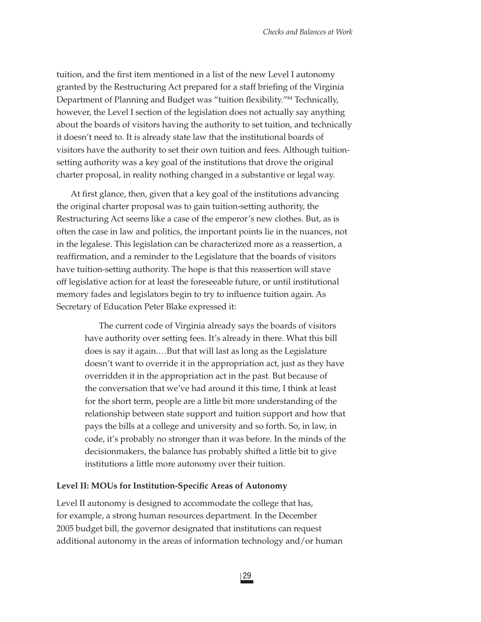tuition, and the first item mentioned in a list of the new Level I autonomy granted by the Restructuring Act prepared for a staff briefing of the Virginia Department of Planning and Budget was "tuition flexibility."<sup>84</sup> Technically, however, the Level I section of the legislation does not actually say anything about the boards of visitors having the authority to set tuition, and technically it doesn't need to. It is already state law that the institutional boards of visitors have the authority to set their own tuition and fees. Although tuitionsetting authority was a key goal of the institutions that drove the original charter proposal, in reality nothing changed in a substantive or legal way.

At first glance, then, given that a key goal of the institutions advancing the original charter proposal was to gain tuition-setting authority, the Restructuring Act seems like a case of the emperor's new clothes. But, as is often the case in law and politics, the important points lie in the nuances, not in the legalese. This legislation can be characterized more as a reassertion, a reaffirmation, and a reminder to the Legislature that the boards of visitors have tuition-setting authority. The hope is that this reassertion will stave off legislative action for at least the foreseeable future, or until institutional memory fades and legislators begin to try to influence tuition again. As Secretary of Education Peter Blake expressed it:

The current code of Virginia already says the boards of visitors have authority over setting fees. It's already in there. What this bill does is say it again.…But that will last as long as the Legislature doesn't want to override it in the appropriation act, just as they have overridden it in the appropriation act in the past. But because of the conversation that we've had around it this time, I think at least for the short term, people are a little bit more understanding of the relationship between state support and tuition support and how that pays the bills at a college and university and so forth. So, in law, in code, it's probably no stronger than it was before. In the minds of the decisionmakers, the balance has probably shifted a little bit to give institutions a little more autonomy over their tuition.

#### Level II: MOUs for Institution-Specific Areas of Autonomy

Level II autonomy is designed to accommodate the college that has, for example, a strong human resources department. In the December 2005 budget bill, the governor designated that institutions can request additional autonomy in the areas of information technology and/or human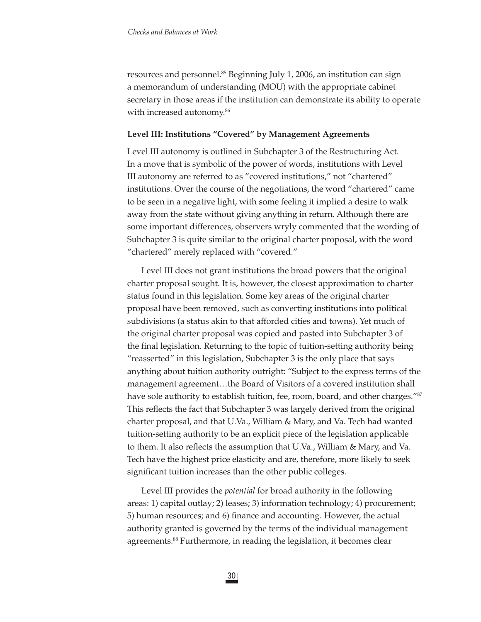resources and personnel.<sup>85</sup> Beginning July 1, 2006, an institution can sign a memorandum of understanding (MOU) with the appropriate cabinet secretary in those areas if the institution can demonstrate its ability to operate with increased autonomy.<sup>86</sup>

#### **Level III: Institutions "Covered" by Management Agreements**

Level III autonomy is outlined in Subchapter 3 of the Restructuring Act. In a move that is symbolic of the power of words, institutions with Level III autonomy are referred to as "covered institutions," not "chartered" institutions. Over the course of the negotiations, the word "chartered" came to be seen in a negative light, with some feeling it implied a desire to walk away from the state without giving anything in return. Although there are some important differences, observers wryly commented that the wording of Subchapter 3 is quite similar to the original charter proposal, with the word "chartered" merely replaced with "covered."

Level III does not grant institutions the broad powers that the original charter proposal sought. It is, however, the closest approximation to charter status found in this legislation. Some key areas of the original charter proposal have been removed, such as converting institutions into political subdivisions (a status akin to that afforded cities and towns). Yet much of the original charter proposal was copied and pasted into Subchapter 3 of the final legislation. Returning to the topic of tuition-setting authority being "reasserted" in this legislation, Subchapter 3 is the only place that says anything about tuition authority outright: "Subject to the express terms of the management agreement…the Board of Visitors of a covered institution shall have sole authority to establish tuition, fee, room, board, and other charges."87 This reflects the fact that Subchapter 3 was largely derived from the original charter proposal, and that U.Va., William & Mary, and Va. Tech had wanted tuition-setting authority to be an explicit piece of the legislation applicable to them. It also reflects the assumption that U.Va., William & Mary, and Va. Tech have the highest price elasticity and are, therefore, more likely to seek significant tuition increases than the other public colleges.

Level III provides the *potential* for broad authority in the following areas: 1) capital outlay; 2) leases; 3) information technology; 4) procurement; 5) human resources; and 6) finance and accounting. However, the actual authority granted is governed by the terms of the individual management agreements.<sup>88</sup> Furthermore, in reading the legislation, it becomes clear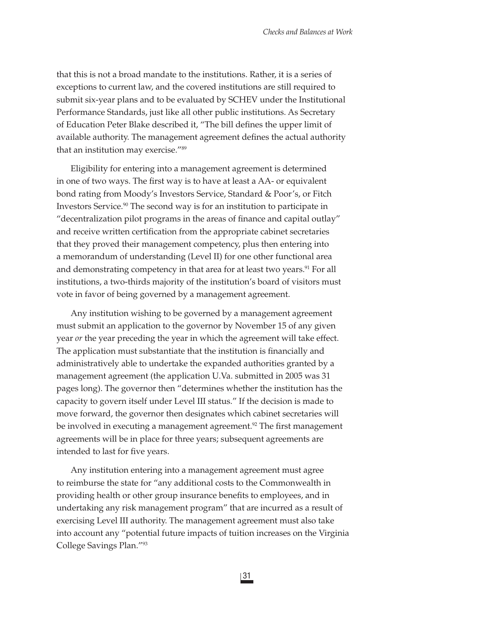that this is not a broad mandate to the institutions. Rather, it is a series of exceptions to current law, and the covered institutions are still required to submit six-year plans and to be evaluated by SCHEV under the Institutional Performance Standards, just like all other public institutions. As Secretary of Education Peter Blake described it, "The bill defines the upper limit of available authority. The management agreement defines the actual authority that an institution may exercise."89

Eligibility for entering into a management agreement is determined in one of two ways. The first way is to have at least a AA- or equivalent bond rating from Moody's Investors Service, Standard & Poor's, or Fitch Investors Service.90 The second way is for an institution to participate in "decentralization pilot programs in the areas of finance and capital outlay" and receive written certification from the appropriate cabinet secretaries that they proved their management competency, plus then entering into a memorandum of understanding (Level II) for one other functional area and demonstrating competency in that area for at least two years.<sup>91</sup> For all institutions, a two-thirds majority of the institution's board of visitors must vote in favor of being governed by a management agreement.

Any institution wishing to be governed by a management agreement must submit an application to the governor by November 15 of any given year *or* the year preceding the year in which the agreement will take effect. The application must substantiate that the institution is financially and administratively able to undertake the expanded authorities granted by a management agreement (the application U.Va. submitted in 2005 was 31 pages long). The governor then "determines whether the institution has the capacity to govern itself under Level III status." If the decision is made to move forward, the governor then designates which cabinet secretaries will be involved in executing a management agreement.<sup>92</sup> The first management agreements will be in place for three years; subsequent agreements are intended to last for five years.

Any institution entering into a management agreement must agree to reimburse the state for "any additional costs to the Commonwealth in providing health or other group insurance benefits to employees, and in undertaking any risk management program" that are incurred as a result of exercising Level III authority. The management agreement must also take into account any "potential future impacts of tuition increases on the Virginia College Savings Plan."93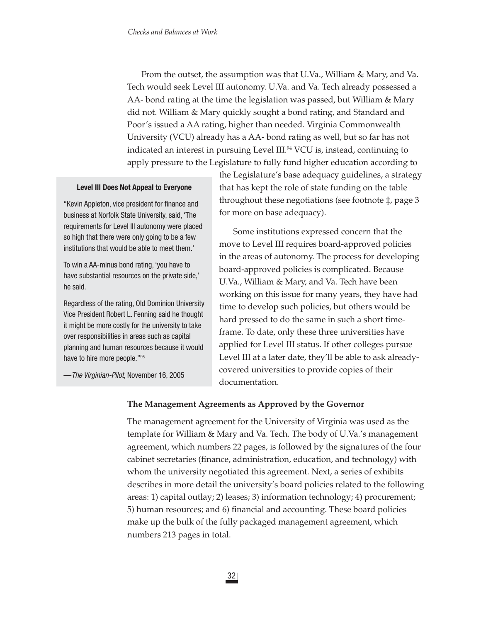From the outset, the assumption was that U.Va., William & Mary, and Va. Tech would seek Level III autonomy. U.Va. and Va. Tech already possessed a AA- bond rating at the time the legislation was passed, but William & Mary did not. William & Mary quickly sought a bond rating, and Standard and Poor's issued a AA rating, higher than needed. Virginia Commonwealth University (VCU) already has a AA- bond rating as well, but so far has not indicated an interest in pursuing Level III.<sup>94</sup> VCU is, instead, continuing to apply pressure to the Legislature to fully fund higher education according to

#### **Level III Does Not Appeal to Everyone**

"Kevin Appleton, vice president for finance and business at Norfolk State University, said, 'The requirements for Level III autonomy were placed so high that there were only going to be a few institutions that would be able to meet them.'

To win a AA-minus bond rating, 'you have to have substantial resources on the private side,' he said.

Regardless of the rating, Old Dominion University Vice President Robert L. Fenning said he thought it might be more costly for the university to take over responsibilities in areas such as capital planning and human resources because it would have to hire more people."95

—*The Virginian-Pilot*, November 16, 2005

the Legislature's base adequacy guidelines, a strategy that has kept the role of state funding on the table throughout these negotiations (see footnote ‡, page 3 for more on base adequacy).

Some institutions expressed concern that the move to Level III requires board-approved policies in the areas of autonomy. The process for developing board-approved policies is complicated. Because U.Va., William & Mary, and Va. Tech have been working on this issue for many years, they have had time to develop such policies, but others would be hard pressed to do the same in such a short timeframe. To date, only these three universities have applied for Level III status. If other colleges pursue Level III at a later date, they'll be able to ask alreadycovered universities to provide copies of their documentation.

## **The Management Agreements as Approved by the Governor**

The management agreement for the University of Virginia was used as the template for William & Mary and Va. Tech. The body of U.Va.'s management agreement, which numbers 22 pages, is followed by the signatures of the four cabinet secretaries (finance, administration, education, and technology) with whom the university negotiated this agreement. Next, a series of exhibits describes in more detail the university's board policies related to the following areas: 1) capital outlay; 2) leases; 3) information technology; 4) procurement; 5) human resources; and 6) financial and accounting. These board policies make up the bulk of the fully packaged management agreement, which numbers 213 pages in total.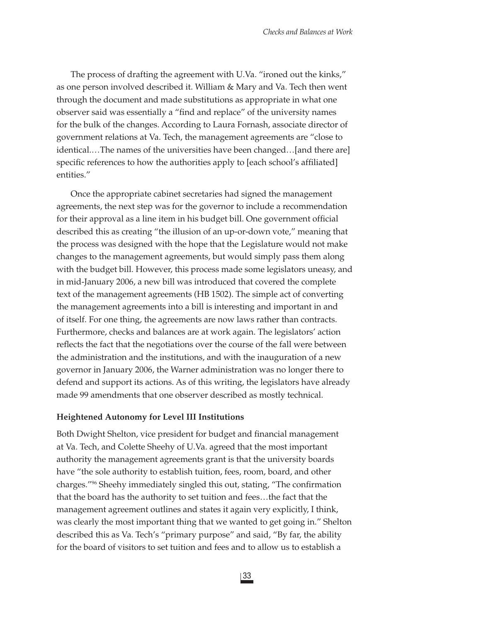The process of drafting the agreement with U.Va. "ironed out the kinks," as one person involved described it. William & Mary and Va. Tech then went through the document and made substitutions as appropriate in what one observer said was essentially a "find and replace" of the university names for the bulk of the changes. According to Laura Fornash, associate director of government relations at Va. Tech, the management agreements are "close to identical.…The names of the universities have been changed…[and there are] specific references to how the authorities apply to [each school's affiliated] entities."

Once the appropriate cabinet secretaries had signed the management agreements, the next step was for the governor to include a recommendation for their approval as a line item in his budget bill. One government official described this as creating "the illusion of an up-or-down vote," meaning that the process was designed with the hope that the Legislature would not make changes to the management agreements, but would simply pass them along with the budget bill. However, this process made some legislators uneasy, and in mid-January 2006, a new bill was introduced that covered the complete text of the management agreements (HB 1502). The simple act of converting the management agreements into a bill is interesting and important in and of itself. For one thing, the agreements are now laws rather than contracts. Furthermore, checks and balances are at work again. The legislators' action reflects the fact that the negotiations over the course of the fall were between the administration and the institutions, and with the inauguration of a new governor in January 2006, the Warner administration was no longer there to defend and support its actions. As of this writing, the legislators have already made 99 amendments that one observer described as mostly technical.

#### **Heightened Autonomy for Level III Institutions**

Both Dwight Shelton, vice president for budget and financial management at Va. Tech, and Colette Sheehy of U.Va. agreed that the most important authority the management agreements grant is that the university boards have "the sole authority to establish tuition, fees, room, board, and other charges."<sup>96</sup> Sheehy immediately singled this out, stating, "The confirmation that the board has the authority to set tuition and fees…the fact that the management agreement outlines and states it again very explicitly, I think, was clearly the most important thing that we wanted to get going in." Shelton described this as Va. Tech's "primary purpose" and said, "By far, the ability for the board of visitors to set tuition and fees and to allow us to establish a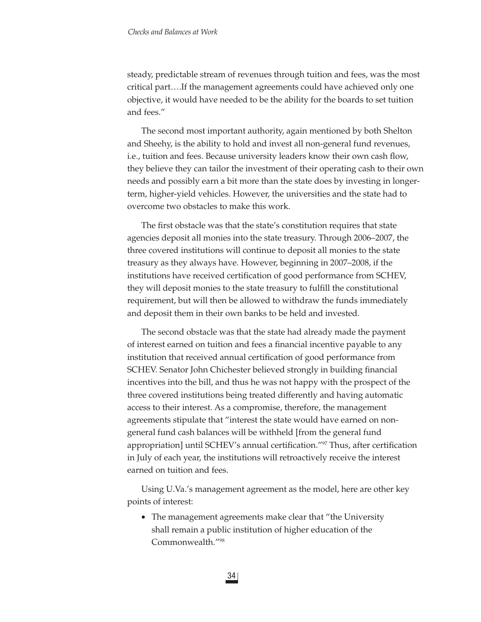steady, predictable stream of revenues through tuition and fees, was the most critical part….If the management agreements could have achieved only one objective, it would have needed to be the ability for the boards to set tuition and fees."

The second most important authority, again mentioned by both Shelton and Sheehy, is the ability to hold and invest all non-general fund revenues, i.e., tuition and fees. Because university leaders know their own cash flow, they believe they can tailor the investment of their operating cash to their own needs and possibly earn a bit more than the state does by investing in longerterm, higher-yield vehicles. However, the universities and the state had to overcome two obstacles to make this work.

The first obstacle was that the state's constitution requires that state agencies deposit all monies into the state treasury. Through 2006–2007, the three covered institutions will continue to deposit all monies to the state treasury as they always have. However, beginning in 2007–2008, if the institutions have received certification of good performance from SCHEV, they will deposit monies to the state treasury to fulfill the constitutional requirement, but will then be allowed to withdraw the funds immediately and deposit them in their own banks to be held and invested.

The second obstacle was that the state had already made the payment of interest earned on tuition and fees a financial incentive payable to any institution that received annual certification of good performance from SCHEV. Senator John Chichester believed strongly in building financial incentives into the bill, and thus he was not happy with the prospect of the three covered institutions being treated differently and having automatic access to their interest. As a compromise, therefore, the management agreements stipulate that "interest the state would have earned on nongeneral fund cash balances will be withheld [from the general fund appropriation] until SCHEV's annual certification."<sup>97</sup> Thus, after certification in July of each year, the institutions will retroactively receive the interest earned on tuition and fees.

Using U.Va.'s management agreement as the model, here are other key points of interest:

• The management agreements make clear that "the University shall remain a public institution of higher education of the Commonwealth."98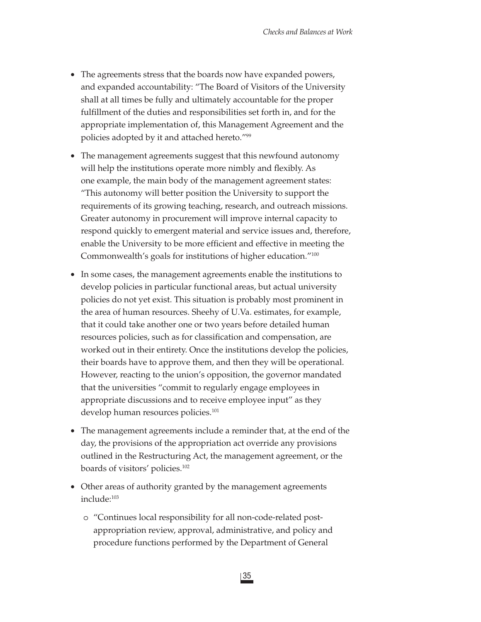- The agreements stress that the boards now have expanded powers, and expanded accountability: "The Board of Visitors of the University shall at all times be fully and ultimately accountable for the proper fulfillment of the duties and responsibilities set forth in, and for the appropriate implementation of, this Management Agreement and the policies adopted by it and attached hereto."99
- The management agreements suggest that this newfound autonomy will help the institutions operate more nimbly and flexibly. As one example, the main body of the management agreement states: "This autonomy will better position the University to support the requirements of its growing teaching, research, and outreach missions. Greater autonomy in procurement will improve internal capacity to respond quickly to emergent material and service issues and, therefore, enable the University to be more efficient and effective in meeting the Commonwealth's goals for institutions of higher education."100
- In some cases, the management agreements enable the institutions to develop policies in particular functional areas, but actual university policies do not yet exist. This situation is probably most prominent in the area of human resources. Sheehy of U.Va. estimates, for example, that it could take another one or two years before detailed human resources policies, such as for classification and compensation, are worked out in their entirety. Once the institutions develop the policies, their boards have to approve them, and then they will be operational. However, reacting to the union's opposition, the governor mandated that the universities "commit to regularly engage employees in appropriate discussions and to receive employee input" as they develop human resources policies.<sup>101</sup>
- The management agreements include a reminder that, at the end of the day, the provisions of the appropriation act override any provisions outlined in the Restructuring Act, the management agreement, or the boards of visitors' policies.102
- Other areas of authority granted by the management agreements include:103
	- o "Continues local responsibility for all non-code-related postappropriation review, approval, administrative, and policy and procedure functions performed by the Department of General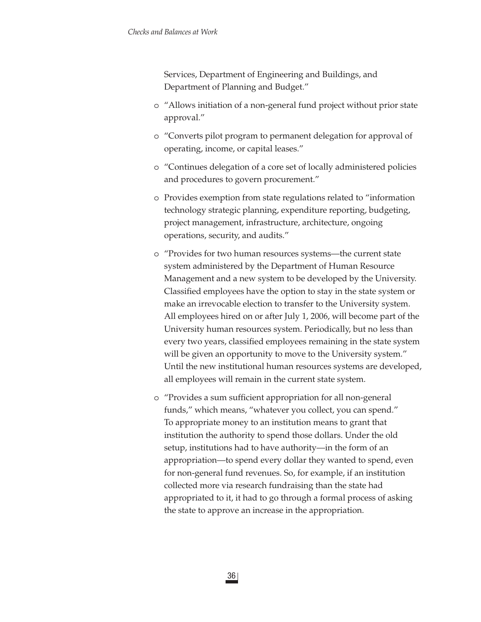Services, Department of Engineering and Buildings, and Department of Planning and Budget."

- o "Allows initiation of a non-general fund project without prior state approval."
- o "Converts pilot program to permanent delegation for approval of operating, income, or capital leases."
- o "Continues delegation of a core set of locally administered policies and procedures to govern procurement."
- o Provides exemption from state regulations related to "information technology strategic planning, expenditure reporting, budgeting, project management, infrastructure, architecture, ongoing operations, security, and audits."
- o "Provides for two human resources systems—the current state system administered by the Department of Human Resource Management and a new system to be developed by the University. Classified employees have the option to stay in the state system or make an irrevocable election to transfer to the University system. All employees hired on or after July 1, 2006, will become part of the University human resources system. Periodically, but no less than every two years, classified employees remaining in the state system will be given an opportunity to move to the University system." Until the new institutional human resources systems are developed, all employees will remain in the current state system.
- o "Provides a sum sufficient appropriation for all non-general funds," which means, "whatever you collect, you can spend." To appropriate money to an institution means to grant that institution the authority to spend those dollars. Under the old setup, institutions had to have authority—in the form of an appropriation—to spend every dollar they wanted to spend, even for non-general fund revenues. So, for example, if an institution collected more via research fundraising than the state had appropriated to it, it had to go through a formal process of asking the state to approve an increase in the appropriation.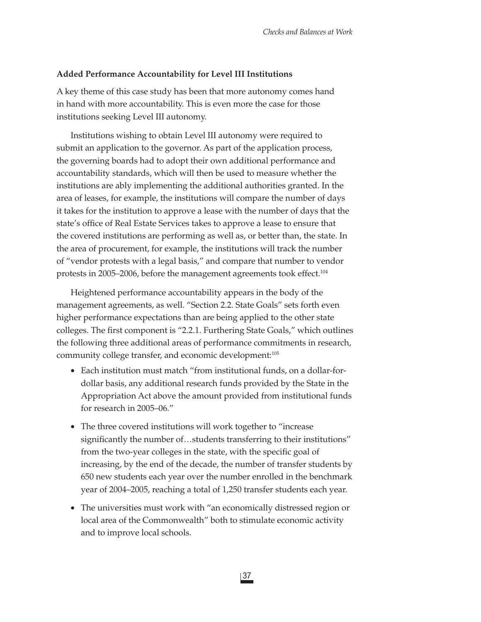#### **Added Performance Accountability for Level III Institutions**

A key theme of this case study has been that more autonomy comes hand in hand with more accountability. This is even more the case for those institutions seeking Level III autonomy.

Institutions wishing to obtain Level III autonomy were required to submit an application to the governor. As part of the application process, the governing boards had to adopt their own additional performance and accountability standards, which will then be used to measure whether the institutions are ably implementing the additional authorities granted. In the area of leases, for example, the institutions will compare the number of days it takes for the institution to approve a lease with the number of days that the state's office of Real Estate Services takes to approve a lease to ensure that the covered institutions are performing as well as, or better than, the state. In the area of procurement, for example, the institutions will track the number of "vendor protests with a legal basis," and compare that number to vendor protests in 2005–2006, before the management agreements took effect.104

Heightened performance accountability appears in the body of the management agreements, as well. "Section 2.2. State Goals" sets forth even higher performance expectations than are being applied to the other state colleges. The first component is "2.2.1. Furthering State Goals," which outlines the following three additional areas of performance commitments in research, community college transfer, and economic development:105

- Each institution must match "from institutional funds, on a dollar-fordollar basis, any additional research funds provided by the State in the Appropriation Act above the amount provided from institutional funds for research in 2005–06."
- The three covered institutions will work together to "increase significantly the number of...students transferring to their institutions" from the two-year colleges in the state, with the specific goal of increasing, by the end of the decade, the number of transfer students by 650 new students each year over the number enrolled in the benchmark year of 2004–2005, reaching a total of 1,250 transfer students each year.
- The universities must work with "an economically distressed region or local area of the Commonwealth" both to stimulate economic activity and to improve local schools.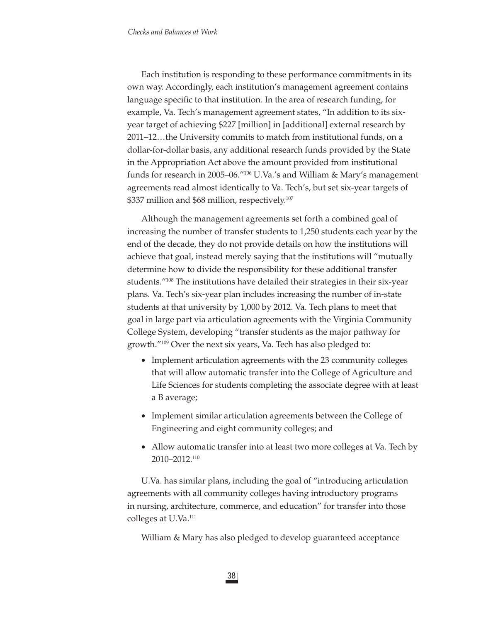Each institution is responding to these performance commitments in its own way. Accordingly, each institution's management agreement contains language specific to that institution. In the area of research funding, for example, Va. Tech's management agreement states, "In addition to its sixyear target of achieving \$227 [million] in [additional] external research by 2011–12…the University commits to match from institutional funds, on a dollar-for-dollar basis, any additional research funds provided by the State in the Appropriation Act above the amount provided from institutional funds for research in 2005–06."106 U.Va.'s and William & Mary's management agreements read almost identically to Va. Tech's, but set six-year targets of \$337 million and \$68 million, respectively.<sup>107</sup>

Although the management agreements set forth a combined goal of increasing the number of transfer students to 1,250 students each year by the end of the decade, they do not provide details on how the institutions will achieve that goal, instead merely saying that the institutions will "mutually determine how to divide the responsibility for these additional transfer students."108 The institutions have detailed their strategies in their six-year plans. Va. Tech's six-year plan includes increasing the number of in-state students at that university by 1,000 by 2012. Va. Tech plans to meet that goal in large part via articulation agreements with the Virginia Community College System, developing "transfer students as the major pathway for growth."109 Over the next six years, Va. Tech has also pledged to:

- Implement articulation agreements with the 23 community colleges that will allow automatic transfer into the College of Agriculture and Life Sciences for students completing the associate degree with at least a B average;
- Implement similar articulation agreements between the College of Engineering and eight community colleges; and
- Allow automatic transfer into at least two more colleges at Va. Tech by 2010–2012.110

U.Va. has similar plans, including the goal of "introducing articulation agreements with all community colleges having introductory programs in nursing, architecture, commerce, and education" for transfer into those colleges at U.Va.<sup>111</sup>

William & Mary has also pledged to develop guaranteed acceptance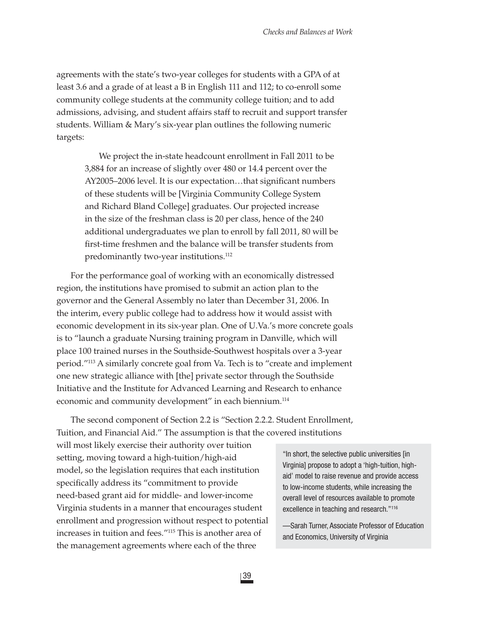agreements with the state's two-year colleges for students with a GPA of at least 3.6 and a grade of at least a B in English 111 and 112; to co-enroll some community college students at the community college tuition; and to add admissions, advising, and student affairs staff to recruit and support transfer students. William & Mary's six-year plan outlines the following numeric targets:

We project the in-state headcount enrollment in Fall 2011 to be 3,884 for an increase of slightly over 480 or 14.4 percent over the AY2005–2006 level. It is our expectation...that significant numbers of these students will be [Virginia Community College System and Richard Bland College] graduates. Our projected increase in the size of the freshman class is 20 per class, hence of the 240 additional undergraduates we plan to enroll by fall 2011, 80 will be first-time freshmen and the balance will be transfer students from predominantly two-year institutions.<sup>112</sup>

For the performance goal of working with an economically distressed region, the institutions have promised to submit an action plan to the governor and the General Assembly no later than December 31, 2006. In the interim, every public college had to address how it would assist with economic development in its six-year plan. One of U.Va.'s more concrete goals is to "launch a graduate Nursing training program in Danville, which will place 100 trained nurses in the Southside-Southwest hospitals over a 3-year period."113 A similarly concrete goal from Va. Tech is to "create and implement one new strategic alliance with [the] private sector through the Southside Initiative and the Institute for Advanced Learning and Research to enhance economic and community development" in each biennium.<sup>114</sup>

The second component of Section 2.2 is "Section 2.2.2. Student Enrollment, Tuition, and Financial Aid." The assumption is that the covered institutions

will most likely exercise their authority over tuition setting, moving toward a high-tuition/high-aid model, so the legislation requires that each institution specifically address its "commitment to provide need-based grant aid for middle- and lower-income Virginia students in a manner that encourages student enrollment and progression without respect to potential increases in tuition and fees."115 This is another area of the management agreements where each of the three

"In short, the selective public universities [in Virginia] propose to adopt a 'high-tuition, highaid' model to raise revenue and provide access to low-income students, while increasing the overall level of resources available to promote excellence in teaching and research."116

—Sarah Turner, Associate Professor of Education and Economics, University of Virginia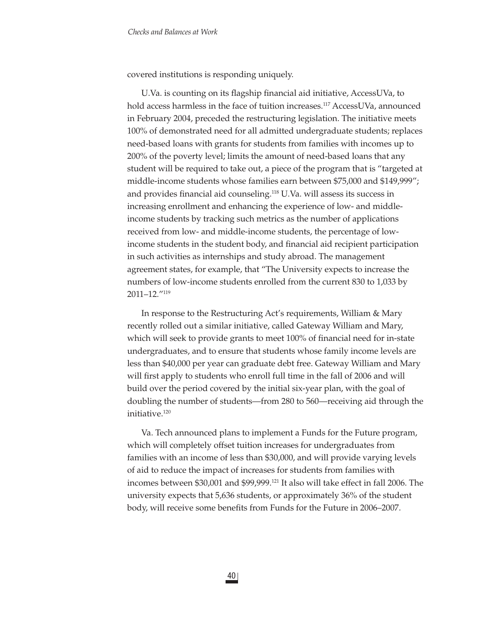covered institutions is responding uniquely.

U.Va. is counting on its flagship financial aid initiative, AccessUVa, to hold access harmless in the face of tuition increases.<sup>117</sup> AccessUVa, announced in February 2004, preceded the restructuring legislation. The initiative meets 100% of demonstrated need for all admitted undergraduate students; replaces need-based loans with grants for students from families with incomes up to 200% of the poverty level; limits the amount of need-based loans that any student will be required to take out, a piece of the program that is "targeted at middle-income students whose families earn between \$75,000 and \$149,999"; and provides financial aid counseling.<sup>118</sup> U.Va. will assess its success in increasing enrollment and enhancing the experience of low- and middleincome students by tracking such metrics as the number of applications received from low- and middle-income students, the percentage of lowincome students in the student body, and financial aid recipient participation in such activities as internships and study abroad. The management agreement states, for example, that "The University expects to increase the numbers of low-income students enrolled from the current 830 to 1,033 by 2011–12."119

In response to the Restructuring Act's requirements, William & Mary recently rolled out a similar initiative, called Gateway William and Mary, which will seek to provide grants to meet 100% of financial need for in-state undergraduates, and to ensure that students whose family income levels are less than \$40,000 per year can graduate debt free. Gateway William and Mary will first apply to students who enroll full time in the fall of 2006 and will build over the period covered by the initial six-year plan, with the goal of doubling the number of students—from 280 to 560—receiving aid through the initiative.120

Va. Tech announced plans to implement a Funds for the Future program, which will completely offset tuition increases for undergraduates from families with an income of less than \$30,000, and will provide varying levels of aid to reduce the impact of increases for students from families with incomes between \$30,001 and \$99,999.121 It also will take effect in fall 2006. The university expects that 5,636 students, or approximately 36% of the student body, will receive some benefits from Funds for the Future in 2006–2007.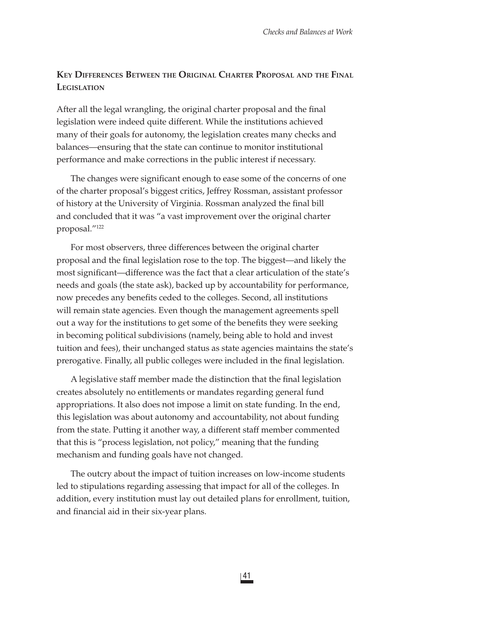## **KEY DIFFERENCES BETWEEN THE ORIGINAL CHARTER PROPOSAL AND THE FINAL LEGISLATION**

After all the legal wrangling, the original charter proposal and the final legislation were indeed quite different. While the institutions achieved many of their goals for autonomy, the legislation creates many checks and balances—ensuring that the state can continue to monitor institutional performance and make corrections in the public interest if necessary.

The changes were significant enough to ease some of the concerns of one of the charter proposal's biggest critics, Jeffrey Rossman, assistant professor of history at the University of Virginia. Rossman analyzed the final bill and concluded that it was "a vast improvement over the original charter proposal."122

For most observers, three differences between the original charter proposal and the final legislation rose to the top. The biggest—and likely the most significant—difference was the fact that a clear articulation of the state's needs and goals (the state ask), backed up by accountability for performance, now precedes any benefits ceded to the colleges. Second, all institutions will remain state agencies. Even though the management agreements spell out a way for the institutions to get some of the benefits they were seeking in becoming political subdivisions (namely, being able to hold and invest tuition and fees), their unchanged status as state agencies maintains the state's prerogative. Finally, all public colleges were included in the final legislation.

A legislative staff member made the distinction that the final legislation creates absolutely no entitlements or mandates regarding general fund appropriations. It also does not impose a limit on state funding. In the end, this legislation was about autonomy and accountability, not about funding from the state. Putting it another way, a different staff member commented that this is "process legislation, not policy," meaning that the funding mechanism and funding goals have not changed.

The outcry about the impact of tuition increases on low-income students led to stipulations regarding assessing that impact for all of the colleges. In addition, every institution must lay out detailed plans for enrollment, tuition, and financial aid in their six-year plans.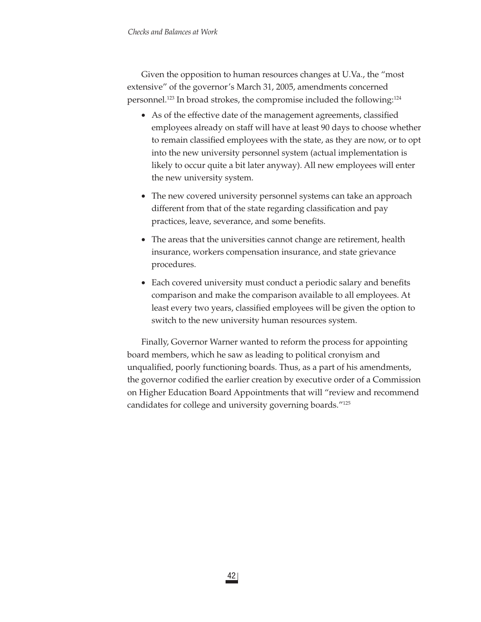Given the opposition to human resources changes at U.Va., the "most extensive" of the governor's March 31, 2005, amendments concerned personnel.123 In broad strokes, the compromise included the following:124

- As of the effective date of the management agreements, classified employees already on staff will have at least 90 days to choose whether to remain classified employees with the state, as they are now, or to opt into the new university personnel system (actual implementation is likely to occur quite a bit later anyway). All new employees will enter the new university system.
- The new covered university personnel systems can take an approach different from that of the state regarding classification and pay practices, leave, severance, and some benefits.
- The areas that the universities cannot change are retirement, health insurance, workers compensation insurance, and state grievance procedures.
- Each covered university must conduct a periodic salary and benefits comparison and make the comparison available to all employees. At least every two years, classified employees will be given the option to switch to the new university human resources system.

Finally, Governor Warner wanted to reform the process for appointing board members, which he saw as leading to political cronyism and unqualifi ed, poorly functioning boards. Thus, as a part of his amendments, the governor codified the earlier creation by executive order of a Commission on Higher Education Board Appointments that will "review and recommend candidates for college and university governing boards."125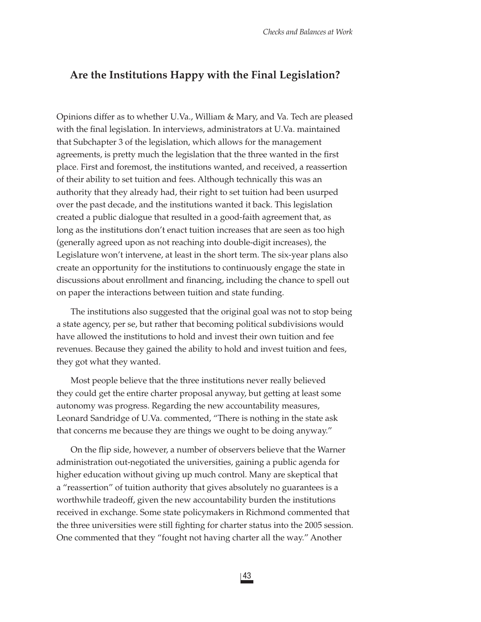## **Are the Institutions Happy with the Final Legislation?**

Opinions differ as to whether U.Va., William & Mary, and Va. Tech are pleased with the final legislation. In interviews, administrators at U.Va. maintained that Subchapter 3 of the legislation, which allows for the management agreements, is pretty much the legislation that the three wanted in the first place. First and foremost, the institutions wanted, and received, a reassertion of their ability to set tuition and fees. Although technically this was an authority that they already had, their right to set tuition had been usurped over the past decade, and the institutions wanted it back. This legislation created a public dialogue that resulted in a good-faith agreement that, as long as the institutions don't enact tuition increases that are seen as too high (generally agreed upon as not reaching into double-digit increases), the Legislature won't intervene, at least in the short term. The six-year plans also create an opportunity for the institutions to continuously engage the state in discussions about enrollment and financing, including the chance to spell out on paper the interactions between tuition and state funding.

The institutions also suggested that the original goal was not to stop being a state agency, per se, but rather that becoming political subdivisions would have allowed the institutions to hold and invest their own tuition and fee revenues. Because they gained the ability to hold and invest tuition and fees, they got what they wanted.

Most people believe that the three institutions never really believed they could get the entire charter proposal anyway, but getting at least some autonomy was progress. Regarding the new accountability measures, Leonard Sandridge of U.Va. commented, "There is nothing in the state ask that concerns me because they are things we ought to be doing anyway."

On the flip side, however, a number of observers believe that the Warner administration out-negotiated the universities, gaining a public agenda for higher education without giving up much control. Many are skeptical that a "reassertion" of tuition authority that gives absolutely no guarantees is a worthwhile tradeoff, given the new accountability burden the institutions received in exchange. Some state policymakers in Richmond commented that the three universities were still fighting for charter status into the 2005 session. One commented that they "fought not having charter all the way." Another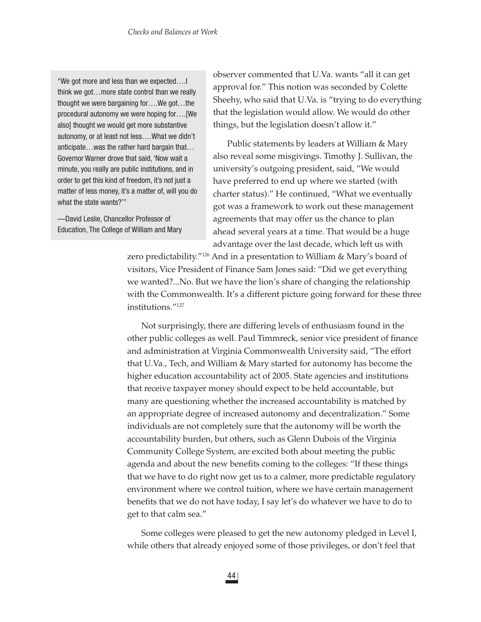"We got more and less than we expected….I think we got…more state control than we really thought we were bargaining for….We got…the procedural autonomy we were hoping for….[We also] thought we would get more substantive autonomy, or at least not less….What we didn't anticipate…was the rather hard bargain that… Governor Warner drove that said, 'Now wait a minute, you really are public institutions, and in order to get this kind of freedom, it's not just a matter of less money, it's a matter of, will you do what the state wants?'"

—David Leslie, Chancellor Professor of Education, The College of William and Mary observer commented that U.Va. wants "all it can get approval for." This notion was seconded by Colette Sheehy, who said that U.Va. is "trying to do everything that the legislation would allow. We would do other things, but the legislation doesn't allow it."

Public statements by leaders at William & Mary also reveal some misgivings. Timothy J. Sullivan, the university's outgoing president, said, "We would have preferred to end up where we started (with charter status)." He continued, "What we eventually got was a framework to work out these management agreements that may offer us the chance to plan ahead several years at a time. That would be a huge advantage over the last decade, which left us with

zero predictability."126 And in a presentation to William & Mary's board of visitors, Vice President of Finance Sam Jones said: "Did we get everything we wanted?...No. But we have the lion's share of changing the relationship with the Commonwealth. It's a different picture going forward for these three institutions."127

Not surprisingly, there are differing levels of enthusiasm found in the other public colleges as well. Paul Timmreck, senior vice president of finance and administration at Virginia Commonwealth University said, "The effort that U.Va., Tech, and William & Mary started for autonomy has become the higher education accountability act of 2005. State agencies and institutions that receive taxpayer money should expect to be held accountable, but many are questioning whether the increased accountability is matched by an appropriate degree of increased autonomy and decentralization." Some individuals are not completely sure that the autonomy will be worth the accountability burden, but others, such as Glenn Dubois of the Virginia Community College System, are excited both about meeting the public agenda and about the new benefits coming to the colleges: "If these things that we have to do right now get us to a calmer, more predictable regulatory environment where we control tuition, where we have certain management benefits that we do not have today, I say let's do whatever we have to do to get to that calm sea."

Some colleges were pleased to get the new autonomy pledged in Level I, while others that already enjoyed some of those privileges, or don't feel that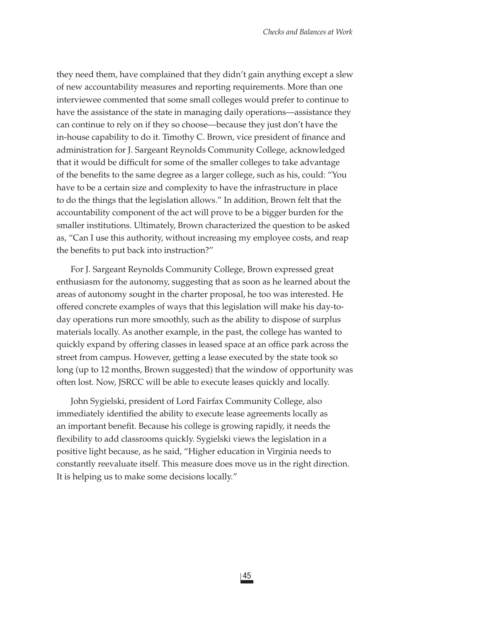they need them, have complained that they didn't gain anything except a slew of new accountability measures and reporting requirements. More than one interviewee commented that some small colleges would prefer to continue to have the assistance of the state in managing daily operations—assistance they can continue to rely on if they so choose—because they just don't have the in-house capability to do it. Timothy C. Brown, vice president of finance and administration for J. Sargeant Reynolds Community College, acknowledged that it would be difficult for some of the smaller colleges to take advantage of the benefits to the same degree as a larger college, such as his, could: "You have to be a certain size and complexity to have the infrastructure in place to do the things that the legislation allows." In addition, Brown felt that the accountability component of the act will prove to be a bigger burden for the smaller institutions. Ultimately, Brown characterized the question to be asked as, "Can I use this authority, without increasing my employee costs, and reap the benefits to put back into instruction?"

For J. Sargeant Reynolds Community College, Brown expressed great enthusiasm for the autonomy, suggesting that as soon as he learned about the areas of autonomy sought in the charter proposal, he too was interested. He offered concrete examples of ways that this legislation will make his day-today operations run more smoothly, such as the ability to dispose of surplus materials locally. As another example, in the past, the college has wanted to quickly expand by offering classes in leased space at an office park across the street from campus. However, getting a lease executed by the state took so long (up to 12 months, Brown suggested) that the window of opportunity was often lost. Now, JSRCC will be able to execute leases quickly and locally.

John Sygielski, president of Lord Fairfax Community College, also immediately identified the ability to execute lease agreements locally as an important benefit. Because his college is growing rapidly, it needs the flexibility to add classrooms quickly. Sygielski views the legislation in a positive light because, as he said, "Higher education in Virginia needs to constantly reevaluate itself. This measure does move us in the right direction. It is helping us to make some decisions locally."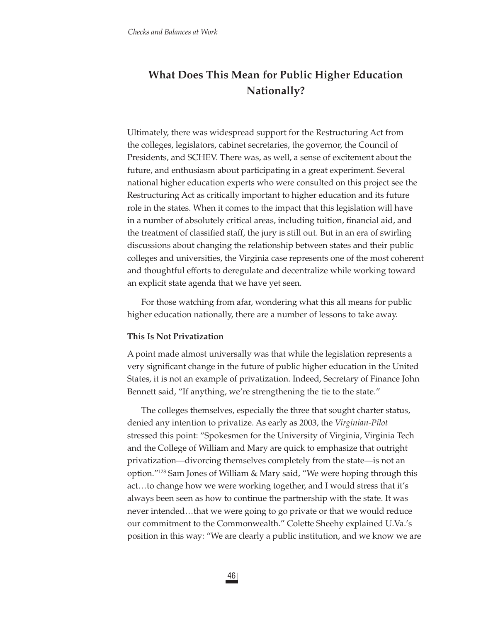# **What Does This Mean for Public Higher Education Nationally?**

Ultimately, there was widespread support for the Restructuring Act from the colleges, legislators, cabinet secretaries, the governor, the Council of Presidents, and SCHEV. There was, as well, a sense of excitement about the future, and enthusiasm about participating in a great experiment. Several national higher education experts who were consulted on this project see the Restructuring Act as critically important to higher education and its future role in the states. When it comes to the impact that this legislation will have in a number of absolutely critical areas, including tuition, financial aid, and the treatment of classified staff, the jury is still out. But in an era of swirling discussions about changing the relationship between states and their public colleges and universities, the Virginia case represents one of the most coherent and thoughtful efforts to deregulate and decentralize while working toward an explicit state agenda that we have yet seen.

For those watching from afar, wondering what this all means for public higher education nationally, there are a number of lessons to take away.

#### **This Is Not Privatization**

A point made almost universally was that while the legislation represents a very significant change in the future of public higher education in the United States, it is not an example of privatization. Indeed, Secretary of Finance John Bennett said, "If anything, we're strengthening the tie to the state."

The colleges themselves, especially the three that sought charter status, denied any intention to privatize. As early as 2003, the *Virginian-Pilot* stressed this point: "Spokesmen for the University of Virginia, Virginia Tech and the College of William and Mary are quick to emphasize that outright privatization—divorcing themselves completely from the state—is not an option."128 Sam Jones of William & Mary said, "We were hoping through this act…to change how we were working together, and I would stress that it's always been seen as how to continue the partnership with the state. It was never intended…that we were going to go private or that we would reduce our commitment to the Commonwealth." Colette Sheehy explained U.Va.'s position in this way: "We are clearly a public institution, and we know we are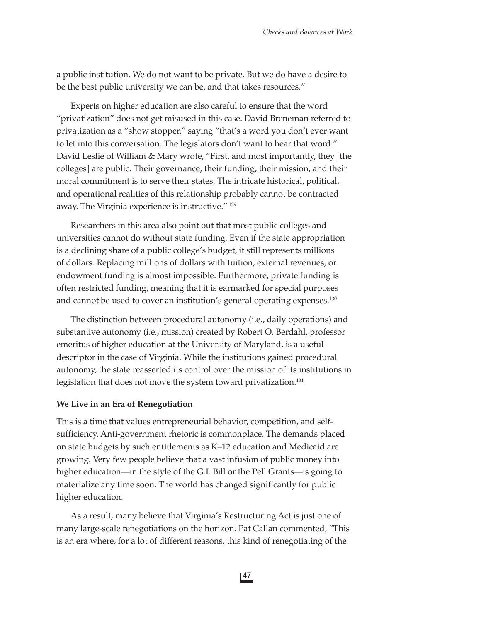a public institution. We do not want to be private. But we do have a desire to be the best public university we can be, and that takes resources."

Experts on higher education are also careful to ensure that the word "privatization" does not get misused in this case. David Breneman referred to privatization as a "show stopper," saying "that's a word you don't ever want to let into this conversation. The legislators don't want to hear that word." David Leslie of William & Mary wrote, "First, and most importantly, they [the colleges] are public. Their governance, their funding, their mission, and their moral commitment is to serve their states. The intricate historical, political, and operational realities of this relationship probably cannot be contracted away. The Virginia experience is instructive." 129

Researchers in this area also point out that most public colleges and universities cannot do without state funding. Even if the state appropriation is a declining share of a public college's budget, it still represents millions of dollars. Replacing millions of dollars with tuition, external revenues, or endowment funding is almost impossible. Furthermore, private funding is often restricted funding, meaning that it is earmarked for special purposes and cannot be used to cover an institution's general operating expenses.130

The distinction between procedural autonomy (i.e., daily operations) and substantive autonomy (i.e., mission) created by Robert O. Berdahl, professor emeritus of higher education at the University of Maryland, is a useful descriptor in the case of Virginia. While the institutions gained procedural autonomy, the state reasserted its control over the mission of its institutions in legislation that does not move the system toward privatization.<sup>131</sup>

#### **We Live in an Era of Renegotiation**

This is a time that values entrepreneurial behavior, competition, and selfsufficiency. Anti-government rhetoric is commonplace. The demands placed on state budgets by such entitlements as K–12 education and Medicaid are growing. Very few people believe that a vast infusion of public money into higher education—in the style of the G.I. Bill or the Pell Grants—is going to materialize any time soon. The world has changed significantly for public higher education.

As a result, many believe that Virginia's Restructuring Act is just one of many large-scale renegotiations on the horizon. Pat Callan commented, "This is an era where, for a lot of different reasons, this kind of renegotiating of the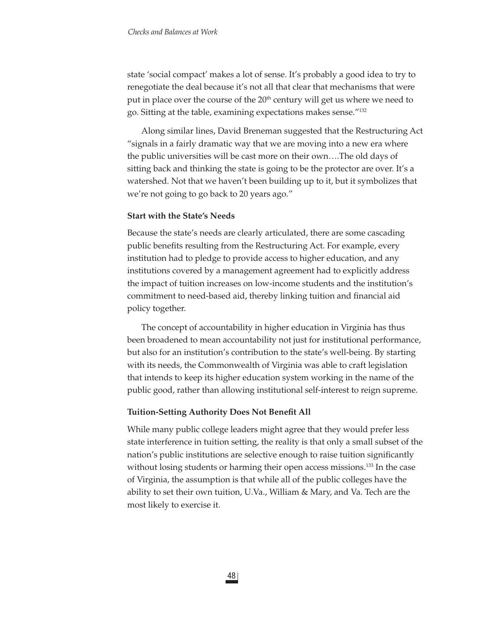state 'social compact' makes a lot of sense. It's probably a good idea to try to renegotiate the deal because it's not all that clear that mechanisms that were put in place over the course of the 20<sup>th</sup> century will get us where we need to go. Sitting at the table, examining expectations makes sense."132

Along similar lines, David Breneman suggested that the Restructuring Act "signals in a fairly dramatic way that we are moving into a new era where the public universities will be cast more on their own….The old days of sitting back and thinking the state is going to be the protector are over. It's a watershed. Not that we haven't been building up to it, but it symbolizes that we're not going to go back to 20 years ago."

## **Start with the State's Needs**

Because the state's needs are clearly articulated, there are some cascading public benefits resulting from the Restructuring Act. For example, every institution had to pledge to provide access to higher education, and any institutions covered by a management agreement had to explicitly address the impact of tuition increases on low-income students and the institution's commitment to need-based aid, thereby linking tuition and financial aid policy together.

The concept of accountability in higher education in Virginia has thus been broadened to mean accountability not just for institutional performance, but also for an institution's contribution to the state's well-being. By starting with its needs, the Commonwealth of Virginia was able to craft legislation that intends to keep its higher education system working in the name of the public good, rather than allowing institutional self-interest to reign supreme.

## **Tuition-Setting Authority Does Not Benefit All**

While many public college leaders might agree that they would prefer less state interference in tuition setting, the reality is that only a small subset of the nation's public institutions are selective enough to raise tuition significantly without losing students or harming their open access missions.<sup>133</sup> In the case of Virginia, the assumption is that while all of the public colleges have the ability to set their own tuition, U.Va., William & Mary, and Va. Tech are the most likely to exercise it.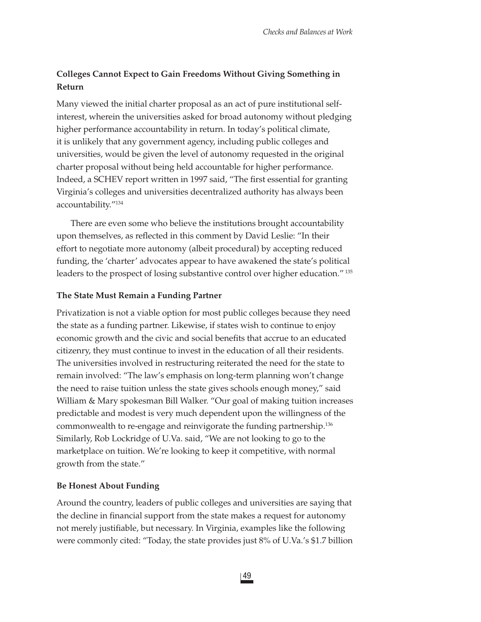# **Colleges Cannot Expect to Gain Freedoms Without Giving Something in Return**

Many viewed the initial charter proposal as an act of pure institutional selfinterest, wherein the universities asked for broad autonomy without pledging higher performance accountability in return. In today's political climate, it is unlikely that any government agency, including public colleges and universities, would be given the level of autonomy requested in the original charter proposal without being held accountable for higher performance. Indeed, a SCHEV report written in 1997 said, "The first essential for granting Virginia's colleges and universities decentralized authority has always been accountability."134

There are even some who believe the institutions brought accountability upon themselves, as reflected in this comment by David Leslie: "In their effort to negotiate more autonomy (albeit procedural) by accepting reduced funding, the 'charter' advocates appear to have awakened the state's political leaders to the prospect of losing substantive control over higher education." 135

## **The State Must Remain a Funding Partner**

Privatization is not a viable option for most public colleges because they need the state as a funding partner. Likewise, if states wish to continue to enjoy economic growth and the civic and social benefits that accrue to an educated citizenry, they must continue to invest in the education of all their residents. The universities involved in restructuring reiterated the need for the state to remain involved: "The law's emphasis on long-term planning won't change the need to raise tuition unless the state gives schools enough money," said William & Mary spokesman Bill Walker. "Our goal of making tuition increases predictable and modest is very much dependent upon the willingness of the commonwealth to re-engage and reinvigorate the funding partnership.136 Similarly, Rob Lockridge of U.Va. said, "We are not looking to go to the marketplace on tuition. We're looking to keep it competitive, with normal growth from the state."

## **Be Honest About Funding**

Around the country, leaders of public colleges and universities are saying that the decline in financial support from the state makes a request for autonomy not merely justifiable, but necessary. In Virginia, examples like the following were commonly cited: "Today, the state provides just 8% of U.Va.'s \$1.7 billion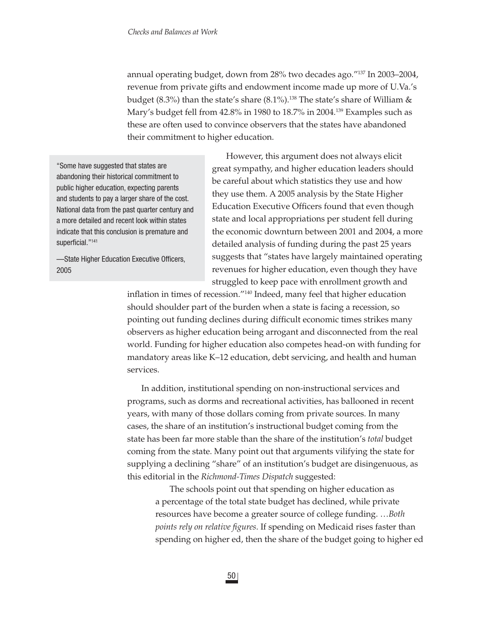annual operating budget, down from 28% two decades ago."137 In 2003–2004, revenue from private gifts and endowment income made up more of U.Va.'s budget (8.3%) than the state's share (8.1%).<sup>138</sup> The state's share of William  $\&$ Mary's budget fell from 42.8% in 1980 to 18.7% in 2004.139 Examples such as these are often used to convince observers that the states have abandoned their commitment to higher education.

"Some have suggested that states are abandoning their historical commitment to public higher education, expecting parents and students to pay a larger share of the cost. National data from the past quarter century and a more detailed and recent look within states indicate that this conclusion is premature and superficial."<sup>141</sup>

-State Higher Education Executive Officers, 2005

However, this argument does not always elicit great sympathy, and higher education leaders should be careful about which statistics they use and how they use them. A 2005 analysis by the State Higher Education Executive Officers found that even though state and local appropriations per student fell during the economic downturn between 2001 and 2004, a more detailed analysis of funding during the past 25 years suggests that "states have largely maintained operating revenues for higher education, even though they have struggled to keep pace with enrollment growth and

inflation in times of recession."<sup>140</sup> Indeed, many feel that higher education should shoulder part of the burden when a state is facing a recession, so pointing out funding declines during difficult economic times strikes many observers as higher education being arrogant and disconnected from the real world. Funding for higher education also competes head-on with funding for mandatory areas like K–12 education, debt servicing, and health and human services.

In addition, institutional spending on non-instructional services and programs, such as dorms and recreational activities, has ballooned in recent years, with many of those dollars coming from private sources. In many cases, the share of an institution's instructional budget coming from the state has been far more stable than the share of the institution's *total* budget coming from the state. Many point out that arguments vilifying the state for supplying a declining "share" of an institution's budget are disingenuous, as this editorial in the *Richmond-Times Dispatch* suggested:

The schools point out that spending on higher education as a percentage of the total state budget has declined, while private resources have become a greater source of college funding. …*Both*  points rely on relative figures. If spending on Medicaid rises faster than spending on higher ed, then the share of the budget going to higher ed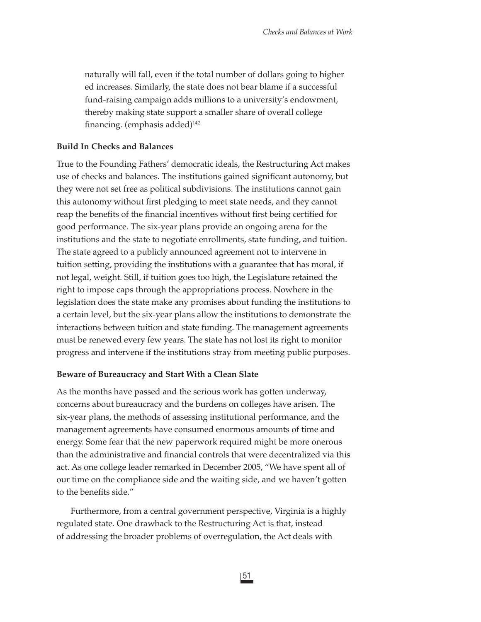naturally will fall, even if the total number of dollars going to higher ed increases. Similarly, the state does not bear blame if a successful fund-raising campaign adds millions to a university's endowment, thereby making state support a smaller share of overall college financing. (emphasis added) $142$ 

#### **Build In Checks and Balances**

True to the Founding Fathers' democratic ideals, the Restructuring Act makes use of checks and balances. The institutions gained significant autonomy, but they were not set free as political subdivisions. The institutions cannot gain this autonomy without first pledging to meet state needs, and they cannot reap the benefits of the financial incentives without first being certified for good performance. The six-year plans provide an ongoing arena for the institutions and the state to negotiate enrollments, state funding, and tuition. The state agreed to a publicly announced agreement not to intervene in tuition setting, providing the institutions with a guarantee that has moral, if not legal, weight. Still, if tuition goes too high, the Legislature retained the right to impose caps through the appropriations process. Nowhere in the legislation does the state make any promises about funding the institutions to a certain level, but the six-year plans allow the institutions to demonstrate the interactions between tuition and state funding. The management agreements must be renewed every few years. The state has not lost its right to monitor progress and intervene if the institutions stray from meeting public purposes.

#### **Beware of Bureaucracy and Start With a Clean Slate**

As the months have passed and the serious work has gotten underway, concerns about bureaucracy and the burdens on colleges have arisen. The six-year plans, the methods of assessing institutional performance, and the management agreements have consumed enormous amounts of time and energy. Some fear that the new paperwork required might be more onerous than the administrative and financial controls that were decentralized via this act. As one college leader remarked in December 2005, "We have spent all of our time on the compliance side and the waiting side, and we haven't gotten to the benefits side."

Furthermore, from a central government perspective, Virginia is a highly regulated state. One drawback to the Restructuring Act is that, instead of addressing the broader problems of overregulation, the Act deals with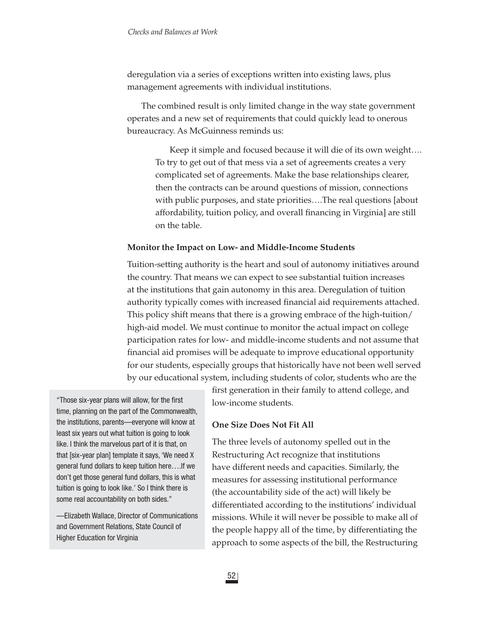deregulation via a series of exceptions written into existing laws, plus management agreements with individual institutions.

The combined result is only limited change in the way state government operates and a new set of requirements that could quickly lead to onerous bureaucracy. As McGuinness reminds us:

Keep it simple and focused because it will die of its own weight…. To try to get out of that mess via a set of agreements creates a very complicated set of agreements. Make the base relationships clearer, then the contracts can be around questions of mission, connections with public purposes, and state priorities….The real questions [about affordability, tuition policy, and overall financing in Virginia] are still on the table.

#### **Monitor the Impact on Low- and Middle-Income Students**

Tuition-setting authority is the heart and soul of autonomy initiatives around the country. That means we can expect to see substantial tuition increases at the institutions that gain autonomy in this area. Deregulation of tuition authority typically comes with increased financial aid requirements attached. This policy shift means that there is a growing embrace of the high-tuition/ high-aid model. We must continue to monitor the actual impact on college participation rates for low- and middle-income students and not assume that financial aid promises will be adequate to improve educational opportunity for our students, especially groups that historically have not been well served by our educational system, including students of color, students who are the

"Those six-year plans will allow, for the first time, planning on the part of the Commonwealth, the institutions, parents—everyone will know at least six years out what tuition is going to look like. I think the marvelous part of it is that, on that [six-year plan] template it says, 'We need X general fund dollars to keep tuition here….If we don't get those general fund dollars, this is what tuition is going to look like.' So I think there is some real accountability on both sides."

—Elizabeth Wallace, Director of Communications and Government Relations, State Council of Higher Education for Virginia

first generation in their family to attend college, and low-income students.

### **One Size Does Not Fit All**

The three levels of autonomy spelled out in the Restructuring Act recognize that institutions have different needs and capacities. Similarly, the measures for assessing institutional performance (the accountability side of the act) will likely be differentiated according to the institutions' individual missions. While it will never be possible to make all of the people happy all of the time, by differentiating the approach to some aspects of the bill, the Restructuring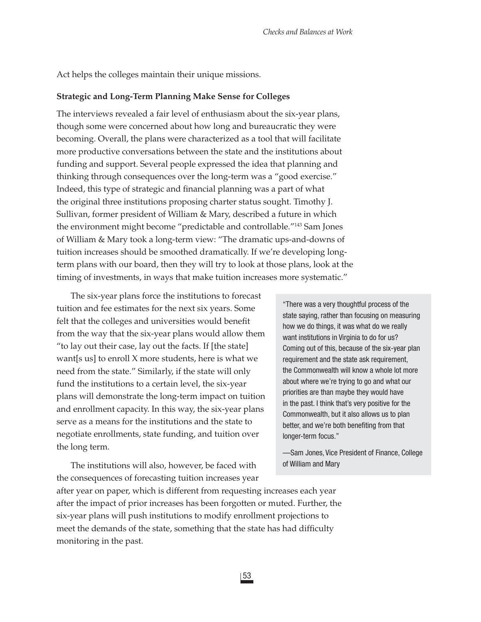Act helps the colleges maintain their unique missions.

#### **Strategic and Long-Term Planning Make Sense for Colleges**

The interviews revealed a fair level of enthusiasm about the six-year plans, though some were concerned about how long and bureaucratic they were becoming. Overall, the plans were characterized as a tool that will facilitate more productive conversations between the state and the institutions about funding and support. Several people expressed the idea that planning and thinking through consequences over the long-term was a "good exercise." Indeed, this type of strategic and financial planning was a part of what the original three institutions proposing charter status sought. Timothy J. Sullivan, former president of William & Mary, described a future in which the environment might become "predictable and controllable."143 Sam Jones of William & Mary took a long-term view: "The dramatic ups-and-downs of tuition increases should be smoothed dramatically. If we're developing longterm plans with our board, then they will try to look at those plans, look at the timing of investments, in ways that make tuition increases more systematic."

The six-year plans force the institutions to forecast tuition and fee estimates for the next six years. Some felt that the colleges and universities would benefit from the way that the six-year plans would allow them "to lay out their case, lay out the facts. If [the state] want[s us] to enroll X more students, here is what we need from the state." Similarly, if the state will only fund the institutions to a certain level, the six-year plans will demonstrate the long-term impact on tuition and enrollment capacity. In this way, the six-year plans serve as a means for the institutions and the state to negotiate enrollments, state funding, and tuition over the long term.

The institutions will also, however, be faced with the consequences of forecasting tuition increases year

"There was a very thoughtful process of the state saying, rather than focusing on measuring how we do things, it was what do we really want institutions in Virginia to do for us? Coming out of this, because of the six-year plan requirement and the state ask requirement, the Commonwealth will know a whole lot more about where we're trying to go and what our priorities are than maybe they would have in the past. I think that's very positive for the Commonwealth, but it also allows us to plan better, and we're both benefiting from that longer-term focus."

—Sam Jones, Vice President of Finance, College of William and Mary

after year on paper, which is different from requesting increases each year after the impact of prior increases has been forgotten or muted. Further, the six-year plans will push institutions to modify enrollment projections to meet the demands of the state, something that the state has had difficulty monitoring in the past.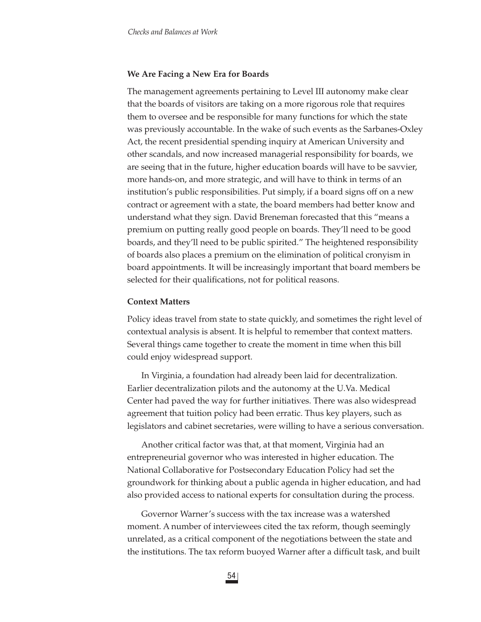#### **We Are Facing a New Era for Boards**

The management agreements pertaining to Level III autonomy make clear that the boards of visitors are taking on a more rigorous role that requires them to oversee and be responsible for many functions for which the state was previously accountable. In the wake of such events as the Sarbanes-Oxley Act, the recent presidential spending inquiry at American University and other scandals, and now increased managerial responsibility for boards, we are seeing that in the future, higher education boards will have to be savvier, more hands-on, and more strategic, and will have to think in terms of an institution's public responsibilities. Put simply, if a board signs off on a new contract or agreement with a state, the board members had better know and understand what they sign. David Breneman forecasted that this "means a premium on putting really good people on boards. They'll need to be good boards, and they'll need to be public spirited." The heightened responsibility of boards also places a premium on the elimination of political cronyism in board appointments. It will be increasingly important that board members be selected for their qualifications, not for political reasons.

#### **Context Matters**

Policy ideas travel from state to state quickly, and sometimes the right level of contextual analysis is absent. It is helpful to remember that context matters. Several things came together to create the moment in time when this bill could enjoy widespread support.

In Virginia, a foundation had already been laid for decentralization. Earlier decentralization pilots and the autonomy at the U.Va. Medical Center had paved the way for further initiatives. There was also widespread agreement that tuition policy had been erratic. Thus key players, such as legislators and cabinet secretaries, were willing to have a serious conversation.

Another critical factor was that, at that moment, Virginia had an entrepreneurial governor who was interested in higher education. The National Collaborative for Postsecondary Education Policy had set the groundwork for thinking about a public agenda in higher education, and had also provided access to national experts for consultation during the process.

Governor Warner's success with the tax increase was a watershed moment. A number of interviewees cited the tax reform, though seemingly unrelated, as a critical component of the negotiations between the state and the institutions. The tax reform buoyed Warner after a difficult task, and built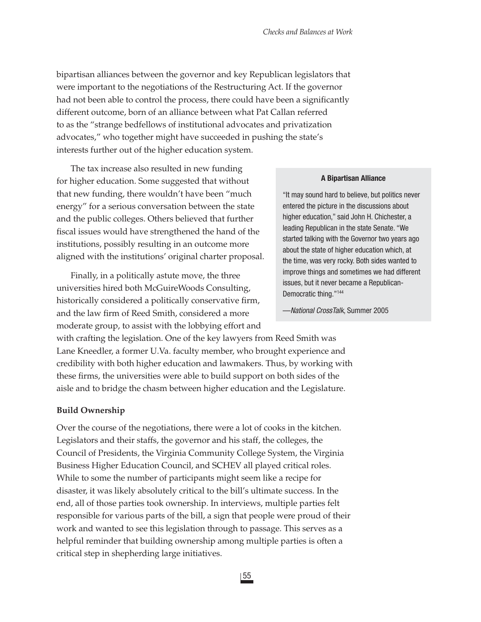bipartisan alliances between the governor and key Republican legislators that were important to the negotiations of the Restructuring Act. If the governor had not been able to control the process, there could have been a significantly different outcome, born of an alliance between what Pat Callan referred to as the "strange bedfellows of institutional advocates and privatization advocates," who together might have succeeded in pushing the state's interests further out of the higher education system.

The tax increase also resulted in new funding for higher education. Some suggested that without that new funding, there wouldn't have been "much energy" for a serious conversation between the state and the public colleges. Others believed that further fiscal issues would have strengthened the hand of the institutions, possibly resulting in an outcome more aligned with the institutions' original charter proposal.

Finally, in a politically astute move, the three universities hired both McGuireWoods Consulting, historically considered a politically conservative firm, and the law firm of Reed Smith, considered a more moderate group, to assist with the lobbying effort and

#### **A Bipartisan Alliance**

"It may sound hard to believe, but politics never entered the picture in the discussions about higher education," said John H. Chichester, a leading Republican in the state Senate. "We started talking with the Governor two years ago about the state of higher education which, at the time, was very rocky. Both sides wanted to improve things and sometimes we had different issues, but it never became a Republican-Democratic thing."144

—*National CrossTalk*, Summer 2005

with crafting the legislation. One of the key lawyers from Reed Smith was Lane Kneedler, a former U.Va. faculty member, who brought experience and credibility with both higher education and lawmakers. Thus, by working with these firms, the universities were able to build support on both sides of the aisle and to bridge the chasm between higher education and the Legislature.

#### **Build Ownership**

Over the course of the negotiations, there were a lot of cooks in the kitchen. Legislators and their staffs, the governor and his staff, the colleges, the Council of Presidents, the Virginia Community College System, the Virginia Business Higher Education Council, and SCHEV all played critical roles. While to some the number of participants might seem like a recipe for disaster, it was likely absolutely critical to the bill's ultimate success. In the end, all of those parties took ownership. In interviews, multiple parties felt responsible for various parts of the bill, a sign that people were proud of their work and wanted to see this legislation through to passage. This serves as a helpful reminder that building ownership among multiple parties is often a critical step in shepherding large initiatives.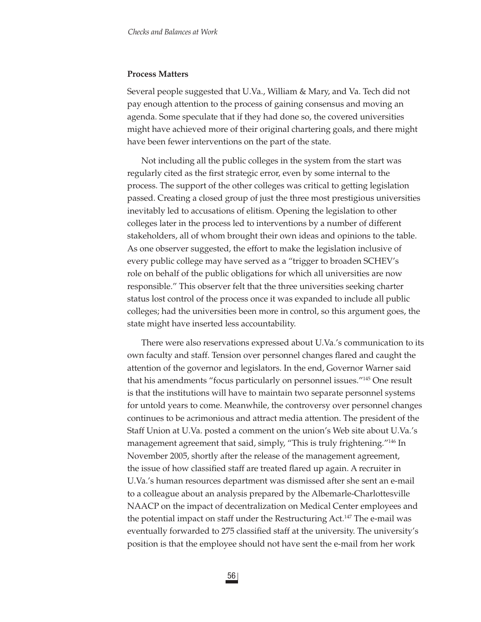#### **Process Matters**

Several people suggested that U.Va., William & Mary, and Va. Tech did not pay enough attention to the process of gaining consensus and moving an agenda. Some speculate that if they had done so, the covered universities might have achieved more of their original chartering goals, and there might have been fewer interventions on the part of the state.

Not including all the public colleges in the system from the start was regularly cited as the first strategic error, even by some internal to the process. The support of the other colleges was critical to getting legislation passed. Creating a closed group of just the three most prestigious universities inevitably led to accusations of elitism. Opening the legislation to other colleges later in the process led to interventions by a number of different stakeholders, all of whom brought their own ideas and opinions to the table. As one observer suggested, the effort to make the legislation inclusive of every public college may have served as a "trigger to broaden SCHEV's role on behalf of the public obligations for which all universities are now responsible." This observer felt that the three universities seeking charter status lost control of the process once it was expanded to include all public colleges; had the universities been more in control, so this argument goes, the state might have inserted less accountability.

There were also reservations expressed about U.Va.'s communication to its own faculty and staff. Tension over personnel changes flared and caught the attention of the governor and legislators. In the end, Governor Warner said that his amendments "focus particularly on personnel issues."145 One result is that the institutions will have to maintain two separate personnel systems for untold years to come. Meanwhile, the controversy over personnel changes continues to be acrimonious and attract media attention. The president of the Staff Union at U.Va. posted a comment on the union's Web site about U.Va.'s management agreement that said, simply, "This is truly frightening."<sup>146</sup> In November 2005, shortly after the release of the management agreement, the issue of how classified staff are treated flared up again. A recruiter in U.Va.'s human resources department was dismissed after she sent an e-mail to a colleague about an analysis prepared by the Albemarle-Charlottesville NAACP on the impact of decentralization on Medical Center employees and the potential impact on staff under the Restructuring Act.<sup>147</sup> The e-mail was eventually forwarded to 275 classified staff at the university. The university's position is that the employee should not have sent the e-mail from her work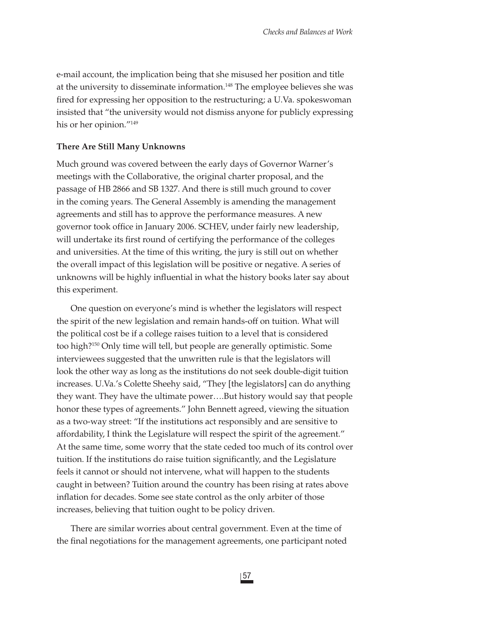e-mail account, the implication being that she misused her position and title at the university to disseminate information.<sup>148</sup> The employee believes she was fired for expressing her opposition to the restructuring; a U.Va. spokeswoman insisted that "the university would not dismiss anyone for publicly expressing his or her opinion."149

#### **There Are Still Many Unknowns**

Much ground was covered between the early days of Governor Warner's meetings with the Collaborative, the original charter proposal, and the passage of HB 2866 and SB 1327. And there is still much ground to cover in the coming years. The General Assembly is amending the management agreements and still has to approve the performance measures. A new governor took office in January 2006. SCHEV, under fairly new leadership, will undertake its first round of certifying the performance of the colleges and universities. At the time of this writing, the jury is still out on whether the overall impact of this legislation will be positive or negative. A series of unknowns will be highly influential in what the history books later say about this experiment.

One question on everyone's mind is whether the legislators will respect the spirit of the new legislation and remain hands-off on tuition. What will the political cost be if a college raises tuition to a level that is considered too high?150 Only time will tell, but people are generally optimistic. Some interviewees suggested that the unwritten rule is that the legislators will look the other way as long as the institutions do not seek double-digit tuition increases. U.Va.'s Colette Sheehy said, "They [the legislators] can do anything they want. They have the ultimate power….But history would say that people honor these types of agreements." John Bennett agreed, viewing the situation as a two-way street: "If the institutions act responsibly and are sensitive to affordability, I think the Legislature will respect the spirit of the agreement." At the same time, some worry that the state ceded too much of its control over tuition. If the institutions do raise tuition significantly, and the Legislature feels it cannot or should not intervene, what will happen to the students caught in between? Tuition around the country has been rising at rates above inflation for decades. Some see state control as the only arbiter of those increases, believing that tuition ought to be policy driven.

There are similar worries about central government. Even at the time of the final negotiations for the management agreements, one participant noted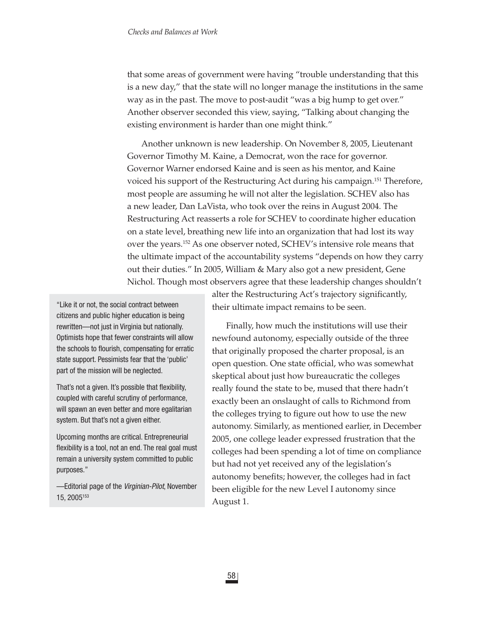that some areas of government were having "trouble understanding that this is a new day," that the state will no longer manage the institutions in the same way as in the past. The move to post-audit "was a big hump to get over." Another observer seconded this view, saying, "Talking about changing the existing environment is harder than one might think."

Another unknown is new leadership. On November 8, 2005, Lieutenant Governor Timothy M. Kaine, a Democrat, won the race for governor. Governor Warner endorsed Kaine and is seen as his mentor, and Kaine voiced his support of the Restructuring Act during his campaign.<sup>151</sup> Therefore, most people are assuming he will not alter the legislation. SCHEV also has a new leader, Dan LaVista, who took over the reins in August 2004. The Restructuring Act reasserts a role for SCHEV to coordinate higher education on a state level, breathing new life into an organization that had lost its way over the years.152 As one observer noted, SCHEV's intensive role means that the ultimate impact of the accountability systems "depends on how they carry out their duties." In 2005, William & Mary also got a new president, Gene Nichol. Though most observers agree that these leadership changes shouldn't

"Like it or not, the social contract between citizens and public higher education is being rewritten—not just in Virginia but nationally. Optimists hope that fewer constraints will allow the schools to flourish, compensating for erratic state support. Pessimists fear that the 'public' part of the mission will be neglected.

That's not a given. It's possible that flexibility, coupled with careful scrutiny of performance, will spawn an even better and more egalitarian system. But that's not a given either.

Upcoming months are critical. Entrepreneurial flexibility is a tool, not an end. The real goal must remain a university system committed to public purposes."

—Editorial page of the *Virginian-Pilot*, November 15, 2005153

alter the Restructuring Act's trajectory significantly, their ultimate impact remains to be seen.

Finally, how much the institutions will use their newfound autonomy, especially outside of the three that originally proposed the charter proposal, is an open question. One state official, who was somewhat skeptical about just how bureaucratic the colleges really found the state to be, mused that there hadn't exactly been an onslaught of calls to Richmond from the colleges trying to figure out how to use the new autonomy. Similarly, as mentioned earlier, in December 2005, one college leader expressed frustration that the colleges had been spending a lot of time on compliance but had not yet received any of the legislation's autonomy benefits; however, the colleges had in fact been eligible for the new Level I autonomy since August 1.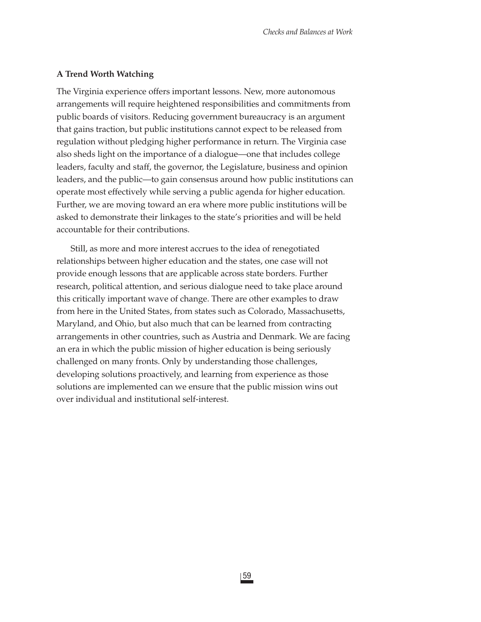#### **A Trend Worth Watching**

The Virginia experience offers important lessons. New, more autonomous arrangements will require heightened responsibilities and commitments from public boards of visitors. Reducing government bureaucracy is an argument that gains traction, but public institutions cannot expect to be released from regulation without pledging higher performance in return. The Virginia case also sheds light on the importance of a dialogue—one that includes college leaders, faculty and staff, the governor, the Legislature, business and opinion leaders, and the public—to gain consensus around how public institutions can operate most effectively while serving a public agenda for higher education. Further, we are moving toward an era where more public institutions will be asked to demonstrate their linkages to the state's priorities and will be held accountable for their contributions.

Still, as more and more interest accrues to the idea of renegotiated relationships between higher education and the states, one case will not provide enough lessons that are applicable across state borders. Further research, political attention, and serious dialogue need to take place around this critically important wave of change. There are other examples to draw from here in the United States, from states such as Colorado, Massachusetts, Maryland, and Ohio, but also much that can be learned from contracting arrangements in other countries, such as Austria and Denmark. We are facing an era in which the public mission of higher education is being seriously challenged on many fronts. Only by understanding those challenges, developing solutions proactively, and learning from experience as those solutions are implemented can we ensure that the public mission wins out over individual and institutional self-interest.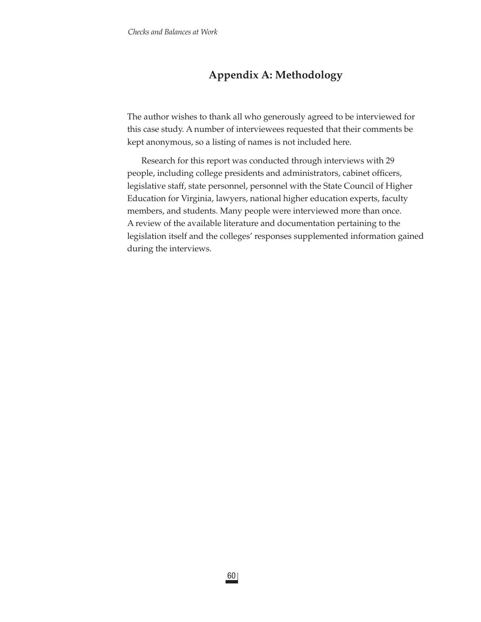# **Appendix A: Methodology**

The author wishes to thank all who generously agreed to be interviewed for this case study. A number of interviewees requested that their comments be kept anonymous, so a listing of names is not included here.

Research for this report was conducted through interviews with 29 people, including college presidents and administrators, cabinet officers, legislative staff, state personnel, personnel with the State Council of Higher Education for Virginia, lawyers, national higher education experts, faculty members, and students. Many people were interviewed more than once. A review of the available literature and documentation pertaining to the legislation itself and the colleges' responses supplemented information gained during the interviews.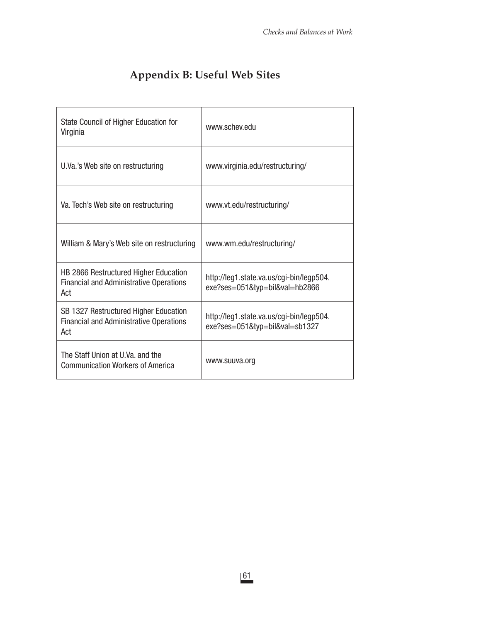| State Council of Higher Education for<br>Virginia                                              | www.schev.edu                                                              |
|------------------------------------------------------------------------------------------------|----------------------------------------------------------------------------|
| U.Va.'s Web site on restructuring                                                              | www.virginia.edu/restructuring/                                            |
| Va. Tech's Web site on restructuring                                                           | www.vt.edu/restructuring/                                                  |
| William & Mary's Web site on restructuring                                                     | www.wm.edu/restructuring/                                                  |
| HB 2866 Restructured Higher Education<br><b>Financial and Administrative Operations</b><br>Act | http://leg1.state.va.us/cgi-bin/legp504.<br>exe?ses=051&typ=bil&val=hb2866 |
| SB 1327 Restructured Higher Education<br><b>Financial and Administrative Operations</b><br>Act | http://leg1.state.va.us/cgi-bin/legp504.<br>exe?ses=051&typ=bil&val=sb1327 |
| The Staff Union at U.Va. and the<br><b>Communication Workers of America</b>                    | www.suuva.org                                                              |

# **Appendix B: Useful Web Sites**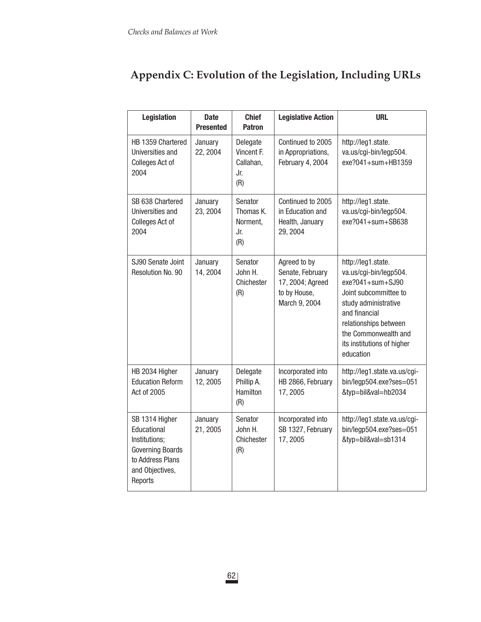| Legislation                                                                                                                 | <b>Date</b><br><b>Presented</b> | <b>Chief</b><br><b>Patron</b>                     | <b>Legislative Action</b>                                                             | <b>URL</b>                                                                                                                                                                                                                        |
|-----------------------------------------------------------------------------------------------------------------------------|---------------------------------|---------------------------------------------------|---------------------------------------------------------------------------------------|-----------------------------------------------------------------------------------------------------------------------------------------------------------------------------------------------------------------------------------|
| HB 1359 Chartered<br>Universities and<br>Colleges Act of<br>2004                                                            | January<br>22, 2004             | Delegate<br>Vincent F.<br>Callahan,<br>Jr.<br>(R) | Continued to 2005<br>in Appropriations,<br>February 4, 2004                           | http://leg1.state.<br>va.us/cgi-bin/legp504.<br>exe?041+sum+HB1359                                                                                                                                                                |
| SB 638 Chartered<br>Universities and<br>Colleges Act of<br>2004                                                             | January<br>23, 2004             | Senator<br>Thomas K.<br>Norment,<br>Jr.<br>(R)    | Continued to 2005<br>in Education and<br>Health, January<br>29, 2004                  | http://leg1.state.<br>va.us/cgi-bin/legp504.<br>$exe?041+sum+SB638$                                                                                                                                                               |
| SJ90 Senate Joint<br>Resolution No. 90                                                                                      | January<br>14, 2004             | Senator<br>John H.<br>Chichester<br>(R)           | Agreed to by<br>Senate, February<br>17, 2004; Agreed<br>to by House,<br>March 9, 2004 | http://leg1.state.<br>va.us/cgi-bin/legp504.<br>$exe$ ?041+sum+SJ90<br>Joint subcommittee to<br>study administrative<br>and financial<br>relationships between<br>the Commonwealth and<br>its institutions of higher<br>education |
| HB 2034 Higher<br><b>Education Reform</b><br>Act of 2005                                                                    | January<br>12, 2005             | Delegate<br>Phillip A.<br>Hamilton<br>(R)         | Incorporated into<br>HB 2866, February<br>17,2005                                     | http://leg1.state.va.us/cgi-<br>bin/legp504.exe?ses=051<br>&typ=bil&val=hb2034                                                                                                                                                    |
| SB 1314 Higher<br>Educational<br>Institutions;<br><b>Governing Boards</b><br>to Address Plans<br>and Objectives,<br>Reports | January<br>21, 2005             | Senator<br>John H.<br>Chichester<br>(R)           | Incorporated into<br>SB 1327, February<br>17, 2005                                    | http://leg1.state.va.us/cgi-<br>bin/legp504.exe?ses=051<br>&typ=bil&val=sb1314                                                                                                                                                    |

# **Appendix C: Evolution of the Legislation, Including URLs**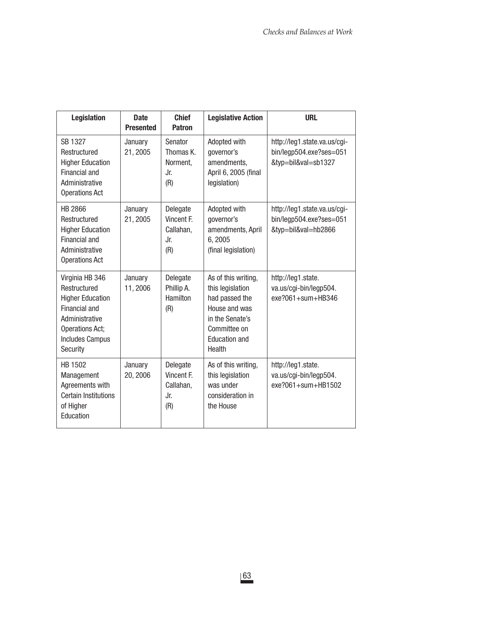| <b>Legislation</b>                                                                                                                                            | <b>Date</b><br><b>Presented</b> | <b>Chief</b><br><b>Patron</b>                     | <b>Legislative Action</b>                                                                                                                       | <b>URL</b>                                                                     |
|---------------------------------------------------------------------------------------------------------------------------------------------------------------|---------------------------------|---------------------------------------------------|-------------------------------------------------------------------------------------------------------------------------------------------------|--------------------------------------------------------------------------------|
| SB 1327<br>Restructured<br><b>Higher Education</b><br>Financial and<br>Administrative<br><b>Operations Act</b>                                                | January<br>21, 2005             | Senator<br>Thomas K.<br>Norment,<br>Jr.<br>(R)    | Adopted with<br>governor's<br>amendments,<br>April 6, 2005 (final<br>legislation)                                                               | http://leg1.state.va.us/cgi-<br>bin/legp504.exe?ses=051<br>&typ=bil&val=sb1327 |
| HB 2866<br>Restructured<br><b>Higher Education</b><br><b>Financial and</b><br>Administrative<br><b>Operations Act</b>                                         | January<br>21, 2005             | Delegate<br>Vincent F.<br>Callahan,<br>Jr.<br>(R) | Adopted with<br>governor's<br>amendments, April<br>6,2005<br>(final legislation)                                                                | http://leg1.state.va.us/cgi-<br>bin/legp504.exe?ses=051<br>&typ=bil&val=hb2866 |
| Virginia HB 346<br>Restructured<br><b>Higher Education</b><br><b>Financial and</b><br>Administrative<br>Operations Act;<br><b>Includes Campus</b><br>Security | January<br>11,2006              | Delegate<br>Phillip A.<br>Hamilton<br>(R)         | As of this writing,<br>this legislation<br>had passed the<br>House and was<br>in the Senate's<br>Committee on<br><b>Education and</b><br>Health | http://leg1.state.<br>va.us/cgi-bin/legp504.<br>$exe$ ?061+sum+HB346           |
| HB 1502<br>Management<br>Agreements with<br><b>Certain Institutions</b><br>of Higher<br>Education                                                             | January<br>20, 2006             | Delegate<br>Vincent F.<br>Callahan,<br>Jr.<br>(R) | As of this writing,<br>this legislation<br>was under<br>consideration in<br>the House                                                           | http://leg1.state.<br>va.us/cgi-bin/legp504.<br>exe?061+sum+HB1502             |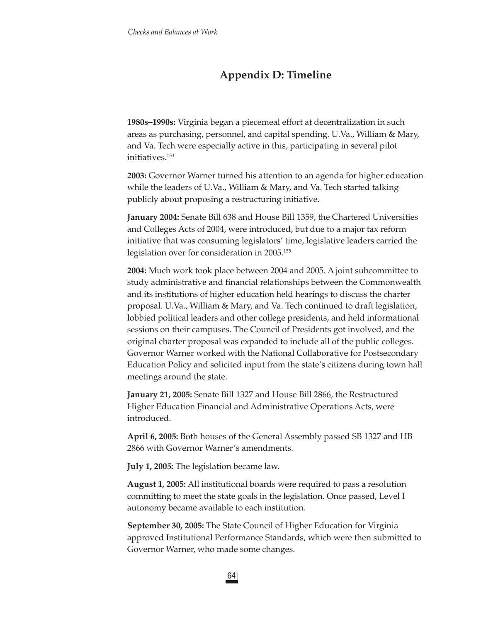# **Appendix D: Timeline**

**1980s–1990s:** Virginia began a piecemeal effort at decentralization in such areas as purchasing, personnel, and capital spending. U.Va., William & Mary, and Va. Tech were especially active in this, participating in several pilot initiatives.154

**2003:** Governor Warner turned his attention to an agenda for higher education while the leaders of U.Va., William & Mary, and Va. Tech started talking publicly about proposing a restructuring initiative.

**January 2004:** Senate Bill 638 and House Bill 1359, the Chartered Universities and Colleges Acts of 2004, were introduced, but due to a major tax reform initiative that was consuming legislators' time, legislative leaders carried the legislation over for consideration in 2005.155

**2004:** Much work took place between 2004 and 2005. A joint subcommittee to study administrative and financial relationships between the Commonwealth and its institutions of higher education held hearings to discuss the charter proposal. U.Va., William & Mary, and Va. Tech continued to draft legislation, lobbied political leaders and other college presidents, and held informational sessions on their campuses. The Council of Presidents got involved, and the original charter proposal was expanded to include all of the public colleges. Governor Warner worked with the National Collaborative for Postsecondary Education Policy and solicited input from the state's citizens during town hall meetings around the state.

**January 21, 2005:** Senate Bill 1327 and House Bill 2866, the Restructured Higher Education Financial and Administrative Operations Acts, were introduced.

**April 6, 2005:** Both houses of the General Assembly passed SB 1327 and HB 2866 with Governor Warner's amendments.

**July 1, 2005:** The legislation became law.

**August 1, 2005:** All institutional boards were required to pass a resolution committing to meet the state goals in the legislation. Once passed, Level I autonomy became available to each institution.

**September 30, 2005:** The State Council of Higher Education for Virginia approved Institutional Performance Standards, which were then submitted to Governor Warner, who made some changes.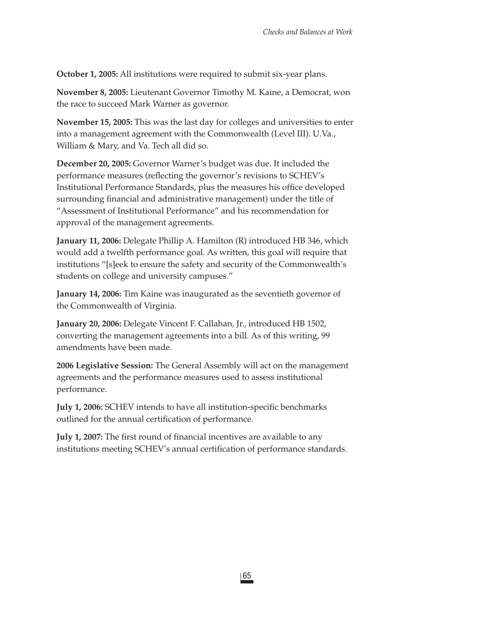**October 1, 2005:** All institutions were required to submit six-year plans.

**November 8, 2005:** Lieutenant Governor Timothy M. Kaine, a Democrat, won the race to succeed Mark Warner as governor.

**November 15, 2005:** This was the last day for colleges and universities to enter into a management agreement with the Commonwealth (Level III). U.Va., William & Mary, and Va. Tech all did so.

**December 20, 2005:** Governor Warner's budget was due. It included the performance measures (reflecting the governor's revisions to SCHEV's Institutional Performance Standards, plus the measures his office developed surrounding financial and administrative management) under the title of "Assessment of Institutional Performance" and his recommendation for approval of the management agreements.

**January 11, 2006:** Delegate Phillip A. Hamilton (R) introduced HB 346, which would add a twelfth performance goal. As written, this goal will require that institutions "[s]eek to ensure the safety and security of the Commonwealth's students on college and university campuses."

**January 14, 2006:** Tim Kaine was inaugurated as the seventieth governor of the Commonwealth of Virginia.

**January 20, 2006:** Delegate Vincent F. Callahan, Jr., introduced HB 1502, converting the management agreements into a bill. As of this writing, 99 amendments have been made.

**2006 Legislative Session:** The General Assembly will act on the management agreements and the performance measures used to assess institutional performance.

**July 1, 2006:** SCHEV intends to have all institution-specific benchmarks outlined for the annual certification of performance.

**July 1, 2007:** The first round of financial incentives are available to any institutions meeting SCHEV's annual certification of performance standards.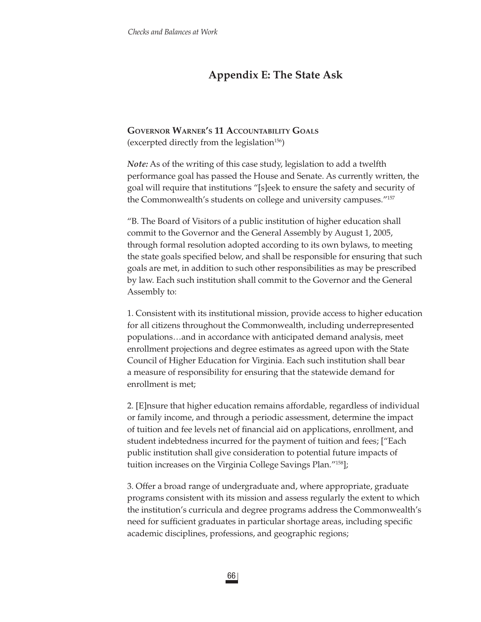# **Appendix E: The State Ask**

### **GOVERNOR WARNER'S 11 ACCOUNTABILITY GOALS**

(excerpted directly from the legislation $156$ )

*Note:* As of the writing of this case study, legislation to add a twelfth performance goal has passed the House and Senate. As currently written, the goal will require that institutions "[s]eek to ensure the safety and security of the Commonwealth's students on college and university campuses."157

"B. The Board of Visitors of a public institution of higher education shall commit to the Governor and the General Assembly by August 1, 2005, through formal resolution adopted according to its own bylaws, to meeting the state goals specified below, and shall be responsible for ensuring that such goals are met, in addition to such other responsibilities as may be prescribed by law. Each such institution shall commit to the Governor and the General Assembly to:

1. Consistent with its institutional mission, provide access to higher education for all citizens throughout the Commonwealth, including underrepresented populations…and in accordance with anticipated demand analysis, meet enrollment projections and degree estimates as agreed upon with the State Council of Higher Education for Virginia. Each such institution shall bear a measure of responsibility for ensuring that the statewide demand for enrollment is met;

2. [E]nsure that higher education remains affordable, regardless of individual or family income, and through a periodic assessment, determine the impact of tuition and fee levels net of financial aid on applications, enrollment, and student indebtedness incurred for the payment of tuition and fees; ["Each public institution shall give consideration to potential future impacts of tuition increases on the Virginia College Savings Plan."158];

3. Offer a broad range of undergraduate and, where appropriate, graduate programs consistent with its mission and assess regularly the extent to which the institution's curricula and degree programs address the Commonwealth's need for sufficient graduates in particular shortage areas, including specific academic disciplines, professions, and geographic regions;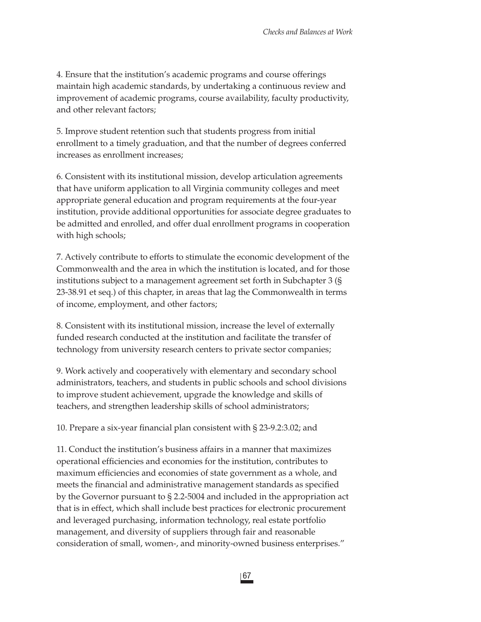4. Ensure that the institution's academic programs and course offerings maintain high academic standards, by undertaking a continuous review and improvement of academic programs, course availability, faculty productivity, and other relevant factors;

5. Improve student retention such that students progress from initial enrollment to a timely graduation, and that the number of degrees conferred increases as enrollment increases;

6. Consistent with its institutional mission, develop articulation agreements that have uniform application to all Virginia community colleges and meet appropriate general education and program requirements at the four-year institution, provide additional opportunities for associate degree graduates to be admitted and enrolled, and offer dual enrollment programs in cooperation with high schools;

7. Actively contribute to efforts to stimulate the economic development of the Commonwealth and the area in which the institution is located, and for those institutions subject to a management agreement set forth in Subchapter 3 (§ 23-38.91 et seq.) of this chapter, in areas that lag the Commonwealth in terms of income, employment, and other factors;

8. Consistent with its institutional mission, increase the level of externally funded research conducted at the institution and facilitate the transfer of technology from university research centers to private sector companies;

9. Work actively and cooperatively with elementary and secondary school administrators, teachers, and students in public schools and school divisions to improve student achievement, upgrade the knowledge and skills of teachers, and strengthen leadership skills of school administrators;

10. Prepare a six-year financial plan consistent with § 23-9.2:3.02; and

11. Conduct the institution's business affairs in a manner that maximizes operational efficiencies and economies for the institution, contributes to maximum efficiencies and economies of state government as a whole, and meets the financial and administrative management standards as specified by the Governor pursuant to § 2.2-5004 and included in the appropriation act that is in effect, which shall include best practices for electronic procurement and leveraged purchasing, information technology, real estate portfolio management, and diversity of suppliers through fair and reasonable consideration of small, women-, and minority-owned business enterprises."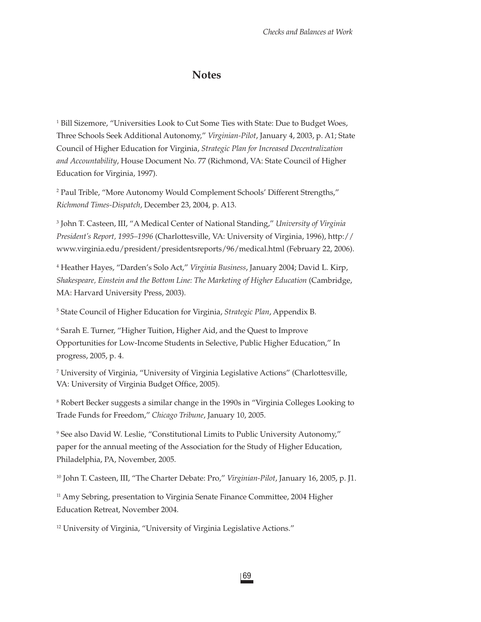### **Notes**

<sup>1</sup> Bill Sizemore, "Universities Look to Cut Some Ties with State: Due to Budget Woes, Three Schools Seek Additional Autonomy," *Virginian-Pilot*, January 4, 2003, p. A1; State Council of Higher Education for Virginia, *Strategic Plan for Increased Decentralization and Accountability*, House Document No. 77 (Richmond, VA: State Council of Higher Education for Virginia, 1997).

2 Paul Trible, "More Autonomy Would Complement Schools' Different Strengths," *Richmond Times-Dispatch*, December 23, 2004, p. A13.

3 John T. Casteen, III, "A Medical Center of National Standing," *University of Virginia President's Report, 1995–1996* (Charlottesville, VA: University of Virginia, 1996), http:// www.virginia.edu/president/presidentsreports/96/medical.html (February 22, 2006).

4 Heather Hayes, "Darden's Solo Act," *Virginia Business*, January 2004; David L. Kirp, *Shakespeare, Einstein and the Bottom Line: The Marketing of Higher Education* (Cambridge, MA: Harvard University Press, 2003).

5 State Council of Higher Education for Virginia, *Strategic Plan*, Appendix B.

 $^6$  Sarah E. Turner, "Higher Tuition, Higher Aid, and the Quest to Improve Opportunities for Low-Income Students in Selective, Public Higher Education," In progress, 2005, p. 4.

7 University of Virginia, "University of Virginia Legislative Actions" (Charlottesville, VA: University of Virginia Budget Office, 2005).

8 Robert Becker suggests a similar change in the 1990s in "Virginia Colleges Looking to Trade Funds for Freedom," *Chicago Tribune*, January 10, 2005.

9 See also David W. Leslie, "Constitutional Limits to Public University Autonomy," paper for the annual meeting of the Association for the Study of Higher Education, Philadelphia, PA, November, 2005.

10 John T. Casteen, III, "The Charter Debate: Pro," *Virginian-Pilot*, January 16, 2005, p. J1.

<sup>11</sup> Amy Sebring, presentation to Virginia Senate Finance Committee, 2004 Higher Education Retreat, November 2004.

<sup>12</sup> University of Virginia, "University of Virginia Legislative Actions."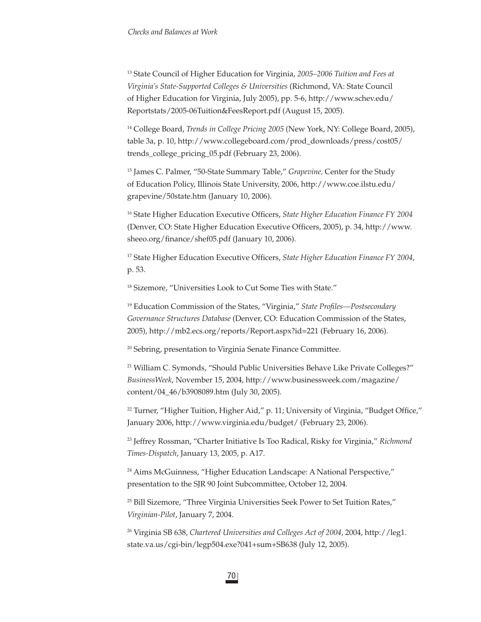13 State Council of Higher Education for Virginia, *2005–2006 Tuition and Fees at Virginia's State-Supported Colleges & Universities* (Richmond, VA: State Council of Higher Education for Virginia, July 2005), pp. 5-6, http://www.schev.edu/ Reportstats/2005-06Tuition&FeesReport.pdf (August 15, 2005).

<sup>14</sup> College Board, *Trends in College Pricing 2005* (New York, NY: College Board, 2005), table 3a, p. 10, http://www.collegeboard.com/prod\_downloads/press/cost05/ trends\_college\_pricing\_05.pdf (February 23, 2006).

15 James C. Palmer, "50-State Summary Table," *Grapevine,* Center for the Study of Education Policy, Illinois State University, 2006, http://www.coe.ilstu.edu/ grapevine/50state.htm (January 10, 2006).

<sup>16</sup> State Higher Education Executive Officers, *State Higher Education Finance FY* 2004 (Denver, CO: State Higher Education Executive Officers, 2005), p. 34, http://www. sheeo.org/finance/shef05.pdf (January 10, 2006).

<sup>17</sup> State Higher Education Executive Officers, *State Higher Education Finance FY* 2004, p. 53.

<sup>18</sup> Sizemore, "Universities Look to Cut Some Ties with State."

<sup>19</sup> Education Commission of the States, "Virginia," *State Profiles—Postsecondary Governance Structures Database* (Denver, CO: Education Commission of the States, 2005), http://mb2.ecs.org/reports/Report.aspx?id=221 (February 16, 2006).

<sup>20</sup> Sebring, presentation to Virginia Senate Finance Committee.

21 William C. Symonds, "Should Public Universities Behave Like Private Colleges?" *BusinessWeek*, November 15, 2004, http://www.businessweek.com/magazine/ content/04\_46/b3908089.htm (July 30, 2005).

 $22$  Turner, "Higher Tuition, Higher Aid," p. 11; University of Virginia, "Budget Office," January 2006, http://www.virginia.edu/budget/ (February 23, 2006).

23 Jeffrey Rossman, "Charter Initiative Is Too Radical, Risky for Virginia," *Richmond Times-Dispatch*, January 13, 2005, p. A17.

<sup>24</sup> Aims McGuinness, "Higher Education Landscape: A National Perspective," presentation to the SJR 90 Joint Subcommittee, October 12, 2004.

25 Bill Sizemore, "Three Virginia Universities Seek Power to Set Tuition Rates," *Virginian-Pilot*, January 7, 2004.

26 Virginia SB 638, *Chartered Universities and Colleges Act of 2004*, 2004, http://leg1. state.va.us/cgi-bin/legp504.exe?041+sum+SB638 (July 12, 2005).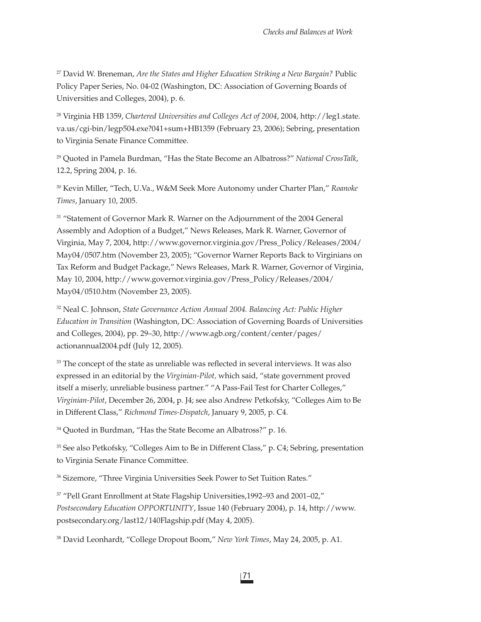27 David W. Breneman, *Are the States and Higher Education Striking a New Bargain?* Public Policy Paper Series, No. 04-02 (Washington, DC: Association of Governing Boards of Universities and Colleges, 2004), p. 6.

28 Virginia HB 1359, *Chartered Universities and Colleges Act of 2004*, 2004, http://leg1.state. va.us/cgi-bin/legp504.exe?041+sum+HB1359 (February 23, 2006); Sebring, presentation to Virginia Senate Finance Committee.

29 Quoted in Pamela Burdman, "Has the State Become an Albatross?" *National CrossTalk*, 12.2, Spring 2004, p. 16.

30 Kevin Miller, "Tech, U.Va., W&M Seek More Autonomy under Charter Plan," *Roanoke Times*, January 10, 2005.

<sup>31</sup> "Statement of Governor Mark R. Warner on the Adjournment of the 2004 General Assembly and Adoption of a Budget," News Releases, Mark R. Warner, Governor of Virginia, May 7, 2004, http://www.governor.virginia.gov/Press\_Policy/Releases/2004/ May04/0507.htm (November 23, 2005); "Governor Warner Reports Back to Virginians on Tax Reform and Budget Package," News Releases, Mark R. Warner, Governor of Virginia, May 10, 2004, http://www.governor.virginia.gov/Press\_Policy/Releases/2004/ May04/0510.htm (November 23, 2005).

32 Neal C. Johnson, *State Governance Action Annual 2004. Balancing Act: Public Higher Education in Transition* (Washington, DC: Association of Governing Boards of Universities and Colleges, 2004), pp. 29–30, http://www.agb.org/content/center/pages/ actionannual2004.pdf (July 12, 2005).

 $33$  The concept of the state as unreliable was reflected in several interviews. It was also expressed in an editorial by the *Virginian-Pilot,* which said, "state government proved itself a miserly, unreliable business partner." "A Pass-Fail Test for Charter Colleges," *Virginian-Pilot*, December 26, 2004, p. J4; see also Andrew Petkofsky, "Colleges Aim to Be in Different Class," *Richmond Times-Dispatch*, January 9, 2005, p. C4.

34 Quoted in Burdman, "Has the State Become an Albatross?" p. 16.

<sup>35</sup> See also Petkofsky, "Colleges Aim to Be in Different Class," p. C4; Sebring, presentation to Virginia Senate Finance Committee.

36 Sizemore, "Three Virginia Universities Seek Power to Set Tuition Rates."

37 "Pell Grant Enrollment at State Flagship Universities,1992–93 and 2001–02," *Postsecondary Education OPPORTUNITY*, Issue 140 (February 2004), p. 14, http://www. postsecondary.org/last12/140Flagship.pdf (May 4, 2005).

38 David Leonhardt, "College Dropout Boom," *New York Times*, May 24, 2005, p. A1.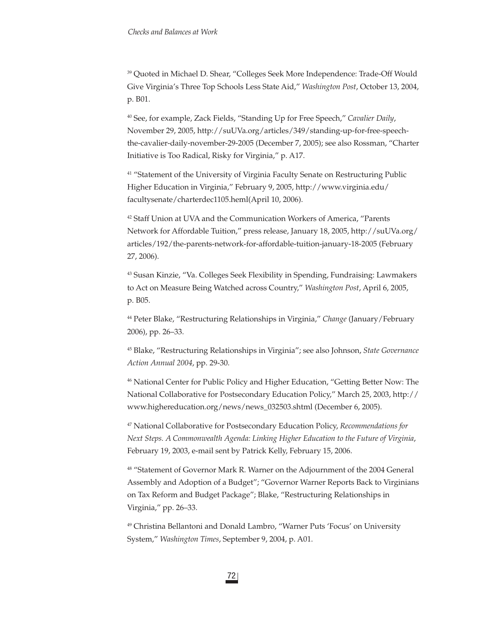39 Quoted in Michael D. Shear, "Colleges Seek More Independence: Trade-Off Would Give Virginia's Three Top Schools Less State Aid," *Washington Post*, October 13, 2004, p. B01.

40 See, for example, Zack Fields, "Standing Up for Free Speech," *Cavalier Daily*, November 29, 2005, http://suUVa.org/articles/349/standing-up-for-free-speechthe-cavalier-daily-november-29-2005 (December 7, 2005); see also Rossman, "Charter Initiative is Too Radical, Risky for Virginia," p. A17.

<sup>41</sup> "Statement of the University of Virginia Faculty Senate on Restructuring Public Higher Education in Virginia," February 9, 2005, http://www.virginia.edu/ facultysenate/charterdec1105.heml(April 10, 2006).

<sup>42</sup> Staff Union at UVA and the Communication Workers of America, "Parents Network for Affordable Tuition," press release, January 18, 2005, http://suUVa.org/ articles/192/the-parents-network-for-affordable-tuition-january-18-2005 (February 27, 2006).

43 Susan Kinzie, "Va. Colleges Seek Flexibility in Spending, Fundraising: Lawmakers to Act on Measure Being Watched across Country," *Washington Post*, April 6, 2005, p. B05.

44 Peter Blake, "Restructuring Relationships in Virginia," *Change* (January/February 2006), pp. 26–33.

45 Blake, "Restructuring Relationships in Virginia"; see also Johnson, *State Governance Action Annual 2004*, pp. 29-30.

46 National Center for Public Policy and Higher Education, "Getting Better Now: The National Collaborative for Postsecondary Education Policy," March 25, 2003, http:// www.highereducation.org/news/news\_032503.shtml (December 6, 2005).

47 National Collaborative for Postsecondary Education Policy, *Recommendations for Next Steps. A Commonwealth Agenda: Linking Higher Education to the Future of Virginia*, February 19, 2003, e-mail sent by Patrick Kelly, February 15, 2006.

48 "Statement of Governor Mark R. Warner on the Adjournment of the 2004 General Assembly and Adoption of a Budget"; "Governor Warner Reports Back to Virginians on Tax Reform and Budget Package"; Blake, "Restructuring Relationships in Virginia," pp. 26–33.

49 Christina Bellantoni and Donald Lambro, "Warner Puts 'Focus' on University System," *Washington Times*, September 9, 2004, p. A01.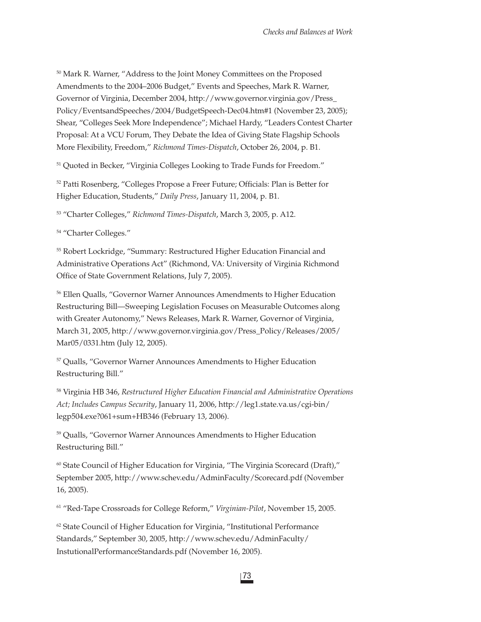50 Mark R. Warner, "Address to the Joint Money Committees on the Proposed Amendments to the 2004–2006 Budget," Events and Speeches, Mark R. Warner, Governor of Virginia, December 2004, http://www.governor.virginia.gov/Press\_ Policy/EventsandSpeeches/2004/BudgetSpeech-Dec04.htm#1 (November 23, 2005); Shear, "Colleges Seek More Independence"; Michael Hardy, "Leaders Contest Charter Proposal: At a VCU Forum, They Debate the Idea of Giving State Flagship Schools More Flexibility, Freedom," *Richmond Times-Dispatch*, October 26, 2004, p. B1.

51 Quoted in Becker, "Virginia Colleges Looking to Trade Funds for Freedom."

<sup>52</sup> Patti Rosenberg, "Colleges Propose a Freer Future; Officials: Plan is Better for Higher Education, Students," *Daily Press*, January 11, 2004, p. B1.

53 "Charter Colleges," *Richmond Times-Dispatch*, March 3, 2005, p. A12.

54 "Charter Colleges."

55 Robert Lockridge, "Summary: Restructured Higher Education Financial and Administrative Operations Act" (Richmond, VA: University of Virginia Richmond Office of State Government Relations, July 7, 2005).

56 Ellen Qualls, "Governor Warner Announces Amendments to Higher Education Restructuring Bill—Sweeping Legislation Focuses on Measurable Outcomes along with Greater Autonomy," News Releases, Mark R. Warner, Governor of Virginia, March 31, 2005, http://www.governor.virginia.gov/Press\_Policy/Releases/2005/ Mar05/0331.htm (July 12, 2005).

<sup>57</sup> Qualls, "Governor Warner Announces Amendments to Higher Education Restructuring Bill."

58 Virginia HB 346, *Restructured Higher Education Financial and Administrative Operations Act; Includes Campus Security*, January 11, 2006, http://leg1.state.va.us/cgi-bin/ legp504.exe?061+sum+HB346 (February 13, 2006).

<sup>59</sup> Qualls, "Governor Warner Announces Amendments to Higher Education Restructuring Bill."

<sup>60</sup> State Council of Higher Education for Virginia, "The Virginia Scorecard (Draft)," September 2005, http://www.schev.edu/AdminFaculty/Scorecard.pdf (November 16, 2005).

61 "Red-Tape Crossroads for College Reform," *Virginian-Pilot*, November 15, 2005.

 $62$  State Council of Higher Education for Virginia, "Institutional Performance Standards," September 30, 2005, http://www.schev.edu/AdminFaculty/ InstutionalPerformanceStandards.pdf (November 16, 2005).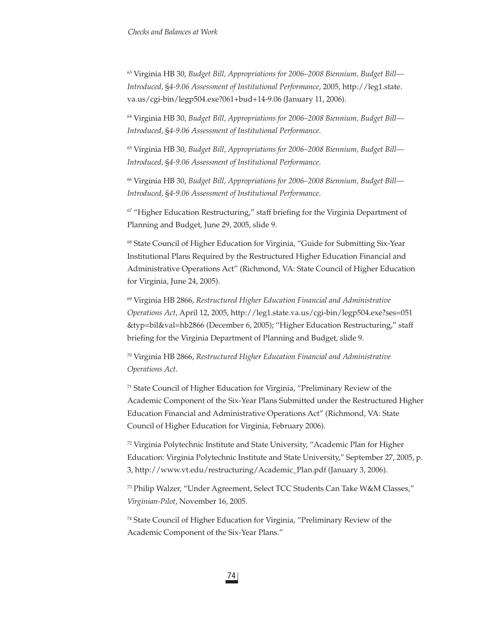63 Virginia HB 30, *Budget Bill, Appropriations for 2006–2008 Biennium, Budget Bill— Introduced,* §*4-9.06 Assessment of Institutional Performance*, 2005, http://leg1.state. va.us/cgi-bin/legp504.exe?061+bud+14-9.06 (January 11, 2006).

64 Virginia HB 30, *Budget Bill, Appropriations for 2006–2008 Biennium, Budget Bill— Introduced,* §*4-9.06 Assessment of Institutional Performance*.

65 Virginia HB 30, *Budget Bill, Appropriations for 2006–2008 Biennium, Budget Bill— Introduced,* §*4-9.06 Assessment of Institutional Performance*.

66 Virginia HB 30, *Budget Bill, Appropriations for 2006–2008 Biennium, Budget Bill— Introduced,* §*4-9.06 Assessment of Institutional Performance*.

 $67$  "Higher Education Restructuring," staff briefing for the Virginia Department of Planning and Budget, June 29, 2005, slide 9.

68 State Council of Higher Education for Virginia, "Guide for Submitting Six-Year Institutional Plans Required by the Restructured Higher Education Financial and Administrative Operations Act" (Richmond, VA: State Council of Higher Education for Virginia, June 24, 2005).

69 Virginia HB 2866, *Restructured Higher Education Financial and Administrative Operations Act*, April 12, 2005, http://leg1.state.va.us/cgi-bin/legp504.exe?ses=051 &typ=bil&val=hb2866 (December 6, 2005); "Higher Education Restructuring," staff briefing for the Virginia Department of Planning and Budget, slide 9.

70 Virginia HB 2866, *Restructured Higher Education Financial and Administrative Operations Act*.

71 State Council of Higher Education for Virginia, "Preliminary Review of the Academic Component of the Six-Year Plans Submitted under the Restructured Higher Education Financial and Administrative Operations Act" (Richmond, VA: State Council of Higher Education for Virginia, February 2006).

72 Virginia Polytechnic Institute and State University, "Academic Plan for Higher Education: Virginia Polytechnic Institute and State University," September 27, 2005, p. 3, http://www.vt.edu/restructuring/Academic\_Plan.pdf (January 3, 2006).

73 Philip Walzer, "Under Agreement, Select TCC Students Can Take W&M Classes," *Virginian-Pilot*, November 16, 2005.

74 State Council of Higher Education for Virginia, "Preliminary Review of the Academic Component of the Six-Year Plans."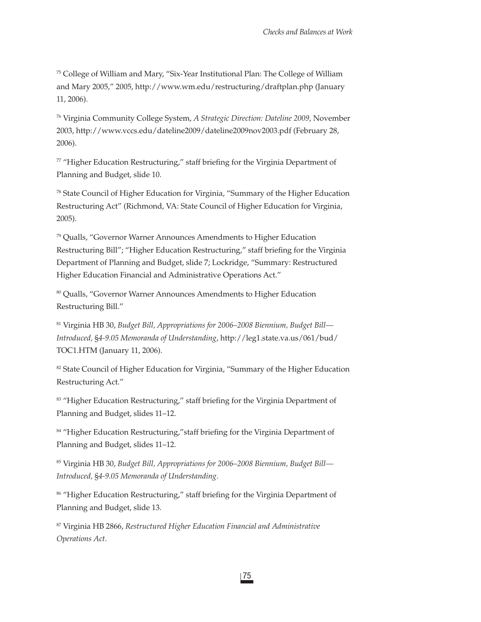75 College of William and Mary, "Six-Year Institutional Plan: The College of William and Mary 2005," 2005, http://www.wm.edu/restructuring/draftplan.php (January 11, 2006).

76 Virginia Community College System, *A Strategic Direction: Dateline 2009*, November 2003, http://www.vccs.edu/dateline2009/dateline2009nov2003.pdf (February 28, 2006).

 $77$  "Higher Education Restructuring," staff briefing for the Virginia Department of Planning and Budget, slide 10.

78 State Council of Higher Education for Virginia, "Summary of the Higher Education Restructuring Act" (Richmond, VA: State Council of Higher Education for Virginia, 2005).

79 Qualls, "Governor Warner Announces Amendments to Higher Education Restructuring Bill"; "Higher Education Restructuring," staff briefing for the Virginia Department of Planning and Budget, slide 7; Lockridge, "Summary: Restructured Higher Education Financial and Administrative Operations Act."

<sup>80</sup> Qualls, "Governor Warner Announces Amendments to Higher Education Restructuring Bill."

81 Virginia HB 30, *Budget Bill, Appropriations for 2006–2008 Biennium, Budget Bill— Introduced,* §*4-9.05 Memoranda of Understanding*, http://leg1.state.va.us/061/bud/ TOC1.HTM (January 11, 2006).

<sup>82</sup> State Council of Higher Education for Virginia, "Summary of the Higher Education Restructuring Act."

83 "Higher Education Restructuring," staff briefing for the Virginia Department of Planning and Budget, slides 11–12.

<sup>84</sup> "Higher Education Restructuring," staff briefing for the Virginia Department of Planning and Budget, slides 11–12.

85 Virginia HB 30, *Budget Bill, Appropriations for 2006–2008 Biennium, Budget Bill— Introduced,* §*4-9.05 Memoranda of Understanding*.

<sup>86</sup> "Higher Education Restructuring," staff briefing for the Virginia Department of Planning and Budget, slide 13.

87 Virginia HB 2866, *Restructured Higher Education Financial and Administrative Operations Act*.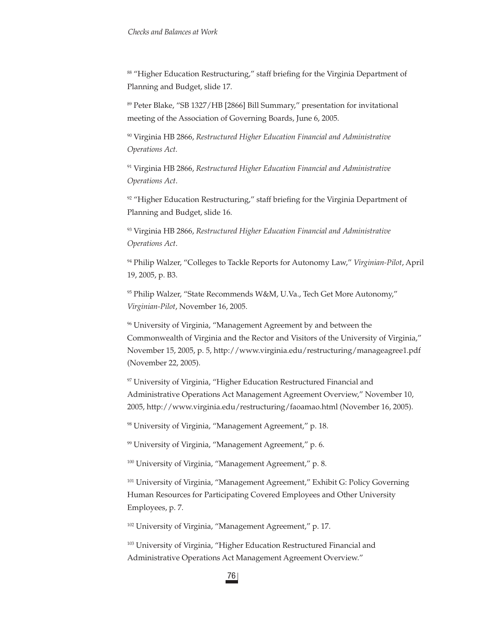88 "Higher Education Restructuring," staff briefing for the Virginia Department of Planning and Budget, slide 17.

89 Peter Blake, "SB 1327/HB [2866] Bill Summary," presentation for invitational meeting of the Association of Governing Boards, June 6, 2005.

90 Virginia HB 2866, *Restructured Higher Education Financial and Administrative Operations Act.*

91 Virginia HB 2866, *Restructured Higher Education Financial and Administrative Operations Act*.

 $92$  "Higher Education Restructuring," staff briefing for the Virginia Department of Planning and Budget, slide 16.

93 Virginia HB 2866, *Restructured Higher Education Financial and Administrative Operations Act*.

94 Philip Walzer, "Colleges to Tackle Reports for Autonomy Law," *Virginian-Pilot*, April 19, 2005, p. B3.

95 Philip Walzer, "State Recommends W&M, U.Va., Tech Get More Autonomy," *Virginian-Pilot*, November 16, 2005.

<sup>96</sup> University of Virginia, "Management Agreement by and between the Commonwealth of Virginia and the Rector and Visitors of the University of Virginia," November 15, 2005, p. 5, http://www.virginia.edu/restructuring/manageagree1.pdf (November 22, 2005).

<sup>97</sup> University of Virginia, "Higher Education Restructured Financial and Administrative Operations Act Management Agreement Overview," November 10, 2005, http://www.virginia.edu/restructuring/faoamao.html (November 16, 2005).

98 University of Virginia, "Management Agreement," p. 18.

<sup>99</sup> University of Virginia, "Management Agreement," p. 6.

100 University of Virginia, "Management Agreement," p. 8.

101 University of Virginia, "Management Agreement," Exhibit G: Policy Governing Human Resources for Participating Covered Employees and Other University Employees, p. 7.

102 University of Virginia, "Management Agreement," p. 17.

<sup>103</sup> University of Virginia, "Higher Education Restructured Financial and Administrative Operations Act Management Agreement Overview."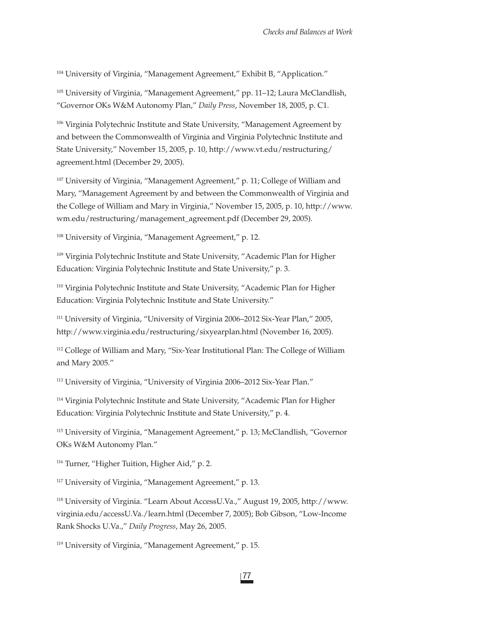104 University of Virginia, "Management Agreement," Exhibit B, "Application."

105 University of Virginia, "Management Agreement," pp. 11–12; Laura McClandlish, "Governor OKs W&M Autonomy Plan," *Daily Press*, November 18, 2005, p. C1.

<sup>106</sup> Virginia Polytechnic Institute and State University, "Management Agreement by and between the Commonwealth of Virginia and Virginia Polytechnic Institute and State University," November 15, 2005, p. 10, http://www.vt.edu/restructuring/ agreement.html (December 29, 2005).

<sup>107</sup> University of Virginia, "Management Agreement," p. 11; College of William and Mary, "Management Agreement by and between the Commonwealth of Virginia and the College of William and Mary in Virginia," November 15, 2005, p. 10, http://www. wm.edu/restructuring/management\_agreement.pdf (December 29, 2005).

108 University of Virginia, "Management Agreement," p. 12.

109 Virginia Polytechnic Institute and State University, "Academic Plan for Higher Education: Virginia Polytechnic Institute and State University," p. 3.

110 Virginia Polytechnic Institute and State University, "Academic Plan for Higher Education: Virginia Polytechnic Institute and State University."

111 University of Virginia, "University of Virginia 2006–2012 Six-Year Plan," 2005, http://www.virginia.edu/restructuring/sixyearplan.html (November 16, 2005).

<sup>112</sup> College of William and Mary, "Six-Year Institutional Plan: The College of William and Mary 2005."

113 University of Virginia, "University of Virginia 2006–2012 Six-Year Plan."

<sup>114</sup> Virginia Polytechnic Institute and State University, "Academic Plan for Higher Education: Virginia Polytechnic Institute and State University," p. 4.

115 University of Virginia, "Management Agreement," p. 13; McClandlish, "Governor OKs W&M Autonomy Plan."

116 Turner, "Higher Tuition, Higher Aid," p. 2.

117 University of Virginia, "Management Agreement," p. 13.

118 University of Virginia. "Learn About AccessU.Va.," August 19, 2005, http://www. virginia.edu/accessU.Va./learn.html (December 7, 2005); Bob Gibson, "Low-Income Rank Shocks U.Va.," *Daily Progress*, May 26, 2005.

119 University of Virginia, "Management Agreement," p. 15.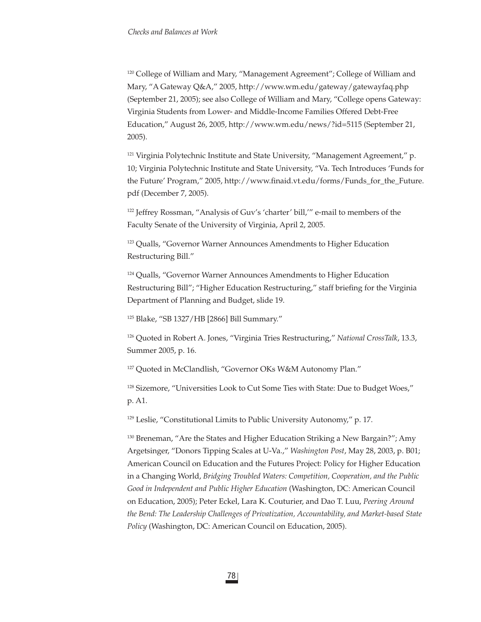120 College of William and Mary, "Management Agreement"; College of William and Mary, "A Gateway Q&A," 2005, http://www.wm.edu/gateway/gatewayfaq.php (September 21, 2005); see also College of William and Mary, "College opens Gateway: Virginia Students from Lower- and Middle-Income Families Offered Debt-Free Education," August 26, 2005, http://www.wm.edu/news/?id=5115 (September 21, 2005).

<sup>121</sup> Virginia Polytechnic Institute and State University, "Management Agreement," p. 10; Virginia Polytechnic Institute and State University, "Va. Tech Introduces 'Funds for the Future' Program," 2005, http://www.finaid.vt.edu/forms/Funds\_for\_the\_Future. pdf (December 7, 2005).

122 Jeffrey Rossman, "Analysis of Guv's 'charter' bill,'" e-mail to members of the Faculty Senate of the University of Virginia, April 2, 2005.

<sup>123</sup> Qualls, "Governor Warner Announces Amendments to Higher Education Restructuring Bill."

<sup>124</sup> Qualls, "Governor Warner Announces Amendments to Higher Education Restructuring Bill"; "Higher Education Restructuring," staff briefing for the Virginia Department of Planning and Budget, slide 19.

125 Blake, "SB 1327/HB [2866] Bill Summary."

126 Quoted in Robert A. Jones, "Virginia Tries Restructuring," *National CrossTalk*, 13.3, Summer 2005, p. 16.

127 Quoted in McClandlish, "Governor OKs W&M Autonomy Plan."

128 Sizemore, "Universities Look to Cut Some Ties with State: Due to Budget Woes," p. A1.

129 Leslie, "Constitutional Limits to Public University Autonomy," p. 17.

<sup>130</sup> Breneman, "Are the States and Higher Education Striking a New Bargain?"; Amy Argetsinger, "Donors Tipping Scales at U-Va.," *Washington Post*, May 28, 2003, p. B01; American Council on Education and the Futures Project: Policy for Higher Education in a Changing World, *Bridging Troubled Waters: Competition, Cooperation, and the Public Good in Independent and Public Higher Education* (Washington, DC: American Council on Education, 2005); Peter Eckel, Lara K. Couturier, and Dao T. Luu, *Peering Around the Bend: The Leadership Challenges of Privatization, Accountability, and Market-based State Policy* (Washington, DC: American Council on Education, 2005).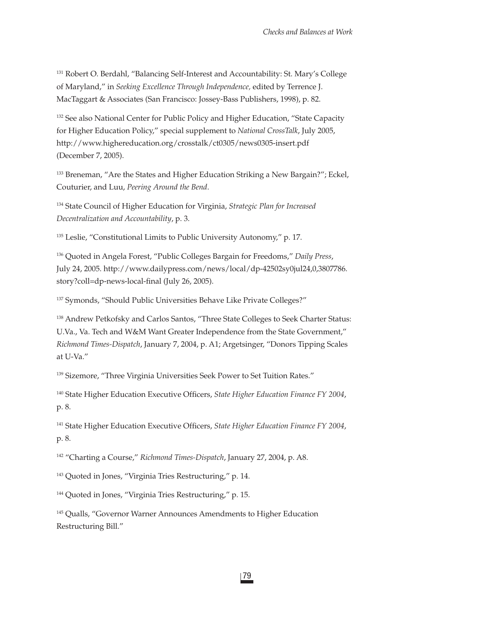131 Robert O. Berdahl, "Balancing Self-Interest and Accountability: St. Mary's College of Maryland," in *Seeking Excellence Through Independence,* edited by Terrence J. MacTaggart & Associates (San Francisco: Jossey-Bass Publishers, 1998), p. 82.

<sup>132</sup> See also National Center for Public Policy and Higher Education, "State Capacity for Higher Education Policy," special supplement to *National CrossTalk*, July 2005, http://www.highereducation.org/crosstalk/ct0305/news0305-insert.pdf (December 7, 2005).

<sup>133</sup> Breneman, "Are the States and Higher Education Striking a New Bargain?"; Eckel, Couturier, and Luu, *Peering Around the Bend*.

134 State Council of Higher Education for Virginia, *Strategic Plan for Increased Decentralization and Accountability*, p. 3.

<sup>135</sup> Leslie, "Constitutional Limits to Public University Autonomy," p. 17.

136 Quoted in Angela Forest, "Public Colleges Bargain for Freedoms," *Daily Press*, July 24, 2005. http://www.dailypress.com/news/local/dp-42502sy0jul24,0,3807786. story?coll=dp-news-local-final (July 26, 2005).

137 Symonds, "Should Public Universities Behave Like Private Colleges?"

138 Andrew Petkofsky and Carlos Santos, "Three State Colleges to Seek Charter Status: U.Va., Va. Tech and W&M Want Greater Independence from the State Government," *Richmond Times-Dispatch*, January 7, 2004, p. A1; Argetsinger, "Donors Tipping Scales at U-Va."

<sup>139</sup> Sizemore, "Three Virginia Universities Seek Power to Set Tuition Rates."

<sup>140</sup> State Higher Education Executive Officers, *State Higher Education Finance FY* 2004, p. 8.

<sup>141</sup> State Higher Education Executive Officers, *State Higher Education Finance FY 2004*, p. 8.

142 "Charting a Course," *Richmond Times-Dispatch*, January 27, 2004, p. A8.

143 Quoted in Jones, "Virginia Tries Restructuring," p. 14.

144 Quoted in Jones, "Virginia Tries Restructuring," p. 15.

<sup>145</sup> Qualls, "Governor Warner Announces Amendments to Higher Education Restructuring Bill."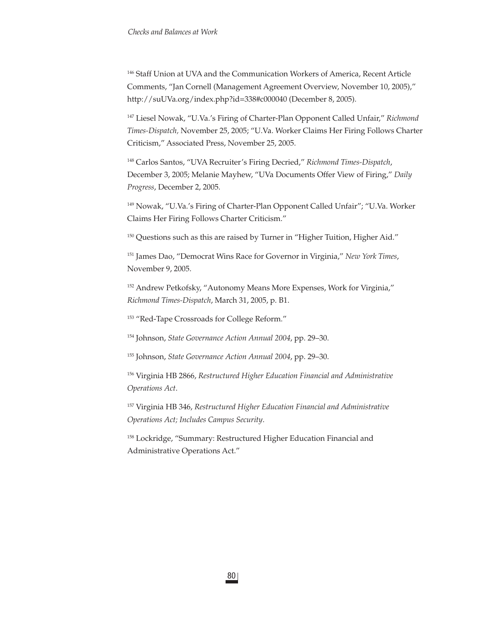146 Staff Union at UVA and the Communication Workers of America, Recent Article Comments, "Jan Cornell (Management Agreement Overview, November 10, 2005)," http://suUVa.org/index.php?id=338#c000040 (December 8, 2005).

147 Liesel Nowak, "U.Va.'s Firing of Charter-Plan Opponent Called Unfair," *Richmond Times-Dispatch,* November 25, 2005; "U.Va. Worker Claims Her Firing Follows Charter Criticism," Associated Press, November 25, 2005.

148 Carlos Santos, "UVA Recruiter's Firing Decried," *Richmond Times-Dispatch*, December 3, 2005; Melanie Mayhew, "UVa Documents Offer View of Firing," *Daily Progress*, December 2, 2005.

149 Nowak, "U.Va.'s Firing of Charter-Plan Opponent Called Unfair"; "U.Va. Worker Claims Her Firing Follows Charter Criticism."

<sup>150</sup> Questions such as this are raised by Turner in "Higher Tuition, Higher Aid."

151 James Dao, "Democrat Wins Race for Governor in Virginia," *New York Times*, November 9, 2005.

<sup>152</sup> Andrew Petkofsky, "Autonomy Means More Expenses, Work for Virginia," *Richmond Times-Dispatch*, March 31, 2005, p. B1.

153 "Red-Tape Crossroads for College Reform."

154 Johnson, *State Governance Action Annual 2004*, pp. 29–30.

155 Johnson, *State Governance Action Annual 2004*, pp. 29–30.

156 Virginia HB 2866, *Restructured Higher Education Financial and Administrative Operations Act*.

157 Virginia HB 346, *Restructured Higher Education Financial and Administrative Operations Act; Includes Campus Security*.

<sup>158</sup> Lockridge, "Summary: Restructured Higher Education Financial and Administrative Operations Act."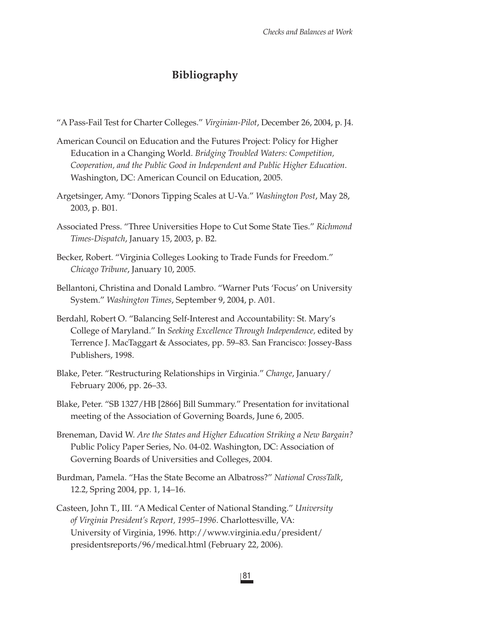## **Bibliography**

- "A Pass-Fail Test for Charter Colleges." *Virginian-Pilot*, December 26, 2004, p. J4.
- American Council on Education and the Futures Project: Policy for Higher Education in a Changing World. *Bridging Troubled Waters: Competition, Cooperation, and the Public Good in Independent and Public Higher Education*. Washington, DC: American Council on Education, 2005.
- Argetsinger, Amy. "Donors Tipping Scales at U-Va." *Washington Post*, May 28, 2003, p. B01.
- Associated Press. "Three Universities Hope to Cut Some State Ties." *Richmond Times-Dispatch*, January 15, 2003, p. B2.
- Becker, Robert. "Virginia Colleges Looking to Trade Funds for Freedom." *Chicago Tribune*, January 10, 2005.
- Bellantoni, Christina and Donald Lambro. "Warner Puts 'Focus' on University System." *Washington Times*, September 9, 2004, p. A01.
- Berdahl, Robert O. "Balancing Self-Interest and Accountability: St. Mary's College of Maryland." In *Seeking Excellence Through Independence,* edited by Terrence J. MacTaggart & Associates, pp. 59–83*.* San Francisco: Jossey-Bass Publishers, 1998.
- Blake, Peter. "Restructuring Relationships in Virginia." *Change*, January/ February 2006, pp. 26–33.
- Blake, Peter. "SB 1327/HB [2866] Bill Summary." Presentation for invitational meeting of the Association of Governing Boards, June 6, 2005.
- Breneman, David W. *Are the States and Higher Education Striking a New Bargain?* Public Policy Paper Series, No. 04-02. Washington, DC: Association of Governing Boards of Universities and Colleges, 2004.
- Burdman, Pamela. "Has the State Become an Albatross?" *National CrossTalk*, 12.2, Spring 2004, pp. 1, 14–16.
- Casteen, John T., III. "A Medical Center of National Standing." *University of Virginia President's Report, 1995–1996*. Charlottesville, VA: University of Virginia, 1996. http://www.virginia.edu/president/ presidentsreports/96/medical.html (February 22, 2006).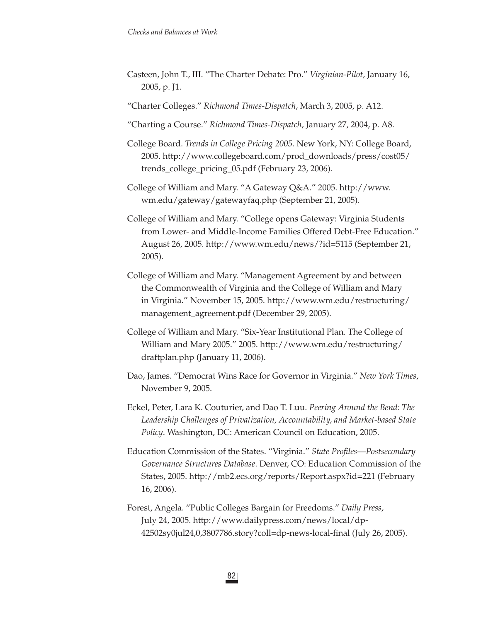- Casteen, John T., III. "The Charter Debate: Pro." *Virginian-Pilot*, January 16, 2005, p. J1.
- "Charter Colleges." *Richmond Times-Dispatch*, March 3, 2005, p. A12.
- "Charting a Course." *Richmond Times-Dispatch*, January 27, 2004, p. A8.
- College Board. *Trends in College Pricing 2005*. New York, NY: College Board, 2005. http://www.collegeboard.com/prod\_downloads/press/cost05/ trends\_college\_pricing\_05.pdf (February 23, 2006).
- College of William and Mary. "A Gateway Q&A." 2005. http://www. wm.edu/gateway/gatewayfaq.php (September 21, 2005).
- College of William and Mary. "College opens Gateway: Virginia Students from Lower- and Middle-Income Families Offered Debt-Free Education." August 26, 2005. http://www.wm.edu/news/?id=5115 (September 21, 2005).
- College of William and Mary. "Management Agreement by and between the Commonwealth of Virginia and the College of William and Mary in Virginia." November 15, 2005. http://www.wm.edu/restructuring/ management\_agreement.pdf (December 29, 2005).
- College of William and Mary. "Six-Year Institutional Plan. The College of William and Mary 2005." 2005. http://www.wm.edu/restructuring/ draftplan.php (January 11, 2006).
- Dao, James. "Democrat Wins Race for Governor in Virginia." *New York Times*, November 9, 2005.
- Eckel, Peter, Lara K. Couturier, and Dao T. Luu. *Peering Around the Bend: The Leadership Challenges of Privatization, Accountability, and Market-based State Policy*. Washington, DC: American Council on Education, 2005.
- Education Commission of the States. "Virginia." *State Profiles—Postsecondary Governance Structures Database*. Denver, CO: Education Commission of the States, 2005. http://mb2.ecs.org/reports/Report.aspx?id=221 (February 16, 2006).
- Forest, Angela. "Public Colleges Bargain for Freedoms." *Daily Press*, July 24, 2005. http://www.dailypress.com/news/local/dp-42502sy0jul24,0,3807786.story?coll=dp-news-local-final (July 26, 2005).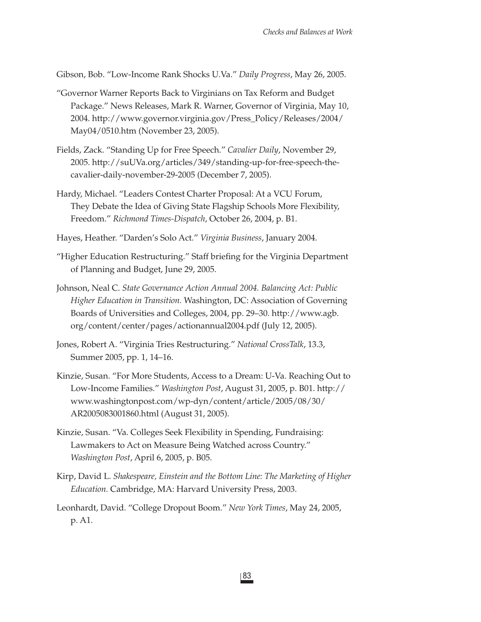Gibson, Bob. "Low-Income Rank Shocks U.Va." *Daily Progress*, May 26, 2005.

- "Governor Warner Reports Back to Virginians on Tax Reform and Budget Package." News Releases, Mark R. Warner, Governor of Virginia, May 10, 2004. http://www.governor.virginia.gov/Press\_Policy/Releases/2004/ May04/0510.htm (November 23, 2005).
- Fields, Zack. "Standing Up for Free Speech." *Cavalier Daily*, November 29, 2005. http://suUVa.org/articles/349/standing-up-for-free-speech-thecavalier-daily-november-29-2005 (December 7, 2005).
- Hardy, Michael. "Leaders Contest Charter Proposal: At a VCU Forum, They Debate the Idea of Giving State Flagship Schools More Flexibility, Freedom." *Richmond Times-Dispatch*, October 26, 2004, p. B1.
- Hayes, Heather. "Darden's Solo Act." *Virginia Business*, January 2004.
- "Higher Education Restructuring." Staff briefing for the Virginia Department of Planning and Budget, June 29, 2005.
- Johnson, Neal C. *State Governance Action Annual 2004. Balancing Act: Public Higher Education in Transition.* Washington, DC: Association of Governing Boards of Universities and Colleges, 2004, pp. 29–30. http://www.agb. org/content/center/pages/actionannual2004.pdf (July 12, 2005).
- Jones, Robert A. "Virginia Tries Restructuring." *National CrossTalk*, 13.3, Summer 2005, pp. 1, 14–16.
- Kinzie, Susan. "For More Students, Access to a Dream: U-Va. Reaching Out to Low-Income Families." *Washington Post*, August 31, 2005, p. B01. http:// www.washingtonpost.com/wp-dyn/content/article/2005/08/30/ AR2005083001860.html (August 31, 2005).
- Kinzie, Susan. "Va. Colleges Seek Flexibility in Spending, Fundraising: Lawmakers to Act on Measure Being Watched across Country." *Washington Post*, April 6, 2005, p. B05.
- Kirp, David L. *Shakespeare, Einstein and the Bottom Line: The Marketing of Higher Education.* Cambridge, MA: Harvard University Press, 2003.
- Leonhardt, David. "College Dropout Boom." *New York Times*, May 24, 2005, p. A1.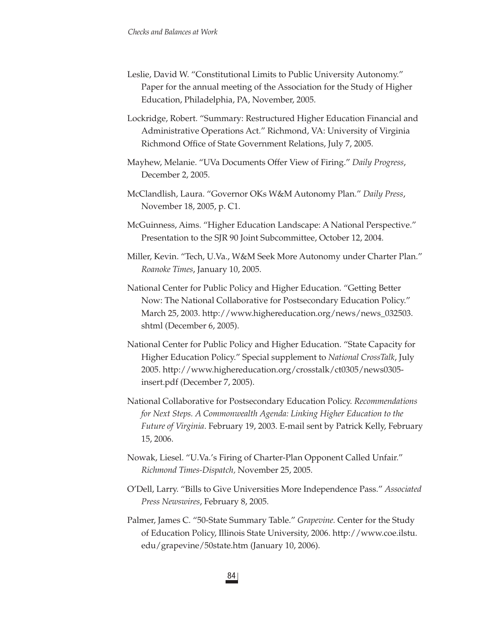- Leslie, David W. "Constitutional Limits to Public University Autonomy." Paper for the annual meeting of the Association for the Study of Higher Education, Philadelphia, PA, November, 2005.
- Lockridge, Robert. "Summary: Restructured Higher Education Financial and Administrative Operations Act." Richmond, VA: University of Virginia Richmond Office of State Government Relations, July 7, 2005.
- Mayhew, Melanie. "UVa Documents Offer View of Firing." *Daily Progress*, December 2, 2005.
- McClandlish, Laura. "Governor OKs W&M Autonomy Plan." *Daily Press*, November 18, 2005, p. C1.
- McGuinness, Aims. "Higher Education Landscape: A National Perspective." Presentation to the SJR 90 Joint Subcommittee, October 12, 2004.
- Miller, Kevin. "Tech, U.Va., W&M Seek More Autonomy under Charter Plan." *Roanoke Times*, January 10, 2005.
- National Center for Public Policy and Higher Education. "Getting Better Now: The National Collaborative for Postsecondary Education Policy." March 25, 2003. http://www.highereducation.org/news/news\_032503. shtml (December 6, 2005).
- National Center for Public Policy and Higher Education. "State Capacity for Higher Education Policy." Special supplement to *National CrossTalk*, July 2005. http://www.highereducation.org/crosstalk/ct0305/news0305 insert.pdf (December 7, 2005).
- National Collaborative for Postsecondary Education Policy. *Recommendations for Next Steps. A Commonwealth Agenda: Linking Higher Education to the Future of Virginia*. February 19, 2003. E-mail sent by Patrick Kelly, February 15, 2006.
- Nowak, Liesel. "U.Va.'s Firing of Charter-Plan Opponent Called Unfair." *Richmond Times-Dispatch,* November 25, 2005.
- O'Dell, Larry. "Bills to Give Universities More Independence Pass." *Associated Press Newswires*, February 8, 2005.
- Palmer, James C. "50-State Summary Table." *Grapevine.* Center for the Study of Education Policy, Illinois State University, 2006. http://www.coe.ilstu. edu/grapevine/50state.htm (January 10, 2006).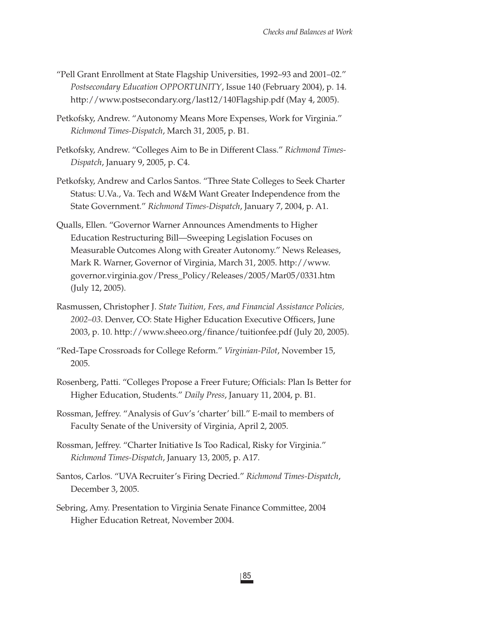- "Pell Grant Enrollment at State Flagship Universities, 1992–93 and 2001–02." *Postsecondary Education OPPORTUNITY*, Issue 140 (February 2004), p. 14. http://www.postsecondary.org/last12/140Flagship.pdf (May 4, 2005).
- Petkofsky, Andrew. "Autonomy Means More Expenses, Work for Virginia." *Richmond Times-Dispatch*, March 31, 2005, p. B1.
- Petkofsky, Andrew. "Colleges Aim to Be in Different Class." *Richmond Times-Dispatch*, January 9, 2005, p. C4.
- Petkofsky, Andrew and Carlos Santos. "Three State Colleges to Seek Charter Status: U.Va., Va. Tech and W&M Want Greater Independence from the State Government." *Richmond Times-Dispatch*, January 7, 2004, p. A1.
- Qualls, Ellen. "Governor Warner Announces Amendments to Higher Education Restructuring Bill—Sweeping Legislation Focuses on Measurable Outcomes Along with Greater Autonomy." News Releases, Mark R. Warner, Governor of Virginia, March 31, 2005. http://www. governor.virginia.gov/Press\_Policy/Releases/2005/Mar05/0331.htm (July 12, 2005).
- Rasmussen, Christopher J. *State Tuition, Fees, and Financial Assistance Policies,*  2002–03. Denver, CO: State Higher Education Executive Officers, June 2003, p. 10. http://www.sheeo.org/finance/tuitionfee.pdf (July 20, 2005).
- "Red-Tape Crossroads for College Reform." *Virginian-Pilot*, November 15, 2005.
- Rosenberg, Patti. "Colleges Propose a Freer Future; Officials: Plan Is Better for Higher Education, Students." *Daily Press*, January 11, 2004, p. B1.
- Rossman, Jeffrey. "Analysis of Guv's 'charter' bill." E-mail to members of Faculty Senate of the University of Virginia, April 2, 2005.
- Rossman, Jeffrey. "Charter Initiative Is Too Radical, Risky for Virginia." *Richmond Times-Dispatch*, January 13, 2005, p. A17.
- Santos, Carlos. "UVA Recruiter's Firing Decried." *Richmond Times-Dispatch*, December 3, 2005.
- Sebring, Amy. Presentation to Virginia Senate Finance Committee, 2004 Higher Education Retreat, November 2004.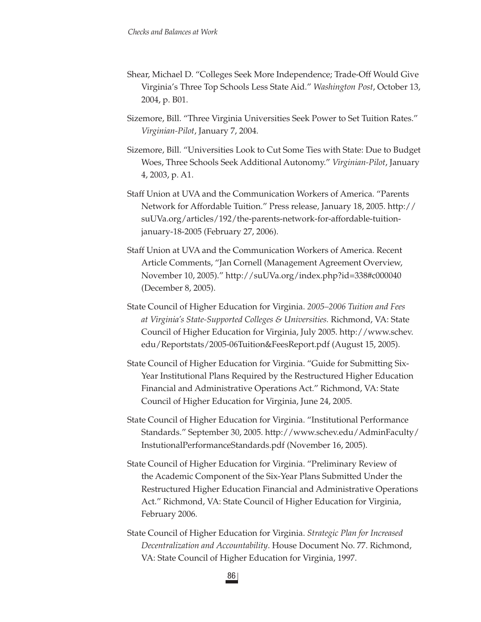- Shear, Michael D. "Colleges Seek More Independence; Trade-Off Would Give Virginia's Three Top Schools Less State Aid." *Washington Post*, October 13, 2004, p. B01.
- Sizemore, Bill. "Three Virginia Universities Seek Power to Set Tuition Rates." *Virginian-Pilot*, January 7, 2004.
- Sizemore, Bill. "Universities Look to Cut Some Ties with State: Due to Budget Woes, Three Schools Seek Additional Autonomy." *Virginian-Pilot*, January 4, 2003, p. A1.
- Staff Union at UVA and the Communication Workers of America. "Parents Network for Affordable Tuition." Press release, January 18, 2005. http:// suUVa.org/articles/192/the-parents-network-for-affordable-tuitionjanuary-18-2005 (February 27, 2006).
- Staff Union at UVA and the Communication Workers of America. Recent Article Comments, "Jan Cornell (Management Agreement Overview, November 10, 2005)." http://suUVa.org/index.php?id=338#c000040 (December 8, 2005).
- State Council of Higher Education for Virginia. *2005–2006 Tuition and Fees at Virginia's State-Supported Colleges & Universities.* Richmond, VA: State Council of Higher Education for Virginia, July 2005. http://www.schev. edu/Reportstats/2005-06Tuition&FeesReport.pdf (August 15, 2005).
- State Council of Higher Education for Virginia. "Guide for Submitting Six-Year Institutional Plans Required by the Restructured Higher Education Financial and Administrative Operations Act." Richmond, VA: State Council of Higher Education for Virginia, June 24, 2005.
- State Council of Higher Education for Virginia. "Institutional Performance Standards." September 30, 2005. http://www.schev.edu/AdminFaculty/ InstutionalPerformanceStandards.pdf (November 16, 2005).
- State Council of Higher Education for Virginia. "Preliminary Review of the Academic Component of the Six-Year Plans Submitted Under the Restructured Higher Education Financial and Administrative Operations Act." Richmond, VA: State Council of Higher Education for Virginia, February 2006.
- State Council of Higher Education for Virginia. *Strategic Plan for Increased Decentralization and Accountability*. House Document No. 77. Richmond, VA: State Council of Higher Education for Virginia, 1997.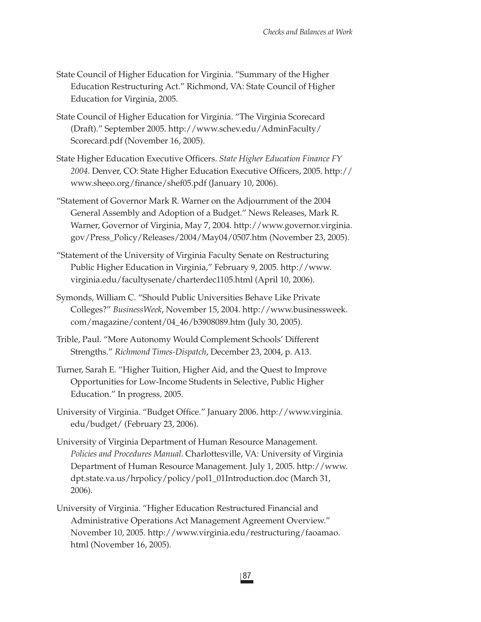- State Council of Higher Education for Virginia. "Summary of the Higher Education Restructuring Act." Richmond, VA: State Council of Higher Education for Virginia, 2005.
- State Council of Higher Education for Virginia. "The Virginia Scorecard (Draft)." September 2005. http://www.schev.edu/AdminFaculty/ Scorecard.pdf (November 16, 2005).
- State Higher Education Executive Officers. *State Higher Education Finance FY* 2004. Denver, CO: State Higher Education Executive Officers, 2005. http:// www.sheeo.org/finance/shef05.pdf (January 10, 2006).
- "Statement of Governor Mark R. Warner on the Adjournment of the 2004 General Assembly and Adoption of a Budget." News Releases, Mark R. Warner, Governor of Virginia, May 7, 2004. http://www.governor.virginia. gov/Press\_Policy/Releases/2004/May04/0507.htm (November 23, 2005).
- "Statement of the University of Virginia Faculty Senate on Restructuring Public Higher Education in Virginia," February 9, 2005. http://www. virginia.edu/facultysenate/charterdec1105.html (April 10, 2006).
- Symonds, William C. "Should Public Universities Behave Like Private Colleges?" *BusinessWeek*, November 15, 2004. http://www.businessweek. com/magazine/content/04\_46/b3908089.htm (July 30, 2005).
- Trible, Paul. "More Autonomy Would Complement Schools' Different Strengths." *Richmond Times-Dispatch*, December 23, 2004, p. A13.
- Turner, Sarah E. "Higher Tuition, Higher Aid, and the Quest to Improve Opportunities for Low-Income Students in Selective, Public Higher Education." In progress*,* 2005.
- University of Virginia. "Budget Office." January 2006. http://www.virginia. edu/budget/ (February 23, 2006).
- University of Virginia Department of Human Resource Management. *Policies and Procedures Manual*. Charlottesville, VA: University of Virginia Department of Human Resource Management. July 1, 2005. http://www. dpt.state.va.us/hrpolicy/policy/pol1\_01Introduction.doc (March 31, 2006).
- University of Virginia. "Higher Education Restructured Financial and Administrative Operations Act Management Agreement Overview." November 10, 2005. http://www.virginia.edu/restructuring/faoamao. html (November 16, 2005).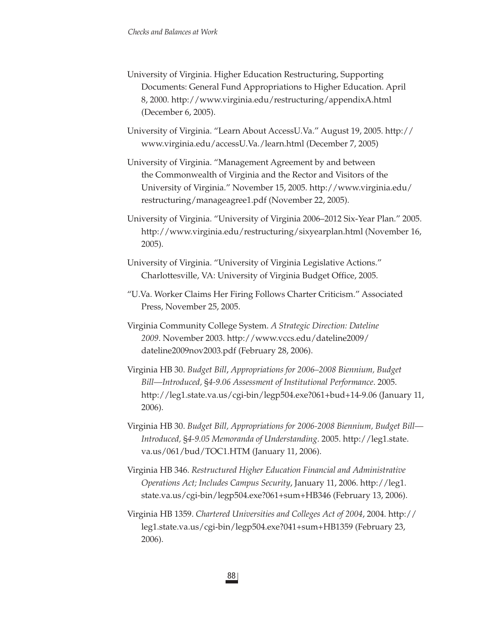University of Virginia. Higher Education Restructuring, Supporting Documents: General Fund Appropriations to Higher Education. April 8, 2000. http://www.virginia.edu/restructuring/appendixA.html (December 6, 2005).

University of Virginia. "Learn About AccessU.Va." August 19, 2005. http:// www.virginia.edu/accessU.Va./learn.html (December 7, 2005)

- University of Virginia. "Management Agreement by and between the Commonwealth of Virginia and the Rector and Visitors of the University of Virginia." November 15, 2005. http://www.virginia.edu/ restructuring/manageagree1.pdf (November 22, 2005).
- University of Virginia. "University of Virginia 2006–2012 Six-Year Plan." 2005. http://www.virginia.edu/restructuring/sixyearplan.html (November 16, 2005).
- University of Virginia. "University of Virginia Legislative Actions." Charlottesville, VA: University of Virginia Budget Office, 2005.
- "U.Va. Worker Claims Her Firing Follows Charter Criticism." Associated Press, November 25, 2005.
- Virginia Community College System. *A Strategic Direction: Dateline 2009*. November 2003. http://www.vccs.edu/dateline2009/ dateline2009nov2003.pdf (February 28, 2006).
- Virginia HB 30. *Budget Bill*, *Appropriations for 2006–2008 Biennium, Budget Bill—Introduced,* §*4-9.06 Assessment of Institutional Performance*. 2005. http://leg1.state.va.us/cgi-bin/legp504.exe?061+bud+14-9.06 (January 11, 2006).
- Virginia HB 30. *Budget Bill, Appropriations for 2006-2008 Biennium, Budget Bill— Introduced,* §*4-9.05 Memoranda of Understanding*. 2005. http://leg1.state. va.us/061/bud/TOC1.HTM (January 11, 2006).
- Virginia HB 346. *Restructured Higher Education Financial and Administrative Operations Act; Includes Campus Security*, January 11, 2006. http://leg1. state.va.us/cgi-bin/legp504.exe?061+sum+HB346 (February 13, 2006).
- Virginia HB 1359. *Chartered Universities and Colleges Act of 2004*, 2004. http:// leg1.state.va.us/cgi-bin/legp504.exe?041+sum+HB1359 (February 23, 2006).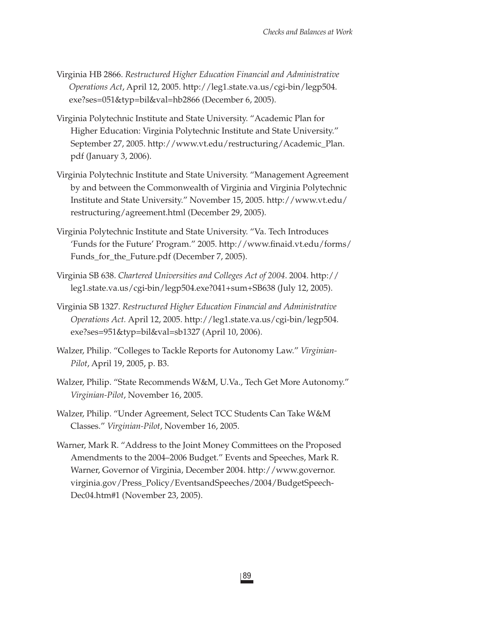- Virginia HB 2866. *Restructured Higher Education Financial and Administrative Operations Act*, April 12, 2005. http://leg1.state.va.us/cgi-bin/legp504. exe?ses=051&typ=bil&val=hb2866 (December 6, 2005).
- Virginia Polytechnic Institute and State University. "Academic Plan for Higher Education: Virginia Polytechnic Institute and State University." September 27, 2005. http://www.vt.edu/restructuring/Academic\_Plan. pdf (January 3, 2006).
- Virginia Polytechnic Institute and State University. "Management Agreement by and between the Commonwealth of Virginia and Virginia Polytechnic Institute and State University." November 15, 2005. http://www.vt.edu/ restructuring/agreement.html (December 29, 2005).
- Virginia Polytechnic Institute and State University. "Va. Tech Introduces 'Funds for the Future' Program." 2005. http://www.finaid.vt.edu/forms/ Funds\_for\_the\_Future.pdf (December 7, 2005).
- Virginia SB 638. *Chartered Universities and Colleges Act of 2004*. 2004. http:// leg1.state.va.us/cgi-bin/legp504.exe?041+sum+SB638 (July 12, 2005).
- Virginia SB 1327. *Restructured Higher Education Financial and Administrative Operations Act.* April 12, 2005. http://leg1.state.va.us/cgi-bin/legp504. exe?ses=951&typ=bil&val=sb1327 (April 10, 2006).
- Walzer, Philip. "Colleges to Tackle Reports for Autonomy Law." *Virginian-Pilot*, April 19, 2005, p. B3.
- Walzer, Philip. "State Recommends W&M, U.Va., Tech Get More Autonomy." *Virginian-Pilot*, November 16, 2005.
- Walzer, Philip. "Under Agreement, Select TCC Students Can Take W&M Classes." *Virginian-Pilot*, November 16, 2005.
- Warner, Mark R. "Address to the Joint Money Committees on the Proposed Amendments to the 2004–2006 Budget." Events and Speeches, Mark R. Warner, Governor of Virginia, December 2004. http://www.governor. virginia.gov/Press\_Policy/EventsandSpeeches/2004/BudgetSpeech-Dec04.htm#1 (November 23, 2005).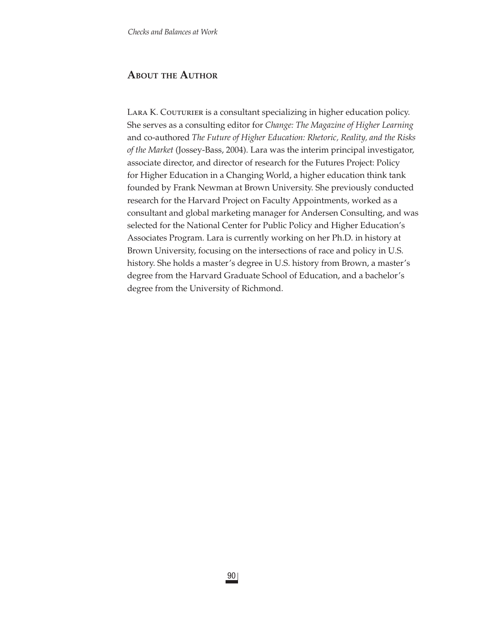## **ABOUT THE AUTHOR**

LARA K. COUTURIER is a consultant specializing in higher education policy. She serves as a consulting editor for *Change: The Magazine of Higher Learning* and co-authored *The Future of Higher Education: Rhetoric, Reality, and the Risks of the Market* (Jossey-Bass, 2004). Lara was the interim principal investigator, associate director, and director of research for the Futures Project: Policy for Higher Education in a Changing World, a higher education think tank founded by Frank Newman at Brown University. She previously conducted research for the Harvard Project on Faculty Appointments, worked as a consultant and global marketing manager for Andersen Consulting, and was selected for the National Center for Public Policy and Higher Education's Associates Program. Lara is currently working on her Ph.D. in history at Brown University, focusing on the intersections of race and policy in U.S. history. She holds a master's degree in U.S. history from Brown, a master's degree from the Harvard Graduate School of Education, and a bachelor's degree from the University of Richmond.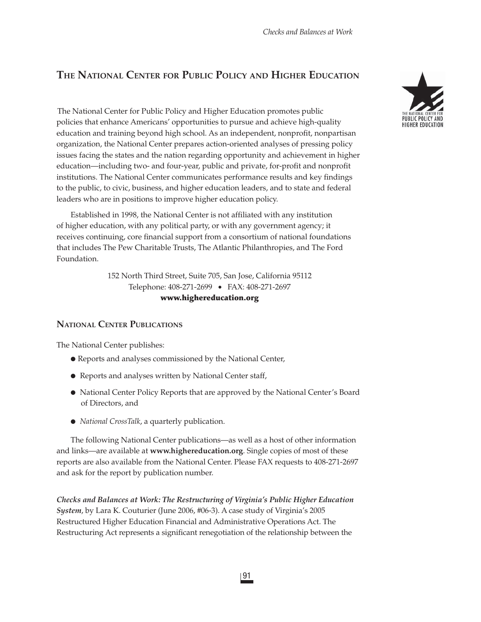# **THE NATIONAL CENTER FOR PUBLIC POLICY AND HIGHER EDUCATION**

The National Center for Public Policy and Higher Education promotes public policies that enhance Americans' opportunities to pursue and achieve high-quality education and training beyond high school. As an independent, nonprofit, nonpartisan organization, the National Center prepares action-oriented analyses of pressing policy issues facing the states and the nation regarding opportunity and achievement in higher education—including two- and four-year, public and private, for-profit and nonprofit institutions. The National Center communicates performance results and key findings to the public, to civic, business, and higher education leaders, and to state and federal leaders who are in positions to improve higher education policy.

Established in 1998, the National Center is not affiliated with any institution of higher education, with any political party, or with any government agency; it receives continuing, core financial support from a consortium of national foundations that includes The Pew Charitable Trusts, The Atlantic Philanthropies, and The Ford Foundation.

> 152 North Third Street, Suite 705, San Jose, California 95112 Telephone: 408-271-2699 • FAX: 408-271-2697 **www.highereducation.org**

### **NATIONAL CENTER PUBLICATIONS**

The National Center publishes:

- Reports and analyses commissioned by the National Center,
- Reports and analyses written by National Center staff,
- National Center Policy Reports that are approved by the National Center's Board of Directors, and
- *National CrossTalk*, a quarterly publication.

The following National Center publications—as well as a host of other information and links—are available at **www.highereducation.org**. Single copies of most of these reports are also available from the National Center. Please FAX requests to 408-271-2697 and ask for the report by publication number.

*Checks and Balances at Work: The Restructuring of Virginia's Public Higher Education System*, by Lara K. Couturier (June 2006, #06-3). A case study of Virginia's 2005 Restructured Higher Education Financial and Administrative Operations Act. The Restructuring Act represents a significant renegotiation of the relationship between the

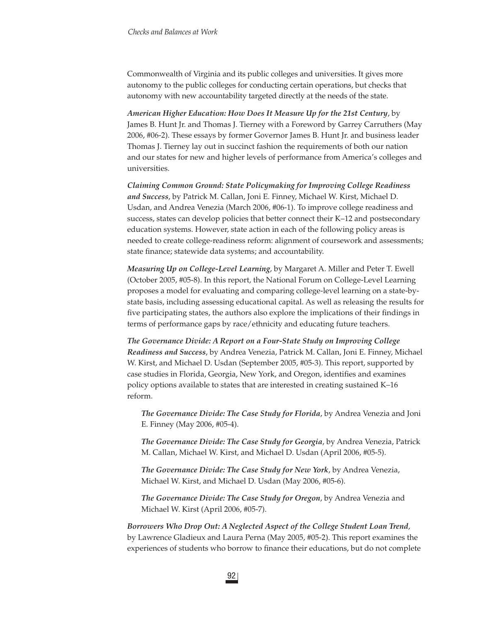Commonwealth of Virginia and its public colleges and universities. It gives more autonomy to the public colleges for conducting certain operations, but checks that autonomy with new accountability targeted directly at the needs of the state.

*American Higher Education: How Does It Measure Up for the 21st Century*, by James B. Hunt Jr. and Thomas J. Tierney with a Foreword by Garrey Carruthers (May 2006, #06-2). These essays by former Governor James B. Hunt Jr. and business leader Thomas J. Tierney lay out in succinct fashion the requirements of both our nation and our states for new and higher levels of performance from America's colleges and universities.

*Claiming Common Ground: State Policymaking for Improving College Readiness and Success*, by Patrick M. Callan, Joni E. Finney, Michael W. Kirst, Michael D. Usdan, and Andrea Venezia (March 2006, #06-1). To improve college readiness and success, states can develop policies that better connect their K–12 and postsecondary education systems. However, state action in each of the following policy areas is needed to create college-readiness reform: alignment of coursework and assessments; state finance; statewide data systems; and accountability.

*Measuring Up on College-Level Learning*, by Margaret A. Miller and Peter T. Ewell (October 2005, #05-8). In this report, the National Forum on College-Level Learning proposes a model for evaluating and comparing college-level learning on a state-bystate basis, including assessing educational capital. As well as releasing the results for five participating states, the authors also explore the implications of their findings in terms of performance gaps by race/ethnicity and educating future teachers.

*The Governance Divide: A Report on a Four-State Study on Improving College Readiness and Success*, by Andrea Venezia, Patrick M. Callan, Joni E. Finney, Michael W. Kirst, and Michael D. Usdan (September 2005, #05-3). This report, supported by case studies in Florida, Georgia, New York, and Oregon, identifies and examines policy options available to states that are interested in creating sustained K–16 reform.

*The Governance Divide: The Case Study for Florida*, by Andrea Venezia and Joni E. Finney (May 2006, #05-4).

*The Governance Divide: The Case Study for Georgia*, by Andrea Venezia, Patrick M. Callan, Michael W. Kirst, and Michael D. Usdan (April 2006, #05-5).

*The Governance Divide: The Case Study for New York*, by Andrea Venezia, Michael W. Kirst, and Michael D. Usdan (May 2006, #05-6).

*The Governance Divide: The Case Study for Oregon*, by Andrea Venezia and Michael W. Kirst (April 2006, #05-7).

*Borrowers Who Drop Out: A Neglected Aspect of the College Student Loan Trend*, by Lawrence Gladieux and Laura Perna (May 2005, #05-2). This report examines the experiences of students who borrow to finance their educations, but do not complete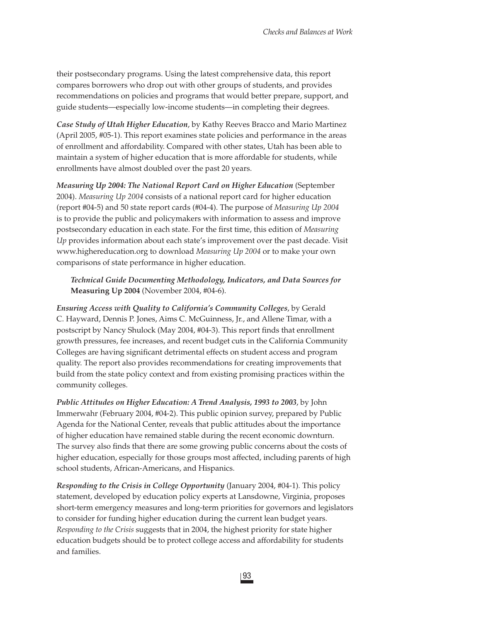their postsecondary programs. Using the latest comprehensive data, this report compares borrowers who drop out with other groups of students, and provides recommendations on policies and programs that would better prepare, support, and guide students—especially low-income students—in completing their degrees.

*Case Study of Utah Higher Education*, by Kathy Reeves Bracco and Mario Martinez (April 2005, #05-1). This report examines state policies and performance in the areas of enrollment and affordability. Compared with other states, Utah has been able to maintain a system of higher education that is more affordable for students, while enrollments have almost doubled over the past 20 years.

*Measuring Up 2004: The National Report Card on Higher Education* (September 2004). *Measuring Up 2004* consists of a national report card for higher education (report #04-5) and 50 state report cards (#04-4). The purpose of *Measuring Up 2004* is to provide the public and policymakers with information to assess and improve postsecondary education in each state. For the first time, this edition of *Measuring Up* provides information about each state's improvement over the past decade. Visit www.highereducation.org to download *Measuring Up 2004* or to make your own comparisons of state performance in higher education.

#### *Technical Guide Documenting Methodology, Indicators, and Data Sources for*  **Measuring Up 2004** (November 2004, #04-6).

*Ensuring Access with Quality to California's Community Colleges*, by Gerald C. Hayward, Dennis P. Jones, Aims C. McGuinness, Jr., and Allene Timar, with a postscript by Nancy Shulock (May 2004, #04-3). This report finds that enrollment growth pressures, fee increases, and recent budget cuts in the California Community Colleges are having significant detrimental effects on student access and program quality. The report also provides recommendations for creating improvements that build from the state policy context and from existing promising practices within the community colleges.

*Public Attitudes on Higher Education: A Trend Analysis, 1993 to 2003*, by John Immerwahr (February 2004, #04-2). This public opinion survey, prepared by Public Agenda for the National Center, reveals that public attitudes about the importance of higher education have remained stable during the recent economic downturn. The survey also finds that there are some growing public concerns about the costs of higher education, especially for those groups most affected, including parents of high school students, African-Americans, and Hispanics.

*Responding to the Crisis in College Opportunity* (January 2004, #04-1)*.* This policy statement, developed by education policy experts at Lansdowne, Virginia, proposes short-term emergency measures and long-term priorities for governors and legislators to consider for funding higher education during the current lean budget years. *Responding to the Crisis* suggests that in 2004, the highest priority for state higher education budgets should be to protect college access and affordability for students and families.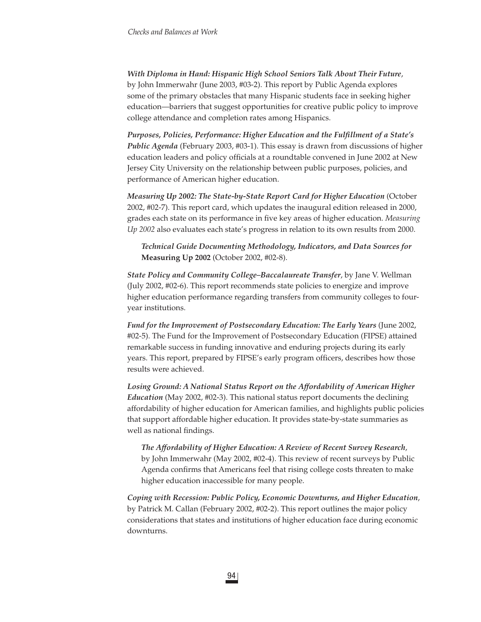*With Diploma in Hand: Hispanic High School Seniors Talk About Their Future*, by John Immerwahr (June 2003, #03-2). This report by Public Agenda explores some of the primary obstacles that many Hispanic students face in seeking higher education—barriers that suggest opportunities for creative public policy to improve college attendance and completion rates among Hispanics.

*Purposes, Policies, Performance: Higher Education and the Fulfillment of a State's Public Agenda* (February 2003, #03-1). This essay is drawn from discussions of higher education leaders and policy officials at a roundtable convened in June 2002 at New Jersey City University on the relationship between public purposes, policies, and performance of American higher education.

*Measuring Up 2002: The State-by-State Report Card for Higher Education* (October 2002, #02-7). This report card, which updates the inaugural edition released in 2000, grades each state on its performance in fi ve key areas of higher education. *Measuring Up 2002* also evaluates each state's progress in relation to its own results from 2000.

*Technical Guide Documenting Methodology, Indicators, and Data Sources for*  **Measuring Up 2002** (October 2002, #02-8).

*State Policy and Community College–Baccalaureate Transfer*, by Jane V. Wellman (July 2002, #02-6). This report recommends state policies to energize and improve higher education performance regarding transfers from community colleges to fouryear institutions.

*Fund for the Improvement of Postsecondary Education: The Early Years* (June 2002, #02-5). The Fund for the Improvement of Postsecondary Education (FIPSE) attained remarkable success in funding innovative and enduring projects during its early years. This report, prepared by FIPSE's early program officers, describes how those results were achieved.

*Losing Ground: A National Status Report on the Affordability of American Higher Education* (May 2002, #02-3). This national status report documents the declining affordability of higher education for American families, and highlights public policies that support affordable higher education. It provides state-by-state summaries as well as national findings.

*The Affordability of Higher Education: A Review of Recent Survey Research*, by John Immerwahr (May 2002, #02-4). This review of recent surveys by Public Agenda confirms that Americans feel that rising college costs threaten to make higher education inaccessible for many people.

*Coping with Recession: Public Policy, Economic Downturns, and Higher Education*, by Patrick M. Callan (February 2002, #02-2). This report outlines the major policy considerations that states and institutions of higher education face during economic downturns.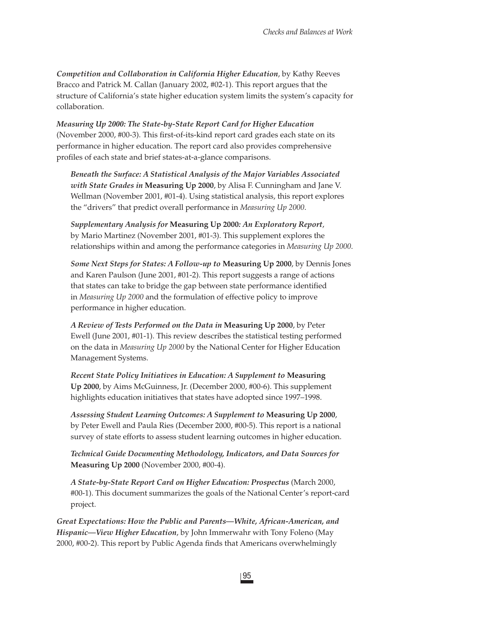*Competition and Collaboration in California Higher Education*, by Kathy Reeves Bracco and Patrick M. Callan (January 2002, #02-1). This report argues that the structure of California's state higher education system limits the system's capacity for collaboration.

*Measuring Up 2000: The State-by-State Report Card for Higher Education* (November 2000, #00-3). This first-of-its-kind report card grades each state on its performance in higher education. The report card also provides comprehensive profiles of each state and brief states-at-a-glance comparisons.

*Beneath the Surface: A Statistical Analysis of the Major Variables Associated with State Grades in* **Measuring Up 2000**, by Alisa F. Cunningham and Jane V. Wellman (November 2001, #01-4). Using statistical analysis, this report explores the "drivers" that predict overall performance in *Measuring Up 2000*.

*Supplementary Analysis for* **Measuring Up 2000***: An Exploratory Report*, by Mario Martinez (November 2001, #01-3). This supplement explores the relationships within and among the performance categories in *Measuring Up 2000*.

*Some Next Steps for States: A Follow-up to* **Measuring Up 2000**, by Dennis Jones and Karen Paulson (June 2001, #01-2). This report suggests a range of actions that states can take to bridge the gap between state performance identified in *Measuring Up 2000* and the formulation of effective policy to improve performance in higher education.

*A Review of Tests Performed on the Data in* **Measuring Up 2000**, by Peter Ewell (June 2001, #01-1). This review describes the statistical testing performed on the data in *Measuring Up 2000* by the National Center for Higher Education Management Systems.

*Recent State Policy Initiatives in Education: A Supplement to* **Measuring Up 2000**, by Aims McGuinness, Jr. (December 2000, #00-6). This supplement highlights education initiatives that states have adopted since 1997–1998.

*Assessing Student Learning Outcomes: A Supplement to* **Measuring Up 2000**, by Peter Ewell and Paula Ries (December 2000, #00-5). This report is a national survey of state efforts to assess student learning outcomes in higher education.

*Technical Guide Documenting Methodology, Indicators, and Data Sources for*  **Measuring Up 2000** (November 2000, #00-4).

*A State-by-State Report Card on Higher Education: Prospectus* (March 2000, #00-1). This document summarizes the goals of the National Center's report-card project.

*Great Expectations: How the Public and Parents—White, African-American, and Hispanic—View Higher Education*, by John Immerwahr with Tony Foleno (May 2000, #00-2). This report by Public Agenda finds that Americans overwhelmingly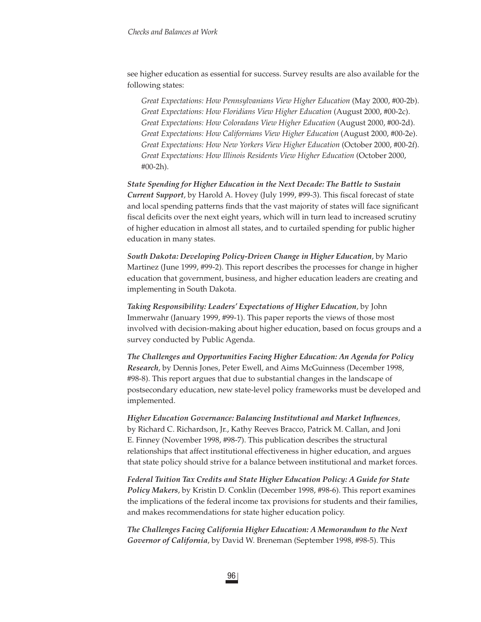see higher education as essential for success. Survey results are also available for the following states:

*Great Expectations: How Pennsylvanians View Higher Education* (May 2000, #00-2b). *Great Expectations: How Floridians View Higher Education* (August 2000, #00-2c). *Great Expectations: How Coloradans View Higher Education* (August 2000, #00-2d). *Great Expectations: How Californians View Higher Education* (August 2000, #00-2e). *Great Expectations: How New Yorkers View Higher Education* (October 2000, #00-2f). *Great Expectations: How Illinois Residents View Higher Education* (October 2000, #00-2h).

*State Spending for Higher Education in the Next Decade: The Battle to Sustain Current Support*, by Harold A. Hovey (July 1999, #99-3). This fiscal forecast of state and local spending patterns finds that the vast majority of states will face significant fiscal deficits over the next eight years, which will in turn lead to increased scrutiny of higher education in almost all states, and to curtailed spending for public higher education in many states.

*South Dakota: Developing Policy-Driven Change in Higher Education*, by Mario Martinez (June 1999, #99-2). This report describes the processes for change in higher education that government, business, and higher education leaders are creating and implementing in South Dakota.

*Taking Responsibility: Leaders' Expectations of Higher Education*, by John Immerwahr (January 1999, #99-1). This paper reports the views of those most involved with decision-making about higher education, based on focus groups and a survey conducted by Public Agenda.

*The Challenges and Opportunities Facing Higher Education: An Agenda for Policy Research*, by Dennis Jones, Peter Ewell, and Aims McGuinness (December 1998, #98-8). This report argues that due to substantial changes in the landscape of postsecondary education, new state-level policy frameworks must be developed and implemented.

*Higher Education Governance: Balancing Institutional and Market Influences,* by Richard C. Richardson, Jr., Kathy Reeves Bracco, Patrick M. Callan, and Joni E. Finney (November 1998, #98-7). This publication describes the structural relationships that affect institutional effectiveness in higher education, and argues that state policy should strive for a balance between institutional and market forces.

*Federal Tuition Tax Credits and State Higher Education Policy: A Guide for State Policy Makers*, by Kristin D. Conklin (December 1998, #98-6). This report examines the implications of the federal income tax provisions for students and their families, and makes recommendations for state higher education policy.

*The Challenges Facing California Higher Education: A Memorandum to the Next Governor of California*, by David W. Breneman (September 1998, #98-5). This